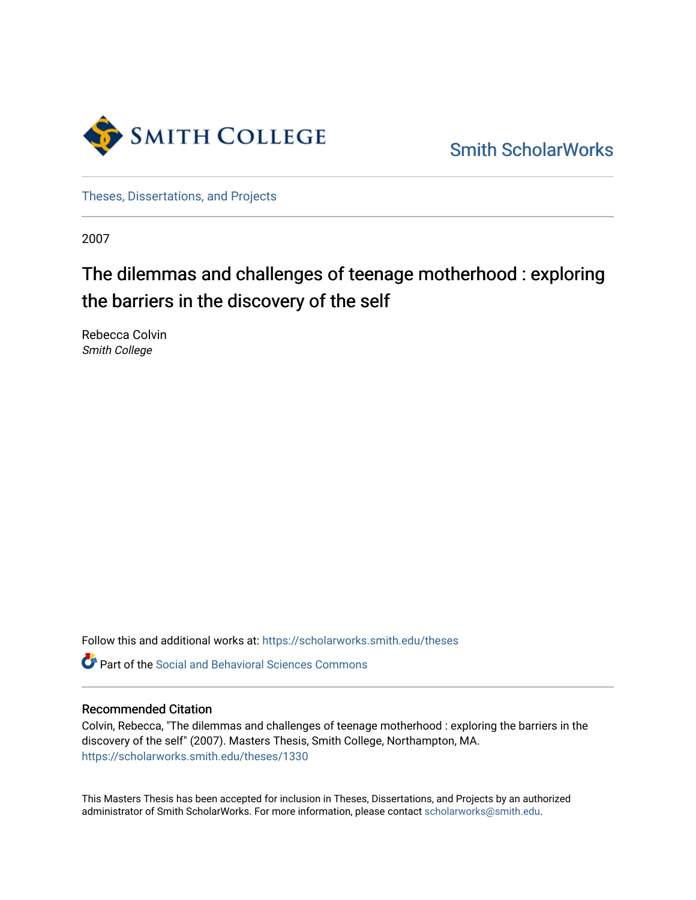

[Smith ScholarWorks](https://scholarworks.smith.edu/) 

[Theses, Dissertations, and Projects](https://scholarworks.smith.edu/theses) 

2007

# The dilemmas and challenges of teenage motherhood : exploring the barriers in the discovery of the self

Rebecca Colvin Smith College

Follow this and additional works at: [https://scholarworks.smith.edu/theses](https://scholarworks.smith.edu/theses?utm_source=scholarworks.smith.edu%2Ftheses%2F1330&utm_medium=PDF&utm_campaign=PDFCoverPages) 

Part of the [Social and Behavioral Sciences Commons](http://network.bepress.com/hgg/discipline/316?utm_source=scholarworks.smith.edu%2Ftheses%2F1330&utm_medium=PDF&utm_campaign=PDFCoverPages) 

#### Recommended Citation

Colvin, Rebecca, "The dilemmas and challenges of teenage motherhood : exploring the barriers in the discovery of the self" (2007). Masters Thesis, Smith College, Northampton, MA. [https://scholarworks.smith.edu/theses/1330](https://scholarworks.smith.edu/theses/1330?utm_source=scholarworks.smith.edu%2Ftheses%2F1330&utm_medium=PDF&utm_campaign=PDFCoverPages)

This Masters Thesis has been accepted for inclusion in Theses, Dissertations, and Projects by an authorized administrator of Smith ScholarWorks. For more information, please contact [scholarworks@smith.edu](mailto:scholarworks@smith.edu).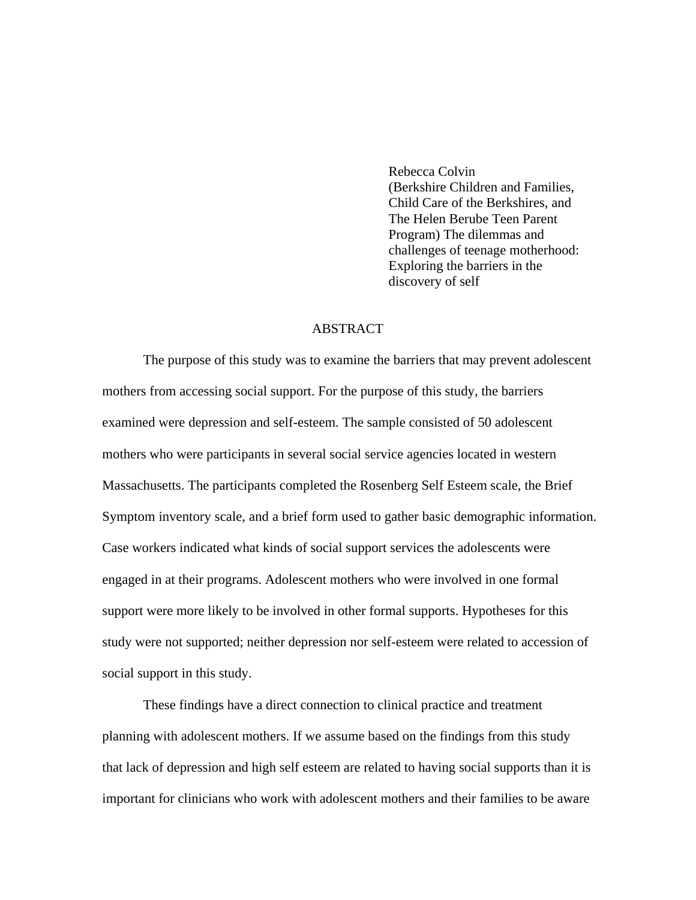Rebecca Colvin (Berkshire Children and Families, Child Care of the Berkshires, and The Helen Berube Teen Parent Program) The dilemmas and challenges of teenage motherhood: Exploring the barriers in the discovery of self

#### ABSTRACT

 The purpose of this study was to examine the barriers that may prevent adolescent mothers from accessing social support. For the purpose of this study, the barriers examined were depression and self-esteem. The sample consisted of 50 adolescent mothers who were participants in several social service agencies located in western Massachusetts. The participants completed the Rosenberg Self Esteem scale, the Brief Symptom inventory scale, and a brief form used to gather basic demographic information. Case workers indicated what kinds of social support services the adolescents were engaged in at their programs. Adolescent mothers who were involved in one formal support were more likely to be involved in other formal supports. Hypotheses for this study were not supported; neither depression nor self-esteem were related to accession of social support in this study.

 These findings have a direct connection to clinical practice and treatment planning with adolescent mothers. If we assume based on the findings from this study that lack of depression and high self esteem are related to having social supports than it is important for clinicians who work with adolescent mothers and their families to be aware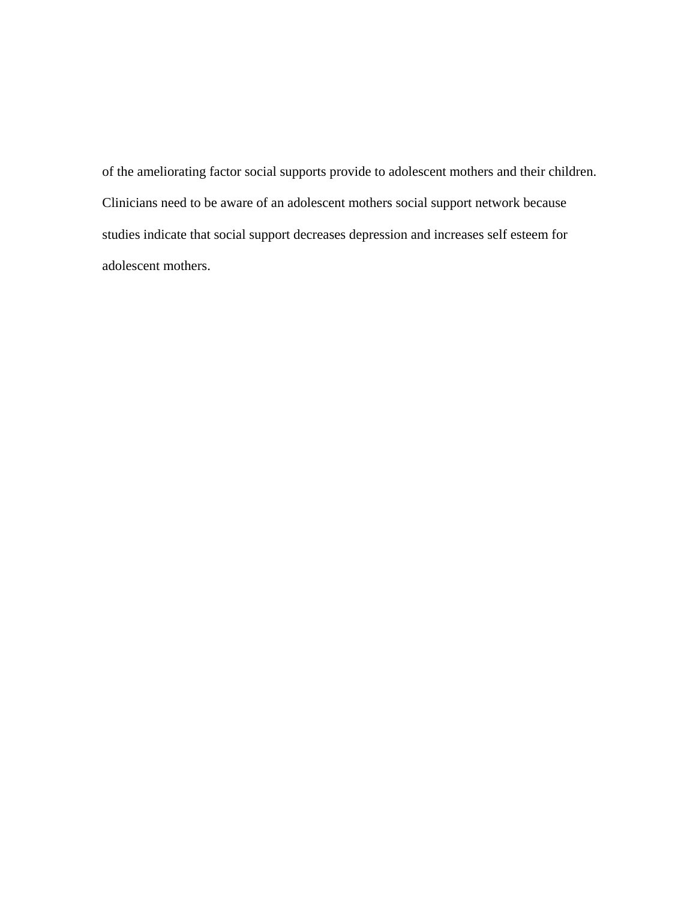of the ameliorating factor social supports provide to adolescent mothers and their children. Clinicians need to be aware of an adolescent mothers social support network because studies indicate that social support decreases depression and increases self esteem for adolescent mothers.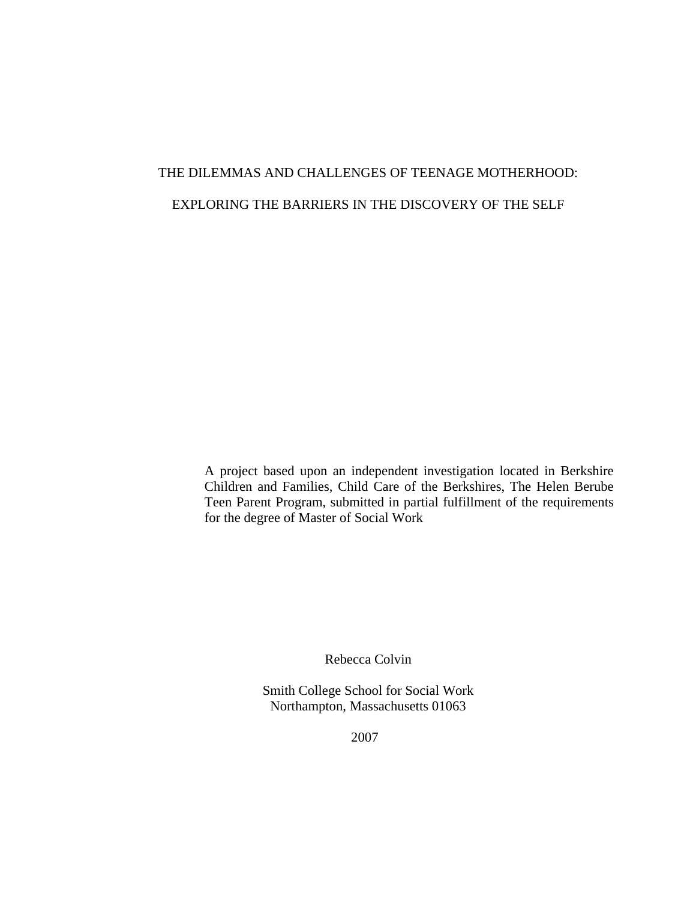# THE DILEMMAS AND CHALLENGES OF TEENAGE MOTHERHOOD: EXPLORING THE BARRIERS IN THE DISCOVERY OF THE SELF

A project based upon an independent investigation located in Berkshire Children and Families, Child Care of the Berkshires, The Helen Berube Teen Parent Program, submitted in partial fulfillment of the requirements for the degree of Master of Social Work

Rebecca Colvin

Smith College School for Social Work Northampton, Massachusetts 01063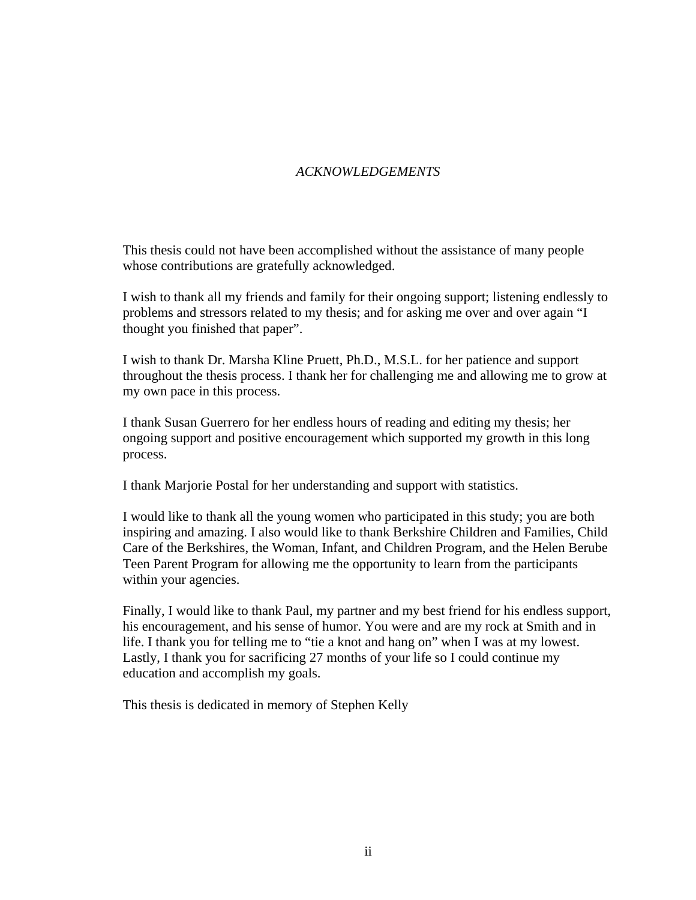## *ACKNOWLEDGEMENTS*

This thesis could not have been accomplished without the assistance of many people whose contributions are gratefully acknowledged.

I wish to thank all my friends and family for their ongoing support; listening endlessly to problems and stressors related to my thesis; and for asking me over and over again "I thought you finished that paper".

I wish to thank Dr. Marsha Kline Pruett, Ph.D., M.S.L. for her patience and support throughout the thesis process. I thank her for challenging me and allowing me to grow at my own pace in this process.

I thank Susan Guerrero for her endless hours of reading and editing my thesis; her ongoing support and positive encouragement which supported my growth in this long process.

I thank Marjorie Postal for her understanding and support with statistics.

I would like to thank all the young women who participated in this study; you are both inspiring and amazing. I also would like to thank Berkshire Children and Families, Child Care of the Berkshires, the Woman, Infant, and Children Program, and the Helen Berube Teen Parent Program for allowing me the opportunity to learn from the participants within your agencies.

Finally, I would like to thank Paul, my partner and my best friend for his endless support, his encouragement, and his sense of humor. You were and are my rock at Smith and in life. I thank you for telling me to "tie a knot and hang on" when I was at my lowest. Lastly, I thank you for sacrificing 27 months of your life so I could continue my education and accomplish my goals.

This thesis is dedicated in memory of Stephen Kelly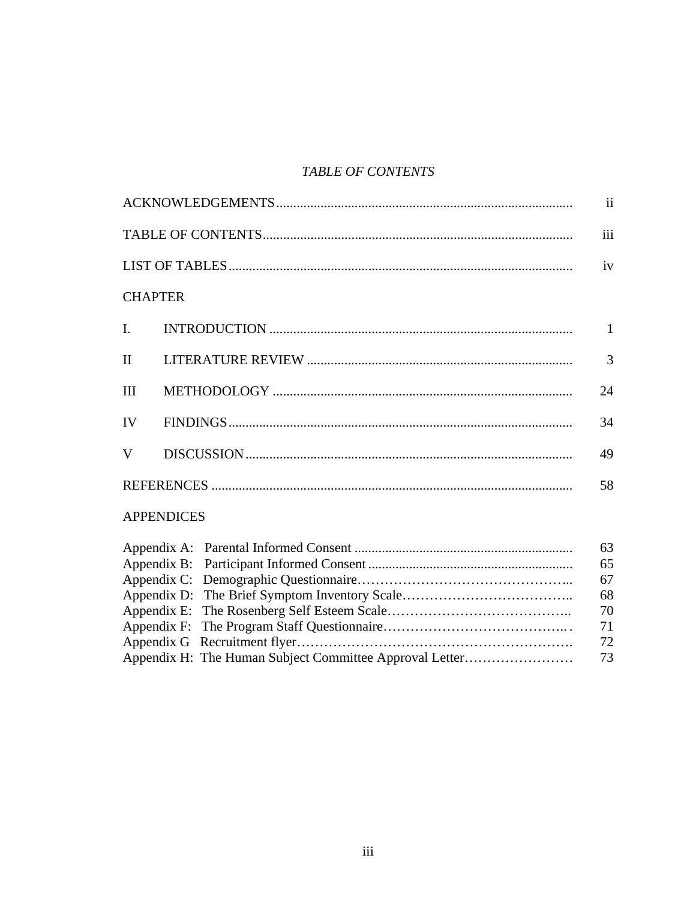# *TABLE OF CONTENTS*

|                   | $\mathbf{ii}$  |
|-------------------|----------------|
|                   | iii            |
|                   | iv             |
| <b>CHAPTER</b>    |                |
| I.                | $\mathbf{1}$   |
| $\mathbf{I}$      | $\overline{3}$ |
| III               | 24             |
| IV                | 34             |
| V                 | 49             |
|                   |                |
| <b>APPENDICES</b> |                |
|                   | 63             |
|                   | 65             |
|                   | 67             |
|                   | 68             |
|                   |                |
| Appendix F:       | 70<br>71       |
|                   | 72             |
|                   |                |

Appendix H: The Human Subject Committee Approval Letter…………………… 73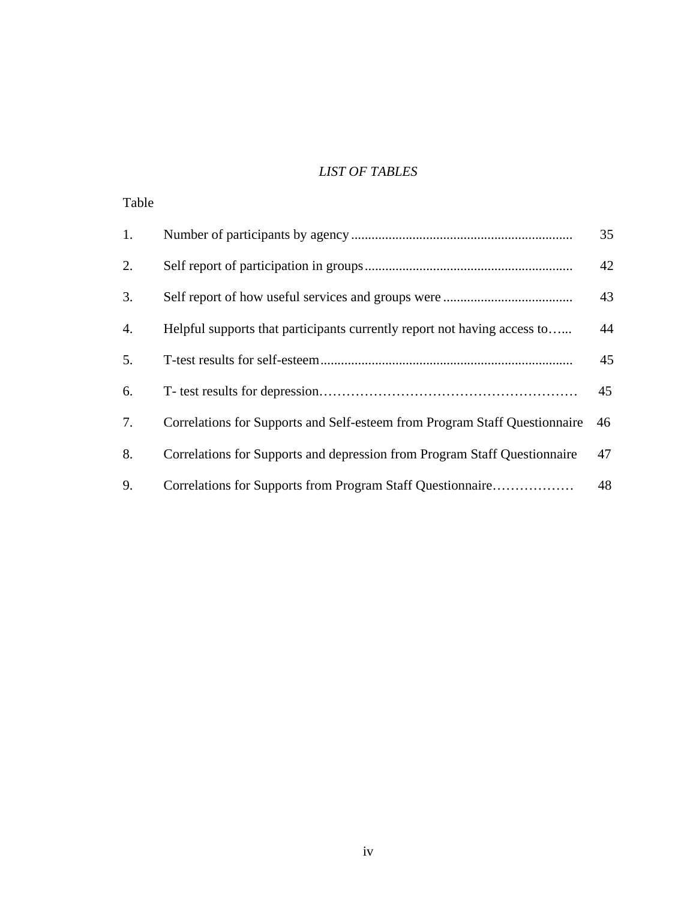## *LIST OF TABLES*

| Table |                                                                            |    |
|-------|----------------------------------------------------------------------------|----|
| 1.    |                                                                            | 35 |
| 2.    |                                                                            | 42 |
| 3.    |                                                                            | 43 |
| 4.    | Helpful supports that participants currently report not having access to   | 44 |
| 5.    |                                                                            | 45 |
| 6.    |                                                                            | 45 |
| 7.    | Correlations for Supports and Self-esteem from Program Staff Questionnaire | 46 |
| 8.    | Correlations for Supports and depression from Program Staff Questionnaire  | 47 |
| 9.    | Correlations for Supports from Program Staff Questionnaire                 | 48 |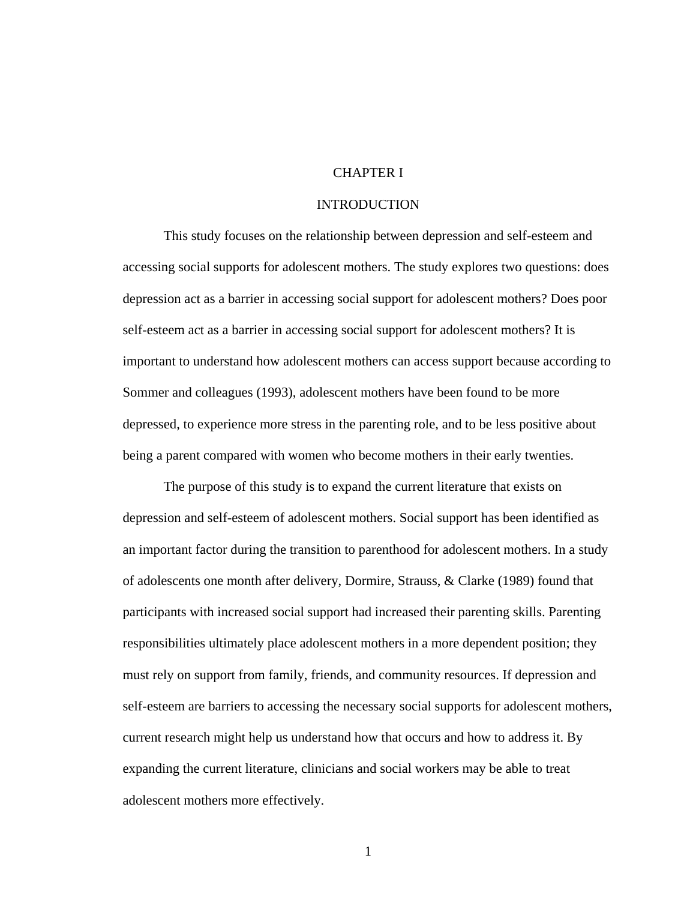#### CHAPTER I

#### INTRODUCTION

This study focuses on the relationship between depression and self-esteem and accessing social supports for adolescent mothers. The study explores two questions: does depression act as a barrier in accessing social support for adolescent mothers? Does poor self-esteem act as a barrier in accessing social support for adolescent mothers? It is important to understand how adolescent mothers can access support because according to Sommer and colleagues (1993), adolescent mothers have been found to be more depressed, to experience more stress in the parenting role, and to be less positive about being a parent compared with women who become mothers in their early twenties.

 The purpose of this study is to expand the current literature that exists on depression and self-esteem of adolescent mothers. Social support has been identified as an important factor during the transition to parenthood for adolescent mothers. In a study of adolescents one month after delivery, Dormire, Strauss, & Clarke (1989) found that participants with increased social support had increased their parenting skills. Parenting responsibilities ultimately place adolescent mothers in a more dependent position; they must rely on support from family, friends, and community resources. If depression and self-esteem are barriers to accessing the necessary social supports for adolescent mothers, current research might help us understand how that occurs and how to address it. By expanding the current literature, clinicians and social workers may be able to treat adolescent mothers more effectively.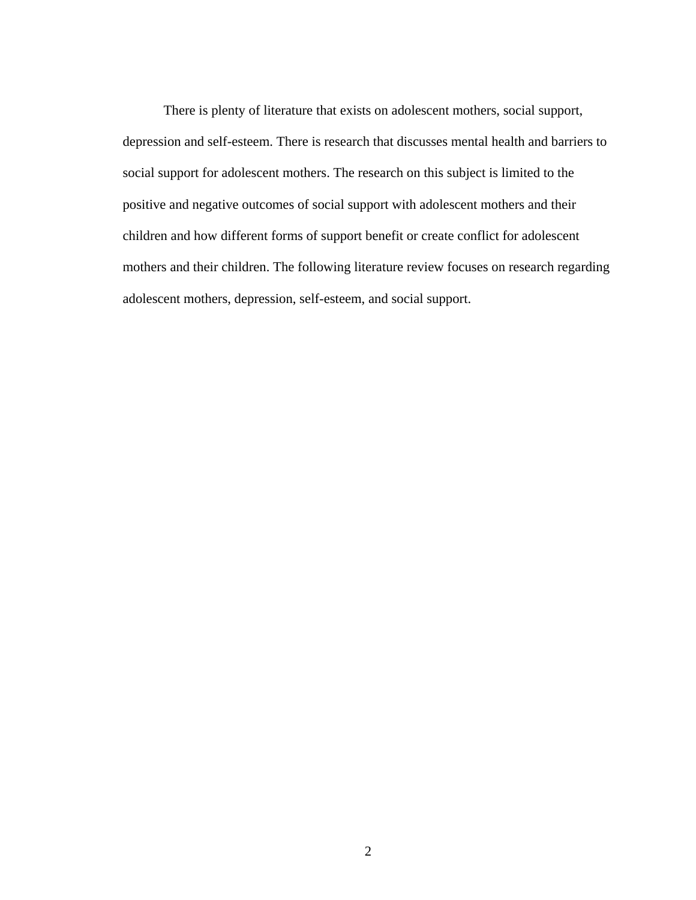There is plenty of literature that exists on adolescent mothers, social support, depression and self-esteem. There is research that discusses mental health and barriers to social support for adolescent mothers. The research on this subject is limited to the positive and negative outcomes of social support with adolescent mothers and their children and how different forms of support benefit or create conflict for adolescent mothers and their children. The following literature review focuses on research regarding adolescent mothers, depression, self-esteem, and social support.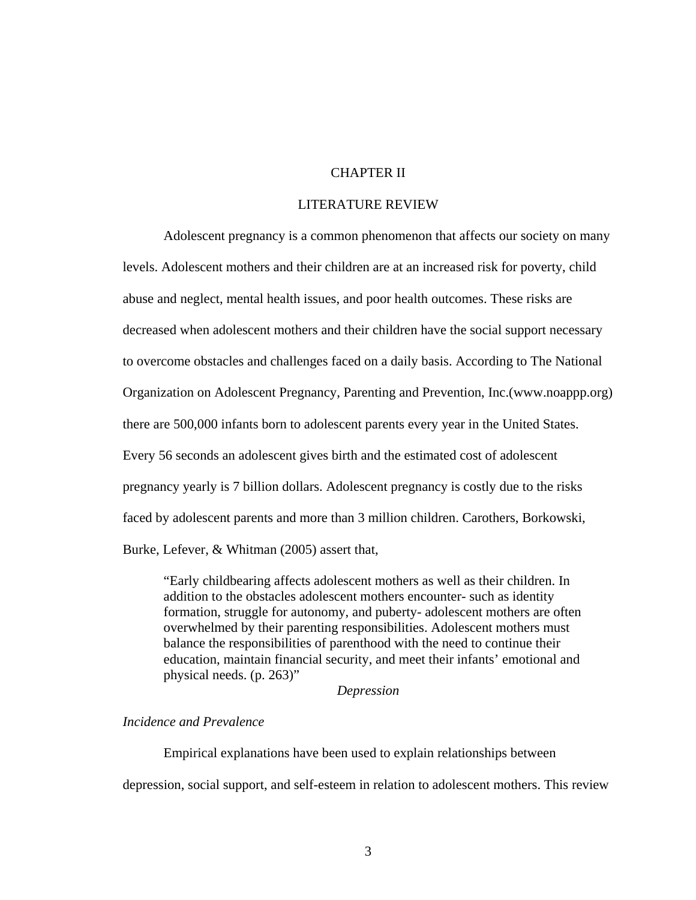#### CHAPTER II

#### LITERATURE REVIEW

Adolescent pregnancy is a common phenomenon that affects our society on many levels. Adolescent mothers and their children are at an increased risk for poverty, child abuse and neglect, mental health issues, and poor health outcomes. These risks are decreased when adolescent mothers and their children have the social support necessary to overcome obstacles and challenges faced on a daily basis. According to The National Organization on Adolescent Pregnancy, Parenting and Prevention, Inc.(www.noappp.org) there are 500,000 infants born to adolescent parents every year in the United States. Every 56 seconds an adolescent gives birth and the estimated cost of adolescent pregnancy yearly is 7 billion dollars. Adolescent pregnancy is costly due to the risks faced by adolescent parents and more than 3 million children. Carothers, Borkowski, Burke, Lefever, & Whitman (2005) assert that,

"Early childbearing affects adolescent mothers as well as their children. In addition to the obstacles adolescent mothers encounter- such as identity formation, struggle for autonomy, and puberty- adolescent mothers are often overwhelmed by their parenting responsibilities. Adolescent mothers must balance the responsibilities of parenthood with the need to continue their education, maintain financial security, and meet their infants' emotional and physical needs. (p. 263)"

#### *Depression*

## *Incidence and Prevalence*

Empirical explanations have been used to explain relationships between depression, social support, and self-esteem in relation to adolescent mothers. This review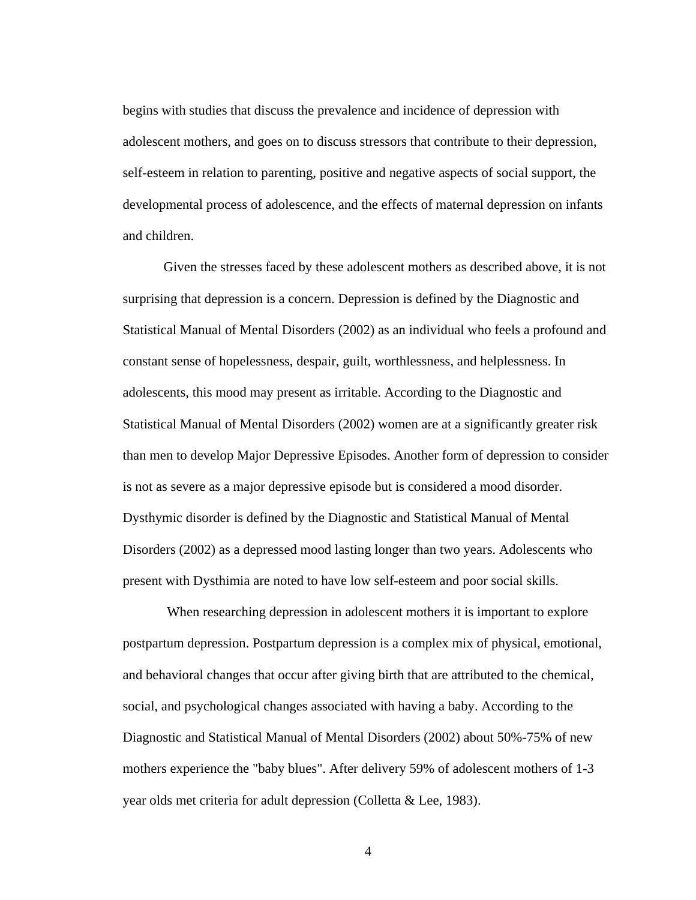begins with studies that discuss the prevalence and incidence of depression with adolescent mothers, and goes on to discuss stressors that contribute to their depression, self-esteem in relation to parenting, positive and negative aspects of social support, the developmental process of adolescence, and the effects of maternal depression on infants and children.

Given the stresses faced by these adolescent mothers as described above, it is not surprising that depression is a concern. Depression is defined by the Diagnostic and Statistical Manual of Mental Disorders (2002) as an individual who feels a profound and constant sense of hopelessness, despair, guilt, worthlessness, and helplessness. In adolescents, this mood may present as irritable. According to the Diagnostic and Statistical Manual of Mental Disorders (2002) women are at a significantly greater risk than men to develop Major Depressive Episodes. Another form of depression to consider is not as severe as a major depressive episode but is considered a mood disorder. Dysthymic disorder is defined by the Diagnostic and Statistical Manual of Mental Disorders (2002) as a depressed mood lasting longer than two years. Adolescents who present with Dysthimia are noted to have low self-esteem and poor social skills.

 When researching depression in adolescent mothers it is important to explore postpartum depression. Postpartum depression is a complex mix of physical, emotional, and behavioral changes that occur after giving birth that are attributed to the chemical, social, and psychological changes associated with having a baby. According to the Diagnostic and Statistical Manual of Mental Disorders (2002) about 50%-75% of new mothers experience the "baby blues". After delivery 59% of adolescent mothers of 1-3 year olds met criteria for adult depression (Colletta & Lee, 1983).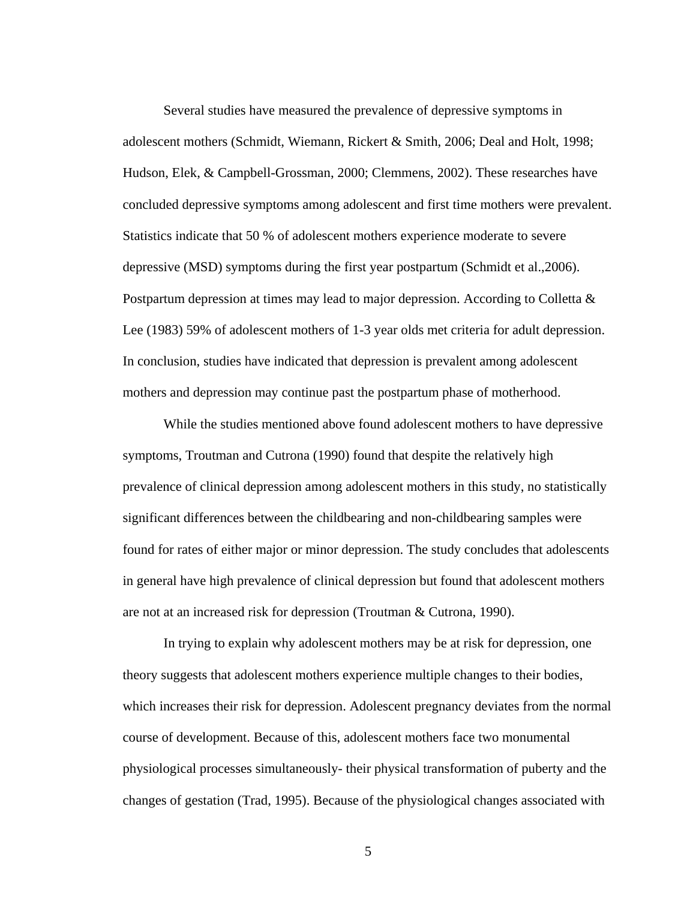Several studies have measured the prevalence of depressive symptoms in adolescent mothers (Schmidt, Wiemann, Rickert & Smith, 2006; Deal and Holt, 1998; Hudson, Elek, & Campbell-Grossman, 2000; Clemmens, 2002). These researches have concluded depressive symptoms among adolescent and first time mothers were prevalent. Statistics indicate that 50 % of adolescent mothers experience moderate to severe depressive (MSD) symptoms during the first year postpartum (Schmidt et al.,2006). Postpartum depression at times may lead to major depression. According to Colletta & Lee (1983) 59% of adolescent mothers of 1-3 year olds met criteria for adult depression. In conclusion, studies have indicated that depression is prevalent among adolescent mothers and depression may continue past the postpartum phase of motherhood.

 While the studies mentioned above found adolescent mothers to have depressive symptoms, Troutman and Cutrona (1990) found that despite the relatively high prevalence of clinical depression among adolescent mothers in this study, no statistically significant differences between the childbearing and non-childbearing samples were found for rates of either major or minor depression. The study concludes that adolescents in general have high prevalence of clinical depression but found that adolescent mothers are not at an increased risk for depression (Troutman & Cutrona, 1990).

In trying to explain why adolescent mothers may be at risk for depression, one theory suggests that adolescent mothers experience multiple changes to their bodies, which increases their risk for depression. Adolescent pregnancy deviates from the normal course of development. Because of this, adolescent mothers face two monumental physiological processes simultaneously- their physical transformation of puberty and the changes of gestation (Trad, 1995). Because of the physiological changes associated with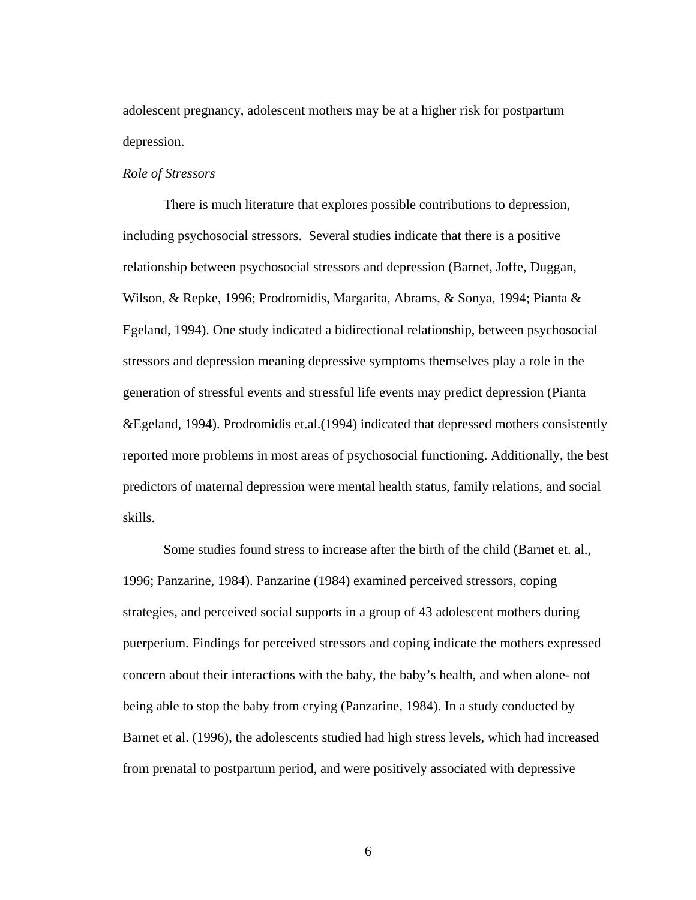adolescent pregnancy, adolescent mothers may be at a higher risk for postpartum depression.

#### *Role of Stressors*

There is much literature that explores possible contributions to depression, including psychosocial stressors. Several studies indicate that there is a positive relationship between psychosocial stressors and depression (Barnet, Joffe, Duggan, Wilson, & Repke, 1996; Prodromidis, Margarita, Abrams, & Sonya, 1994; Pianta & Egeland, 1994). One study indicated a bidirectional relationship, between psychosocial stressors and depression meaning depressive symptoms themselves play a role in the generation of stressful events and stressful life events may predict depression (Pianta &Egeland, 1994). Prodromidis et.al.(1994) indicated that depressed mothers consistently reported more problems in most areas of psychosocial functioning. Additionally, the best predictors of maternal depression were mental health status, family relations, and social skills.

Some studies found stress to increase after the birth of the child (Barnet et. al., 1996; Panzarine, 1984). Panzarine (1984) examined perceived stressors, coping strategies, and perceived social supports in a group of 43 adolescent mothers during puerperium. Findings for perceived stressors and coping indicate the mothers expressed concern about their interactions with the baby, the baby's health, and when alone- not being able to stop the baby from crying (Panzarine, 1984). In a study conducted by Barnet et al. (1996), the adolescents studied had high stress levels, which had increased from prenatal to postpartum period, and were positively associated with depressive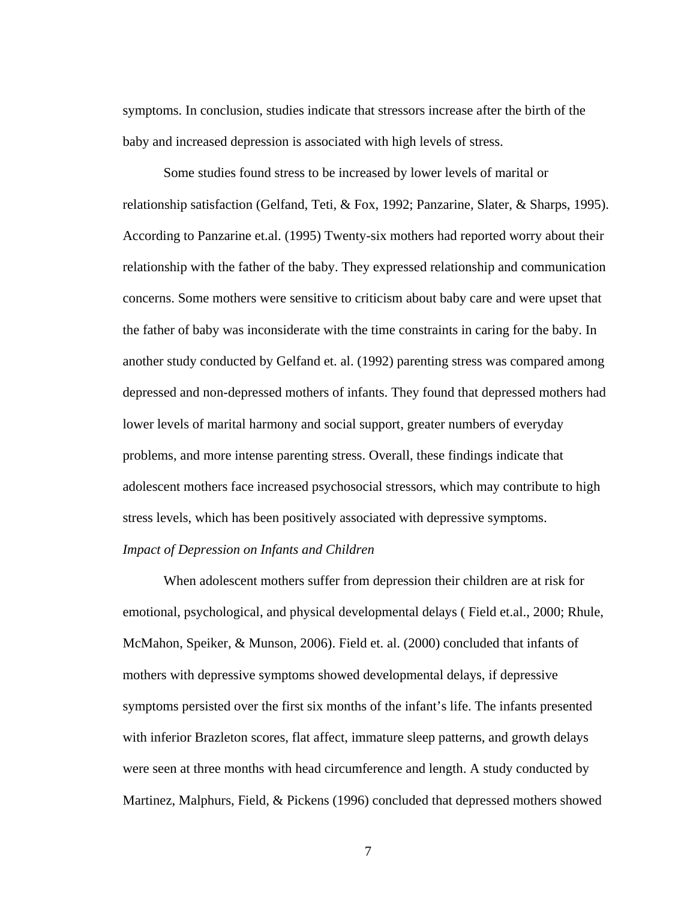symptoms. In conclusion, studies indicate that stressors increase after the birth of the baby and increased depression is associated with high levels of stress.

Some studies found stress to be increased by lower levels of marital or relationship satisfaction (Gelfand, Teti, & Fox, 1992; Panzarine, Slater, & Sharps, 1995). According to Panzarine et.al. (1995) Twenty-six mothers had reported worry about their relationship with the father of the baby. They expressed relationship and communication concerns. Some mothers were sensitive to criticism about baby care and were upset that the father of baby was inconsiderate with the time constraints in caring for the baby. In another study conducted by Gelfand et. al. (1992) parenting stress was compared among depressed and non-depressed mothers of infants. They found that depressed mothers had lower levels of marital harmony and social support, greater numbers of everyday problems, and more intense parenting stress. Overall, these findings indicate that adolescent mothers face increased psychosocial stressors, which may contribute to high stress levels, which has been positively associated with depressive symptoms. *Impact of Depression on Infants and Children* 

When adolescent mothers suffer from depression their children are at risk for emotional, psychological, and physical developmental delays ( Field et.al., 2000; Rhule, McMahon, Speiker, & Munson, 2006). Field et. al. (2000) concluded that infants of mothers with depressive symptoms showed developmental delays, if depressive symptoms persisted over the first six months of the infant's life. The infants presented with inferior Brazleton scores, flat affect, immature sleep patterns, and growth delays were seen at three months with head circumference and length. A study conducted by Martinez, Malphurs, Field, & Pickens (1996) concluded that depressed mothers showed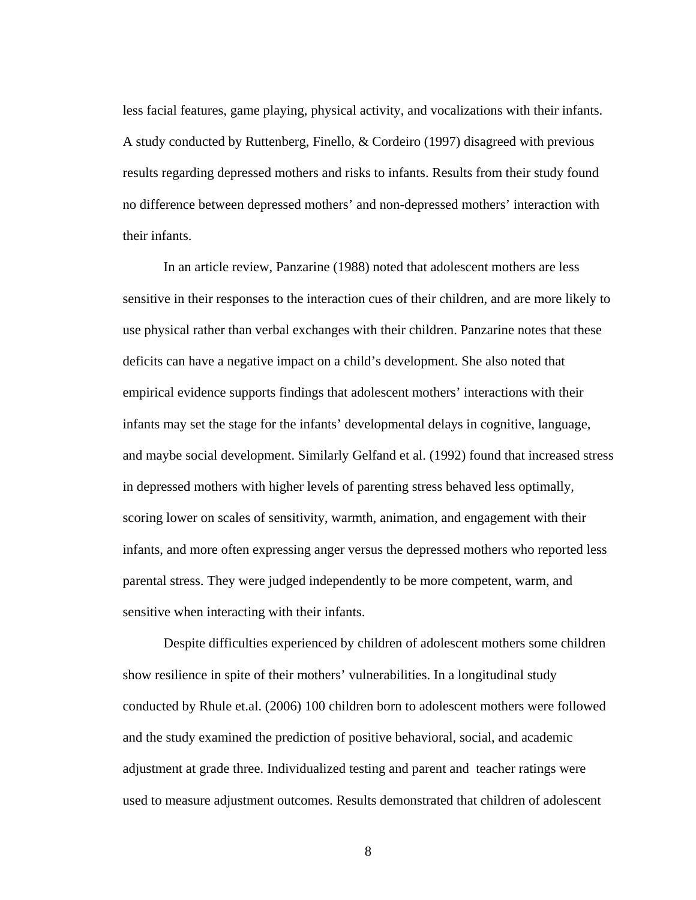less facial features, game playing, physical activity, and vocalizations with their infants. A study conducted by Ruttenberg, Finello, & Cordeiro (1997) disagreed with previous results regarding depressed mothers and risks to infants. Results from their study found no difference between depressed mothers' and non-depressed mothers' interaction with their infants.

In an article review, Panzarine (1988) noted that adolescent mothers are less sensitive in their responses to the interaction cues of their children, and are more likely to use physical rather than verbal exchanges with their children. Panzarine notes that these deficits can have a negative impact on a child's development. She also noted that empirical evidence supports findings that adolescent mothers' interactions with their infants may set the stage for the infants' developmental delays in cognitive, language, and maybe social development. Similarly Gelfand et al. (1992) found that increased stress in depressed mothers with higher levels of parenting stress behaved less optimally, scoring lower on scales of sensitivity, warmth, animation, and engagement with their infants, and more often expressing anger versus the depressed mothers who reported less parental stress. They were judged independently to be more competent, warm, and sensitive when interacting with their infants.

Despite difficulties experienced by children of adolescent mothers some children show resilience in spite of their mothers' vulnerabilities. In a longitudinal study conducted by Rhule et.al. (2006) 100 children born to adolescent mothers were followed and the study examined the prediction of positive behavioral, social, and academic adjustment at grade three. Individualized testing and parent and teacher ratings were used to measure adjustment outcomes. Results demonstrated that children of adolescent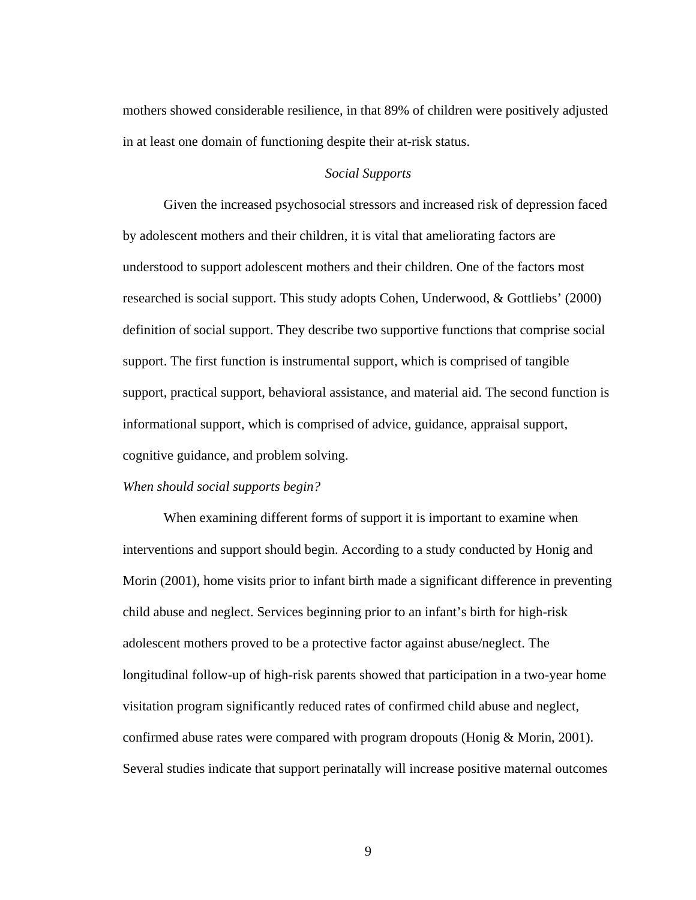mothers showed considerable resilience, in that 89% of children were positively adjusted in at least one domain of functioning despite their at-risk status.

#### *Social Supports*

Given the increased psychosocial stressors and increased risk of depression faced by adolescent mothers and their children, it is vital that ameliorating factors are understood to support adolescent mothers and their children. One of the factors most researched is social support. This study adopts Cohen, Underwood, & Gottliebs' (2000) definition of social support. They describe two supportive functions that comprise social support. The first function is instrumental support, which is comprised of tangible support, practical support, behavioral assistance, and material aid. The second function is informational support, which is comprised of advice, guidance, appraisal support, cognitive guidance, and problem solving.

#### *When should social supports begin?*

When examining different forms of support it is important to examine when interventions and support should begin. According to a study conducted by Honig and Morin (2001), home visits prior to infant birth made a significant difference in preventing child abuse and neglect. Services beginning prior to an infant's birth for high-risk adolescent mothers proved to be a protective factor against abuse/neglect. The longitudinal follow-up of high-risk parents showed that participation in a two-year home visitation program significantly reduced rates of confirmed child abuse and neglect, confirmed abuse rates were compared with program dropouts (Honig & Morin, 2001). Several studies indicate that support perinatally will increase positive maternal outcomes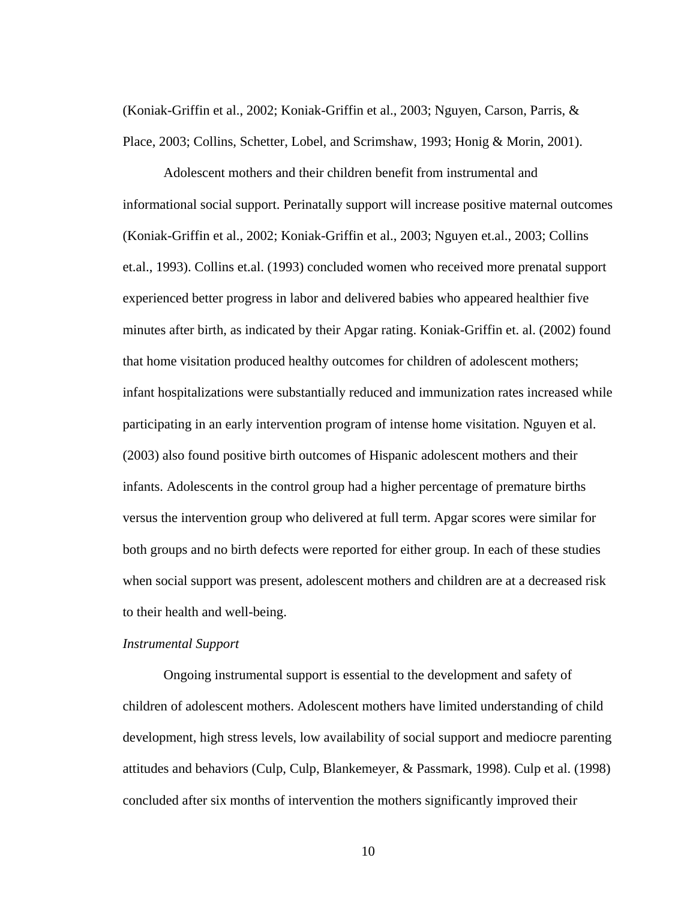(Koniak-Griffin et al., 2002; Koniak-Griffin et al., 2003; Nguyen, Carson, Parris, & Place, 2003; Collins, Schetter, Lobel, and Scrimshaw, 1993; Honig & Morin, 2001).

Adolescent mothers and their children benefit from instrumental and informational social support. Perinatally support will increase positive maternal outcomes (Koniak-Griffin et al., 2002; Koniak-Griffin et al., 2003; Nguyen et.al., 2003; Collins et.al., 1993). Collins et.al. (1993) concluded women who received more prenatal support experienced better progress in labor and delivered babies who appeared healthier five minutes after birth, as indicated by their Apgar rating. Koniak-Griffin et. al. (2002) found that home visitation produced healthy outcomes for children of adolescent mothers; infant hospitalizations were substantially reduced and immunization rates increased while participating in an early intervention program of intense home visitation. Nguyen et al. (2003) also found positive birth outcomes of Hispanic adolescent mothers and their infants. Adolescents in the control group had a higher percentage of premature births versus the intervention group who delivered at full term. Apgar scores were similar for both groups and no birth defects were reported for either group. In each of these studies when social support was present, adolescent mothers and children are at a decreased risk to their health and well-being.

#### *Instrumental Support*

Ongoing instrumental support is essential to the development and safety of children of adolescent mothers. Adolescent mothers have limited understanding of child development, high stress levels, low availability of social support and mediocre parenting attitudes and behaviors (Culp, Culp, Blankemeyer, & Passmark, 1998). Culp et al. (1998) concluded after six months of intervention the mothers significantly improved their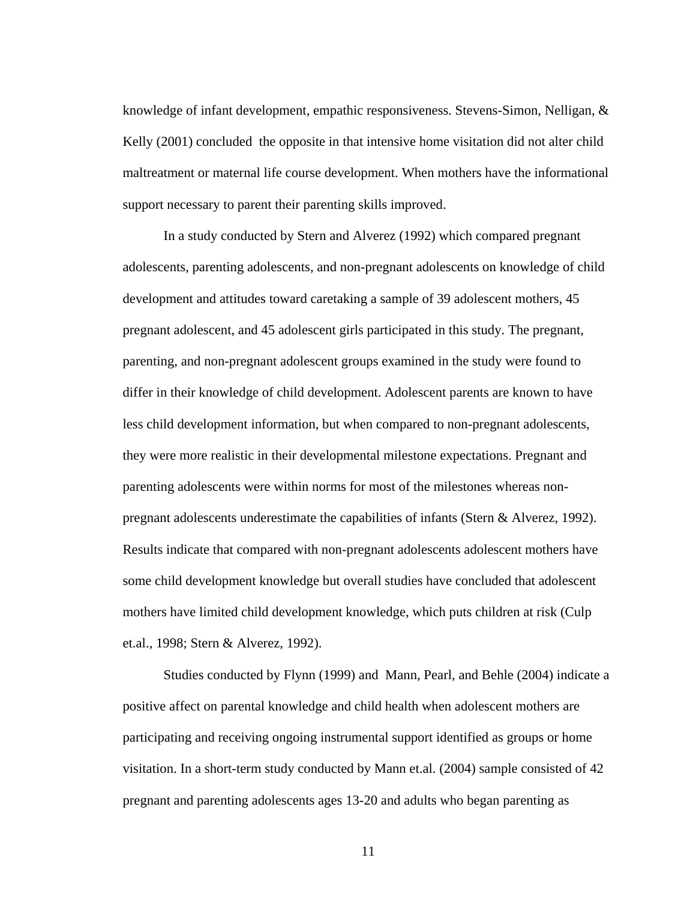knowledge of infant development, empathic responsiveness. Stevens-Simon, Nelligan, & Kelly (2001) concluded the opposite in that intensive home visitation did not alter child maltreatment or maternal life course development. When mothers have the informational support necessary to parent their parenting skills improved.

In a study conducted by Stern and Alverez (1992) which compared pregnant adolescents, parenting adolescents, and non-pregnant adolescents on knowledge of child development and attitudes toward caretaking a sample of 39 adolescent mothers, 45 pregnant adolescent, and 45 adolescent girls participated in this study. The pregnant, parenting, and non-pregnant adolescent groups examined in the study were found to differ in their knowledge of child development. Adolescent parents are known to have less child development information, but when compared to non-pregnant adolescents, they were more realistic in their developmental milestone expectations. Pregnant and parenting adolescents were within norms for most of the milestones whereas nonpregnant adolescents underestimate the capabilities of infants (Stern & Alverez, 1992). Results indicate that compared with non-pregnant adolescents adolescent mothers have some child development knowledge but overall studies have concluded that adolescent mothers have limited child development knowledge, which puts children at risk (Culp et.al., 1998; Stern & Alverez, 1992).

Studies conducted by Flynn (1999) and Mann, Pearl, and Behle (2004) indicate a positive affect on parental knowledge and child health when adolescent mothers are participating and receiving ongoing instrumental support identified as groups or home visitation. In a short-term study conducted by Mann et.al. (2004) sample consisted of 42 pregnant and parenting adolescents ages 13-20 and adults who began parenting as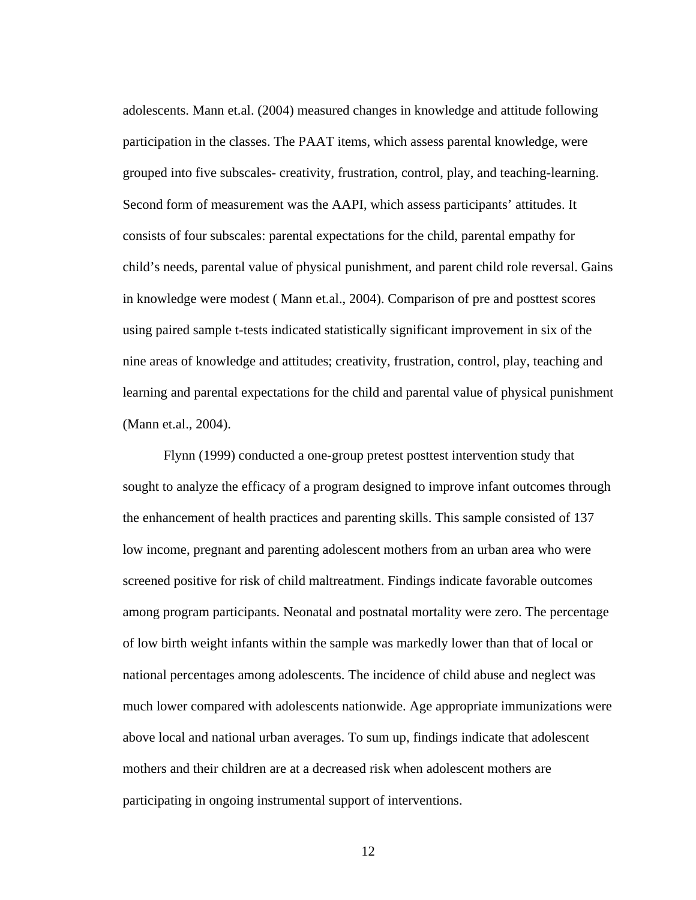adolescents. Mann et.al. (2004) measured changes in knowledge and attitude following participation in the classes. The PAAT items, which assess parental knowledge, were grouped into five subscales- creativity, frustration, control, play, and teaching-learning. Second form of measurement was the AAPI, which assess participants' attitudes. It consists of four subscales: parental expectations for the child, parental empathy for child's needs, parental value of physical punishment, and parent child role reversal. Gains in knowledge were modest ( Mann et.al., 2004). Comparison of pre and posttest scores using paired sample t-tests indicated statistically significant improvement in six of the nine areas of knowledge and attitudes; creativity, frustration, control, play, teaching and learning and parental expectations for the child and parental value of physical punishment (Mann et.al., 2004).

Flynn (1999) conducted a one-group pretest posttest intervention study that sought to analyze the efficacy of a program designed to improve infant outcomes through the enhancement of health practices and parenting skills. This sample consisted of 137 low income, pregnant and parenting adolescent mothers from an urban area who were screened positive for risk of child maltreatment. Findings indicate favorable outcomes among program participants. Neonatal and postnatal mortality were zero. The percentage of low birth weight infants within the sample was markedly lower than that of local or national percentages among adolescents. The incidence of child abuse and neglect was much lower compared with adolescents nationwide. Age appropriate immunizations were above local and national urban averages. To sum up, findings indicate that adolescent mothers and their children are at a decreased risk when adolescent mothers are participating in ongoing instrumental support of interventions.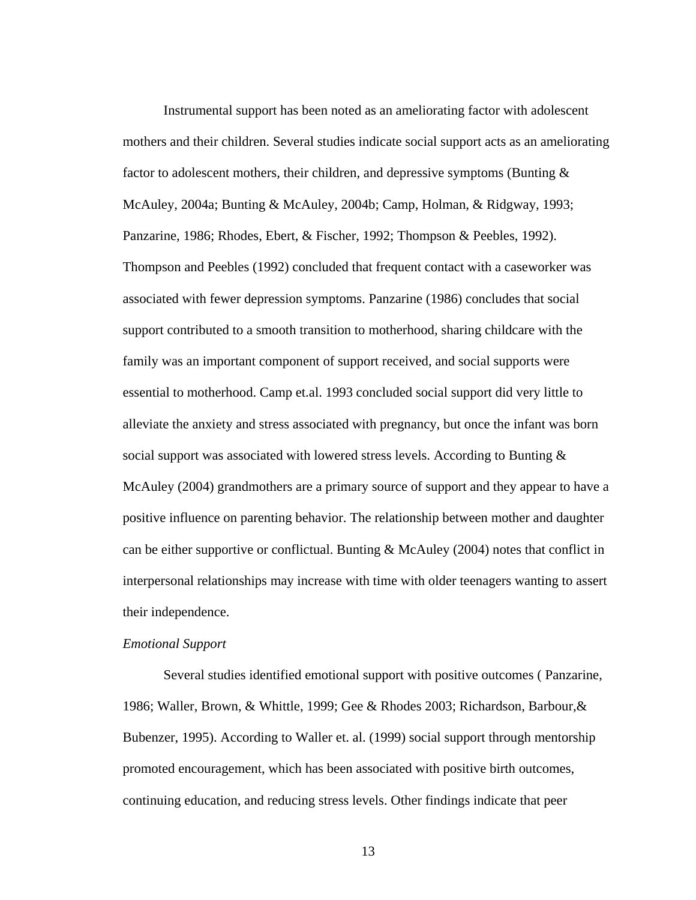Instrumental support has been noted as an ameliorating factor with adolescent mothers and their children. Several studies indicate social support acts as an ameliorating factor to adolescent mothers, their children, and depressive symptoms (Bunting  $\&$ McAuley, 2004a; Bunting & McAuley, 2004b; Camp, Holman, & Ridgway, 1993; Panzarine, 1986; Rhodes, Ebert, & Fischer, 1992; Thompson & Peebles, 1992). Thompson and Peebles (1992) concluded that frequent contact with a caseworker was associated with fewer depression symptoms. Panzarine (1986) concludes that social support contributed to a smooth transition to motherhood, sharing childcare with the family was an important component of support received, and social supports were essential to motherhood. Camp et.al. 1993 concluded social support did very little to alleviate the anxiety and stress associated with pregnancy, but once the infant was born social support was associated with lowered stress levels. According to Bunting  $\&$ McAuley (2004) grandmothers are a primary source of support and they appear to have a positive influence on parenting behavior. The relationship between mother and daughter can be either supportive or conflictual. Bunting & McAuley (2004) notes that conflict in interpersonal relationships may increase with time with older teenagers wanting to assert their independence.

#### *Emotional Support*

Several studies identified emotional support with positive outcomes ( Panzarine, 1986; Waller, Brown, & Whittle, 1999; Gee & Rhodes 2003; Richardson, Barbour,& Bubenzer, 1995). According to Waller et. al. (1999) social support through mentorship promoted encouragement, which has been associated with positive birth outcomes, continuing education, and reducing stress levels. Other findings indicate that peer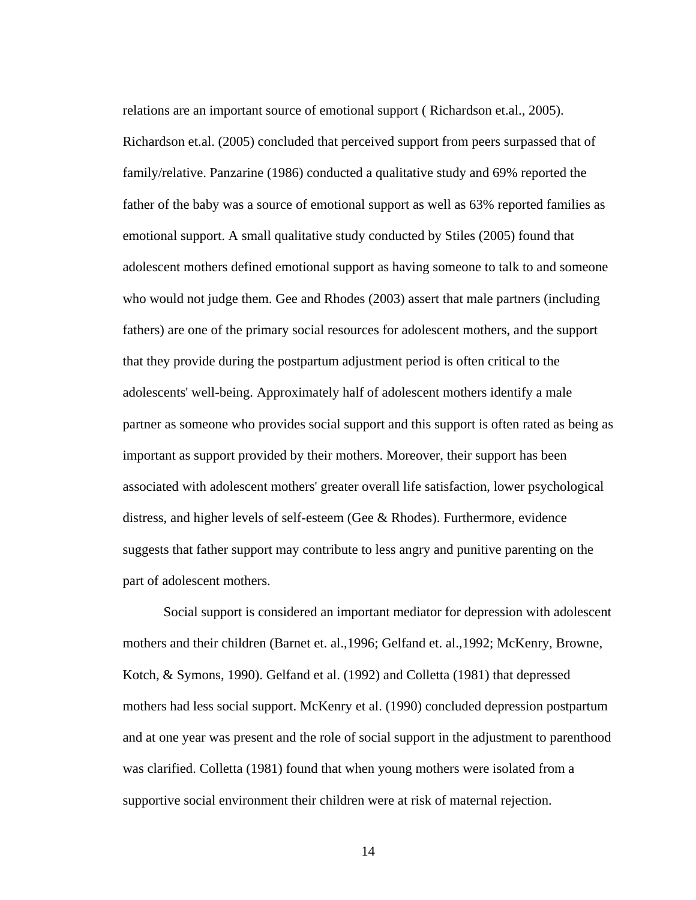relations are an important source of emotional support ( Richardson et.al., 2005). Richardson et.al. (2005) concluded that perceived support from peers surpassed that of family/relative. Panzarine (1986) conducted a qualitative study and 69% reported the father of the baby was a source of emotional support as well as 63% reported families as emotional support. A small qualitative study conducted by Stiles (2005) found that adolescent mothers defined emotional support as having someone to talk to and someone who would not judge them. Gee and Rhodes (2003) assert that male partners (including fathers) are one of the primary social resources for adolescent mothers, and the support that they provide during the postpartum adjustment period is often critical to the adolescents' well-being. Approximately half of adolescent mothers identify a male partner as someone who provides social support and this support is often rated as being as important as support provided by their mothers. Moreover, their support has been associated with adolescent mothers' greater overall life satisfaction, lower psychological distress, and higher levels of self-esteem (Gee & Rhodes). Furthermore, evidence suggests that father support may contribute to less angry and punitive parenting on the part of adolescent mothers.

Social support is considered an important mediator for depression with adolescent mothers and their children (Barnet et. al.,1996; Gelfand et. al.,1992; McKenry, Browne, Kotch, & Symons, 1990). Gelfand et al. (1992) and Colletta (1981) that depressed mothers had less social support. McKenry et al. (1990) concluded depression postpartum and at one year was present and the role of social support in the adjustment to parenthood was clarified. Colletta (1981) found that when young mothers were isolated from a supportive social environment their children were at risk of maternal rejection.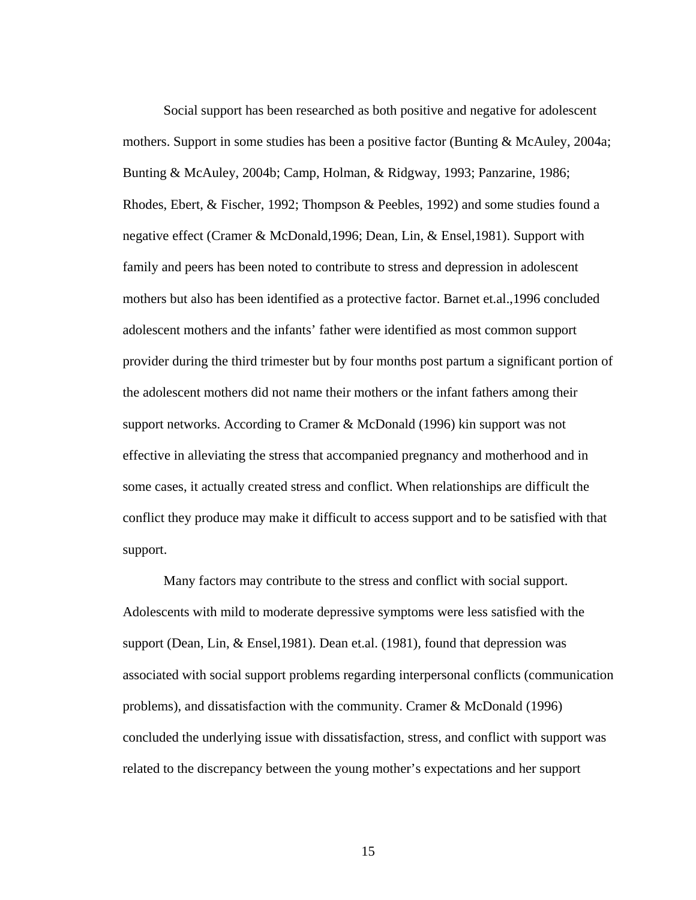Social support has been researched as both positive and negative for adolescent mothers. Support in some studies has been a positive factor (Bunting & McAuley, 2004a; Bunting & McAuley, 2004b; Camp, Holman, & Ridgway, 1993; Panzarine, 1986; Rhodes, Ebert, & Fischer, 1992; Thompson & Peebles, 1992) and some studies found a negative effect (Cramer & McDonald,1996; Dean, Lin, & Ensel,1981). Support with family and peers has been noted to contribute to stress and depression in adolescent mothers but also has been identified as a protective factor. Barnet et.al.,1996 concluded adolescent mothers and the infants' father were identified as most common support provider during the third trimester but by four months post partum a significant portion of the adolescent mothers did not name their mothers or the infant fathers among their support networks. According to Cramer & McDonald (1996) kin support was not effective in alleviating the stress that accompanied pregnancy and motherhood and in some cases, it actually created stress and conflict. When relationships are difficult the conflict they produce may make it difficult to access support and to be satisfied with that support.

Many factors may contribute to the stress and conflict with social support. Adolescents with mild to moderate depressive symptoms were less satisfied with the support (Dean, Lin, & Ensel,1981). Dean et.al. (1981), found that depression was associated with social support problems regarding interpersonal conflicts (communication problems), and dissatisfaction with the community. Cramer & McDonald (1996) concluded the underlying issue with dissatisfaction, stress, and conflict with support was related to the discrepancy between the young mother's expectations and her support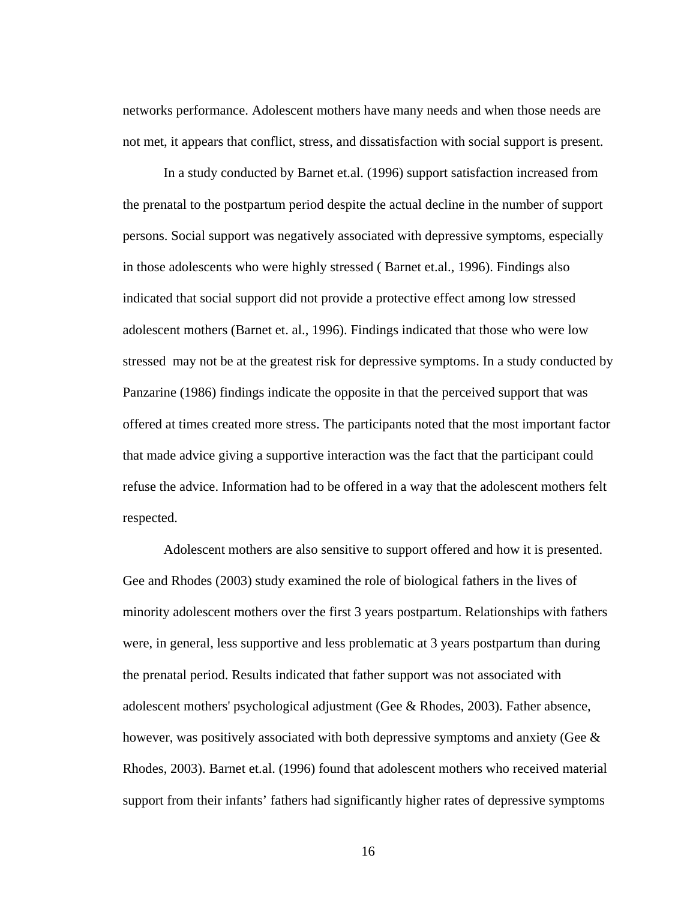networks performance. Adolescent mothers have many needs and when those needs are not met, it appears that conflict, stress, and dissatisfaction with social support is present.

In a study conducted by Barnet et.al. (1996) support satisfaction increased from the prenatal to the postpartum period despite the actual decline in the number of support persons. Social support was negatively associated with depressive symptoms, especially in those adolescents who were highly stressed ( Barnet et.al., 1996). Findings also indicated that social support did not provide a protective effect among low stressed adolescent mothers (Barnet et. al., 1996). Findings indicated that those who were low stressed may not be at the greatest risk for depressive symptoms. In a study conducted by Panzarine (1986) findings indicate the opposite in that the perceived support that was offered at times created more stress. The participants noted that the most important factor that made advice giving a supportive interaction was the fact that the participant could refuse the advice. Information had to be offered in a way that the adolescent mothers felt respected.

Adolescent mothers are also sensitive to support offered and how it is presented. Gee and Rhodes (2003) study examined the role of biological fathers in the lives of minority adolescent mothers over the first 3 years postpartum. Relationships with fathers were, in general, less supportive and less problematic at 3 years postpartum than during the prenatal period. Results indicated that father support was not associated with adolescent mothers' psychological adjustment (Gee & Rhodes, 2003). Father absence, however, was positively associated with both depressive symptoms and anxiety (Gee & Rhodes, 2003). Barnet et.al. (1996) found that adolescent mothers who received material support from their infants' fathers had significantly higher rates of depressive symptoms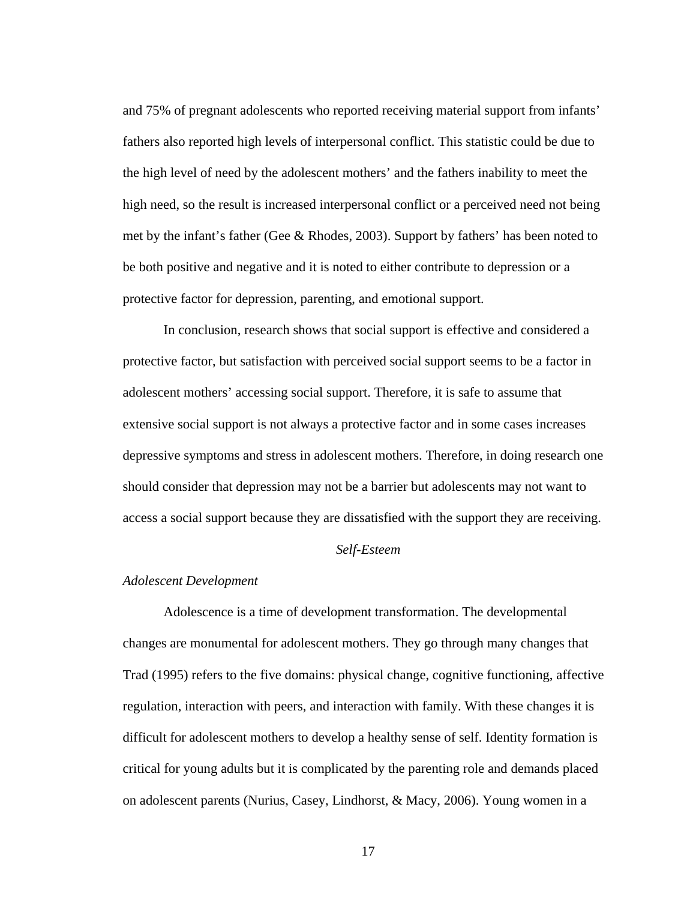and 75% of pregnant adolescents who reported receiving material support from infants' fathers also reported high levels of interpersonal conflict. This statistic could be due to the high level of need by the adolescent mothers' and the fathers inability to meet the high need, so the result is increased interpersonal conflict or a perceived need not being met by the infant's father (Gee & Rhodes, 2003). Support by fathers' has been noted to be both positive and negative and it is noted to either contribute to depression or a protective factor for depression, parenting, and emotional support.

In conclusion, research shows that social support is effective and considered a protective factor, but satisfaction with perceived social support seems to be a factor in adolescent mothers' accessing social support. Therefore, it is safe to assume that extensive social support is not always a protective factor and in some cases increases depressive symptoms and stress in adolescent mothers. Therefore, in doing research one should consider that depression may not be a barrier but adolescents may not want to access a social support because they are dissatisfied with the support they are receiving.

#### *Self-Esteem*

#### *Adolescent Development*

Adolescence is a time of development transformation. The developmental changes are monumental for adolescent mothers. They go through many changes that Trad (1995) refers to the five domains: physical change, cognitive functioning, affective regulation, interaction with peers, and interaction with family. With these changes it is difficult for adolescent mothers to develop a healthy sense of self. Identity formation is critical for young adults but it is complicated by the parenting role and demands placed on adolescent parents (Nurius, Casey, Lindhorst, & Macy, 2006). Young women in a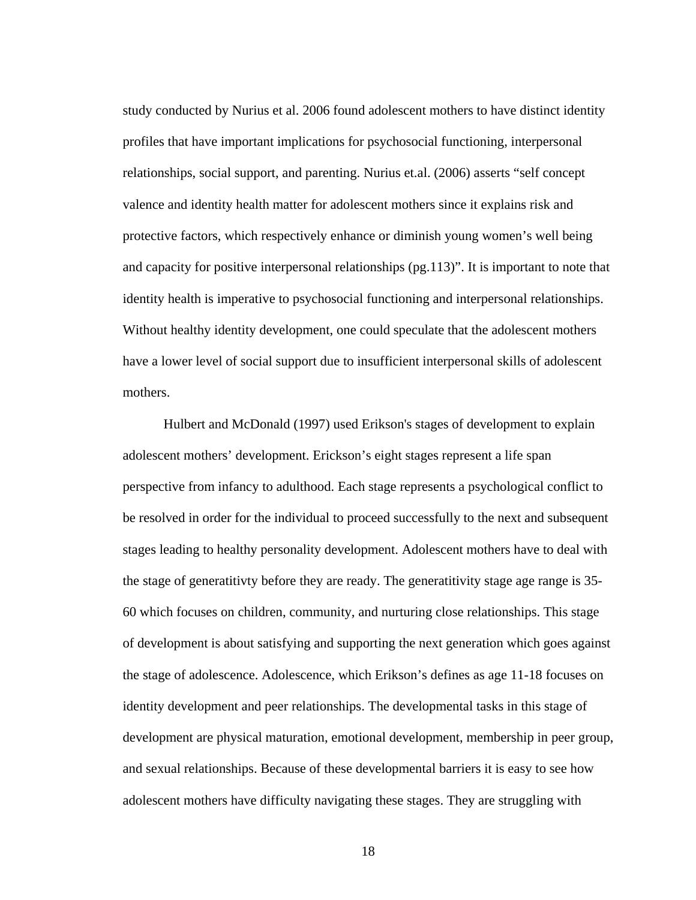study conducted by Nurius et al. 2006 found adolescent mothers to have distinct identity profiles that have important implications for psychosocial functioning, interpersonal relationships, social support, and parenting. Nurius et.al. (2006) asserts "self concept valence and identity health matter for adolescent mothers since it explains risk and protective factors, which respectively enhance or diminish young women's well being and capacity for positive interpersonal relationships (pg.113)". It is important to note that identity health is imperative to psychosocial functioning and interpersonal relationships. Without healthy identity development, one could speculate that the adolescent mothers have a lower level of social support due to insufficient interpersonal skills of adolescent mothers.

 Hulbert and McDonald (1997) used Erikson's stages of development to explain adolescent mothers' development. Erickson's eight stages represent a life span perspective from infancy to adulthood. Each stage represents a psychological conflict to be resolved in order for the individual to proceed successfully to the next and subsequent stages leading to healthy personality development. Adolescent mothers have to deal with the stage of generatitivty before they are ready. The generatitivity stage age range is 35- 60 which focuses on children, community, and nurturing close relationships. This stage of development is about satisfying and supporting the next generation which goes against the stage of adolescence. Adolescence, which Erikson's defines as age 11-18 focuses on identity development and peer relationships. The developmental tasks in this stage of development are physical maturation, emotional development, membership in peer group, and sexual relationships. Because of these developmental barriers it is easy to see how adolescent mothers have difficulty navigating these stages. They are struggling with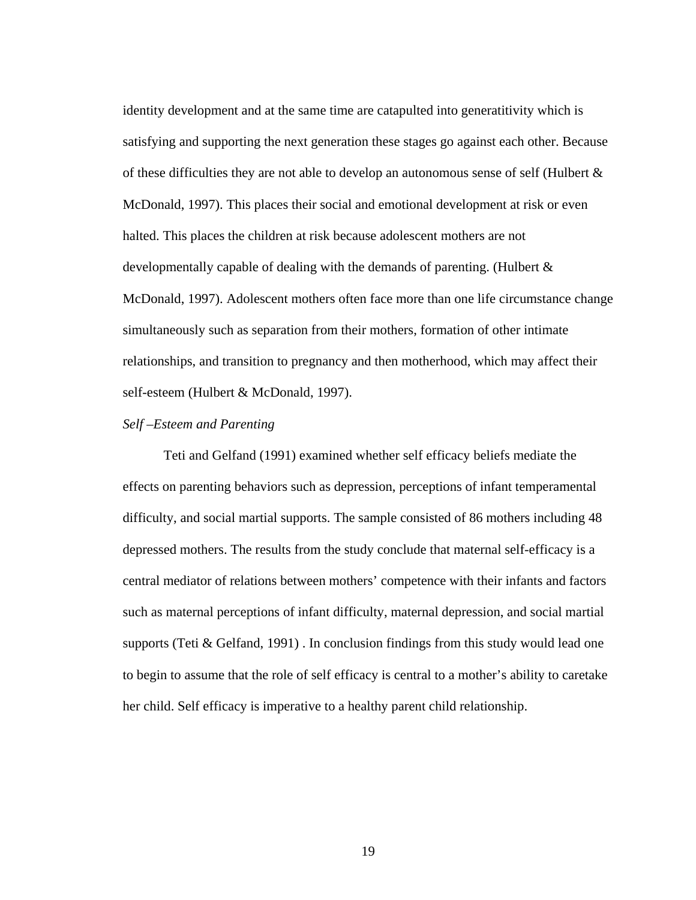identity development and at the same time are catapulted into generatitivity which is satisfying and supporting the next generation these stages go against each other. Because of these difficulties they are not able to develop an autonomous sense of self (Hulbert  $\&$ McDonald, 1997). This places their social and emotional development at risk or even halted. This places the children at risk because adolescent mothers are not developmentally capable of dealing with the demands of parenting. (Hulbert & McDonald, 1997). Adolescent mothers often face more than one life circumstance change simultaneously such as separation from their mothers, formation of other intimate relationships, and transition to pregnancy and then motherhood, which may affect their self-esteem (Hulbert & McDonald, 1997).

#### *Self –Esteem and Parenting*

Teti and Gelfand (1991) examined whether self efficacy beliefs mediate the effects on parenting behaviors such as depression, perceptions of infant temperamental difficulty, and social martial supports. The sample consisted of 86 mothers including 48 depressed mothers. The results from the study conclude that maternal self-efficacy is a central mediator of relations between mothers' competence with their infants and factors such as maternal perceptions of infant difficulty, maternal depression, and social martial supports (Teti & Gelfand, 1991) . In conclusion findings from this study would lead one to begin to assume that the role of self efficacy is central to a mother's ability to caretake her child. Self efficacy is imperative to a healthy parent child relationship.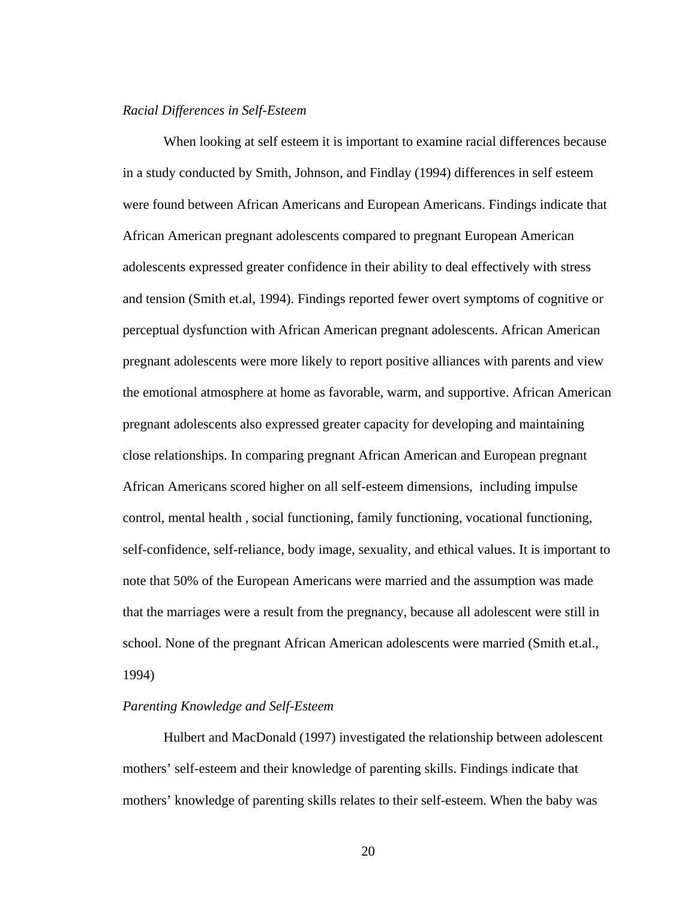#### *Racial Differences in Self-Esteem*

When looking at self esteem it is important to examine racial differences because in a study conducted by Smith, Johnson, and Findlay (1994) differences in self esteem were found between African Americans and European Americans. Findings indicate that African American pregnant adolescents compared to pregnant European American adolescents expressed greater confidence in their ability to deal effectively with stress and tension (Smith et.al, 1994). Findings reported fewer overt symptoms of cognitive or perceptual dysfunction with African American pregnant adolescents. African American pregnant adolescents were more likely to report positive alliances with parents and view the emotional atmosphere at home as favorable, warm, and supportive. African American pregnant adolescents also expressed greater capacity for developing and maintaining close relationships. In comparing pregnant African American and European pregnant African Americans scored higher on all self-esteem dimensions, including impulse control, mental health , social functioning, family functioning, vocational functioning, self-confidence, self-reliance, body image, sexuality, and ethical values. It is important to note that 50% of the European Americans were married and the assumption was made that the marriages were a result from the pregnancy, because all adolescent were still in school. None of the pregnant African American adolescents were married (Smith et.al., 1994)

#### *Parenting Knowledge and Self-Esteem*

 Hulbert and MacDonald (1997) investigated the relationship between adolescent mothers' self-esteem and their knowledge of parenting skills. Findings indicate that mothers' knowledge of parenting skills relates to their self-esteem. When the baby was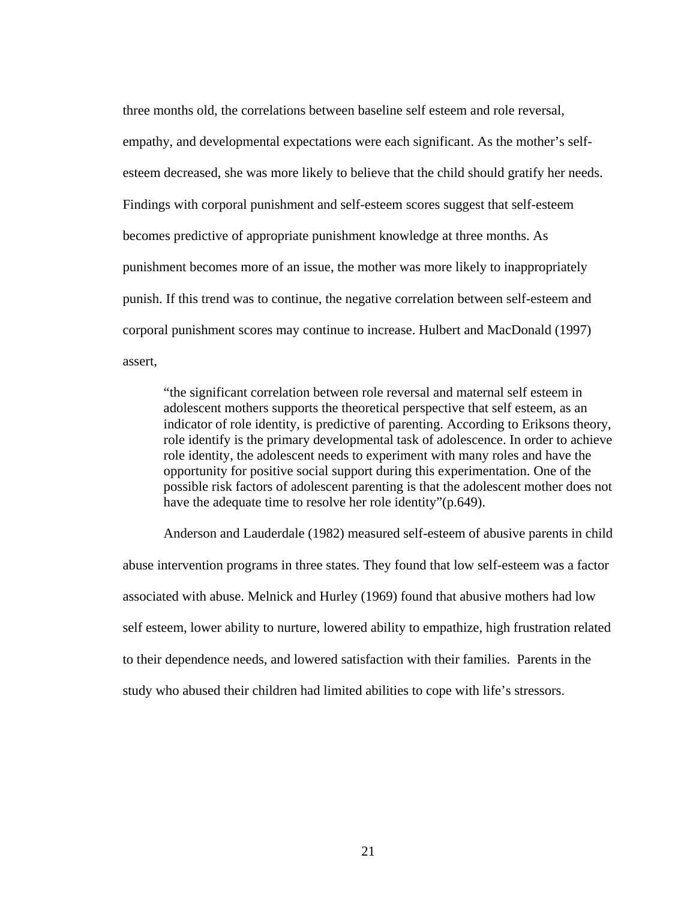three months old, the correlations between baseline self esteem and role reversal, empathy, and developmental expectations were each significant. As the mother's selfesteem decreased, she was more likely to believe that the child should gratify her needs. Findings with corporal punishment and self-esteem scores suggest that self-esteem becomes predictive of appropriate punishment knowledge at three months. As punishment becomes more of an issue, the mother was more likely to inappropriately punish. If this trend was to continue, the negative correlation between self-esteem and corporal punishment scores may continue to increase. Hulbert and MacDonald (1997) assert,

"the significant correlation between role reversal and maternal self esteem in adolescent mothers supports the theoretical perspective that self esteem, as an indicator of role identity, is predictive of parenting. According to Eriksons theory, role identify is the primary developmental task of adolescence. In order to achieve role identity, the adolescent needs to experiment with many roles and have the opportunity for positive social support during this experimentation. One of the possible risk factors of adolescent parenting is that the adolescent mother does not have the adequate time to resolve her role identity"(p.649).

Anderson and Lauderdale (1982) measured self-esteem of abusive parents in child abuse intervention programs in three states. They found that low self-esteem was a factor associated with abuse. Melnick and Hurley (1969) found that abusive mothers had low self esteem, lower ability to nurture, lowered ability to empathize, high frustration related to their dependence needs, and lowered satisfaction with their families. Parents in the study who abused their children had limited abilities to cope with life's stressors.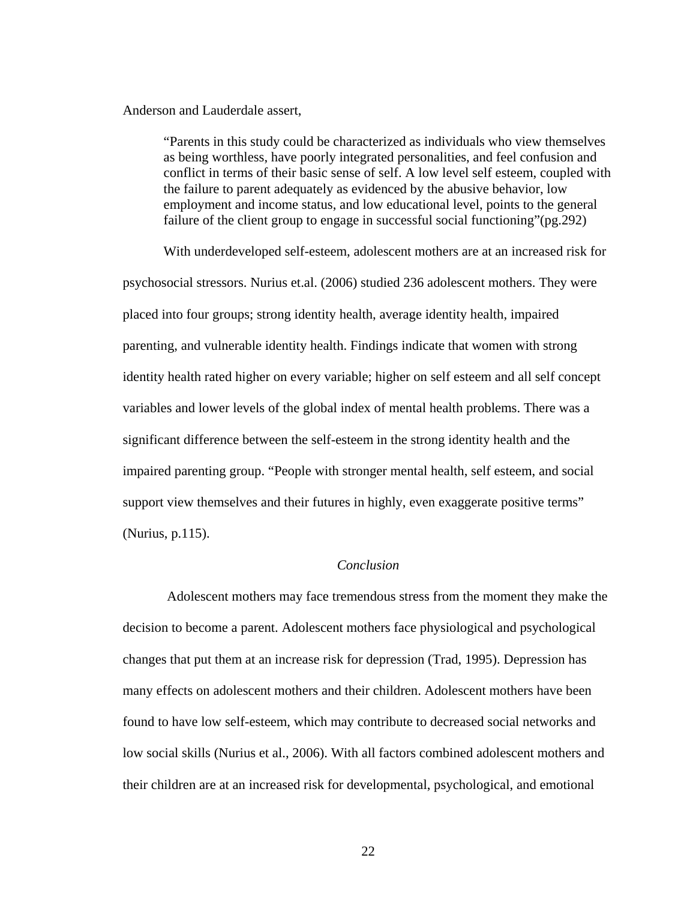Anderson and Lauderdale assert,

"Parents in this study could be characterized as individuals who view themselves as being worthless, have poorly integrated personalities, and feel confusion and conflict in terms of their basic sense of self. A low level self esteem, coupled with the failure to parent adequately as evidenced by the abusive behavior, low employment and income status, and low educational level, points to the general failure of the client group to engage in successful social functioning"(pg.292)

With underdeveloped self-esteem, adolescent mothers are at an increased risk for psychosocial stressors. Nurius et.al. (2006) studied 236 adolescent mothers. They were placed into four groups; strong identity health, average identity health, impaired parenting, and vulnerable identity health. Findings indicate that women with strong identity health rated higher on every variable; higher on self esteem and all self concept variables and lower levels of the global index of mental health problems. There was a significant difference between the self-esteem in the strong identity health and the impaired parenting group. "People with stronger mental health, self esteem, and social support view themselves and their futures in highly, even exaggerate positive terms" (Nurius, p.115).

#### *Conclusion*

 Adolescent mothers may face tremendous stress from the moment they make the decision to become a parent. Adolescent mothers face physiological and psychological changes that put them at an increase risk for depression (Trad, 1995). Depression has many effects on adolescent mothers and their children. Adolescent mothers have been found to have low self-esteem, which may contribute to decreased social networks and low social skills (Nurius et al., 2006). With all factors combined adolescent mothers and their children are at an increased risk for developmental, psychological, and emotional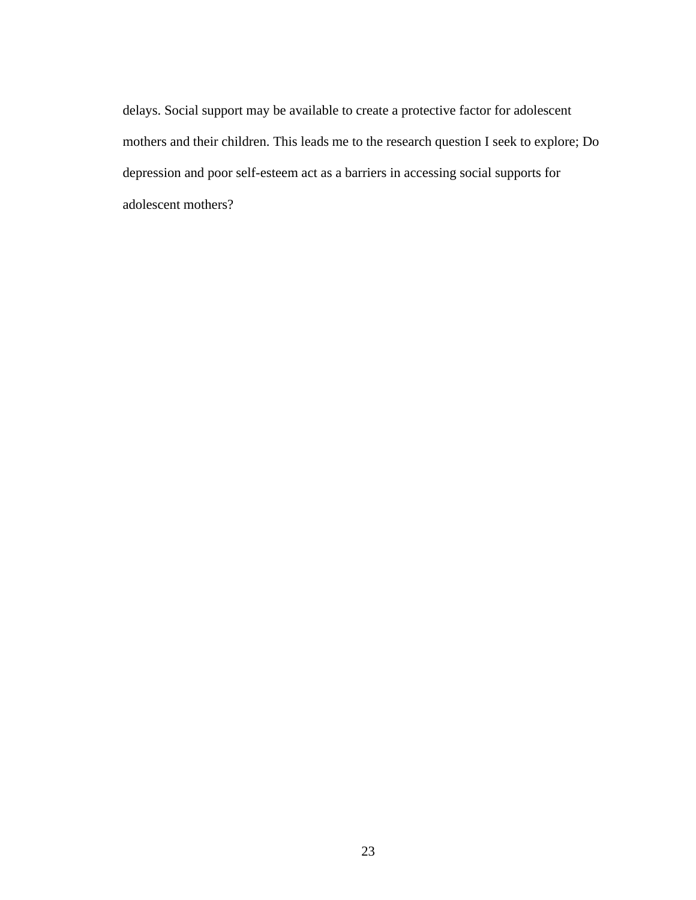delays. Social support may be available to create a protective factor for adolescent mothers and their children. This leads me to the research question I seek to explore; Do depression and poor self-esteem act as a barriers in accessing social supports for adolescent mothers?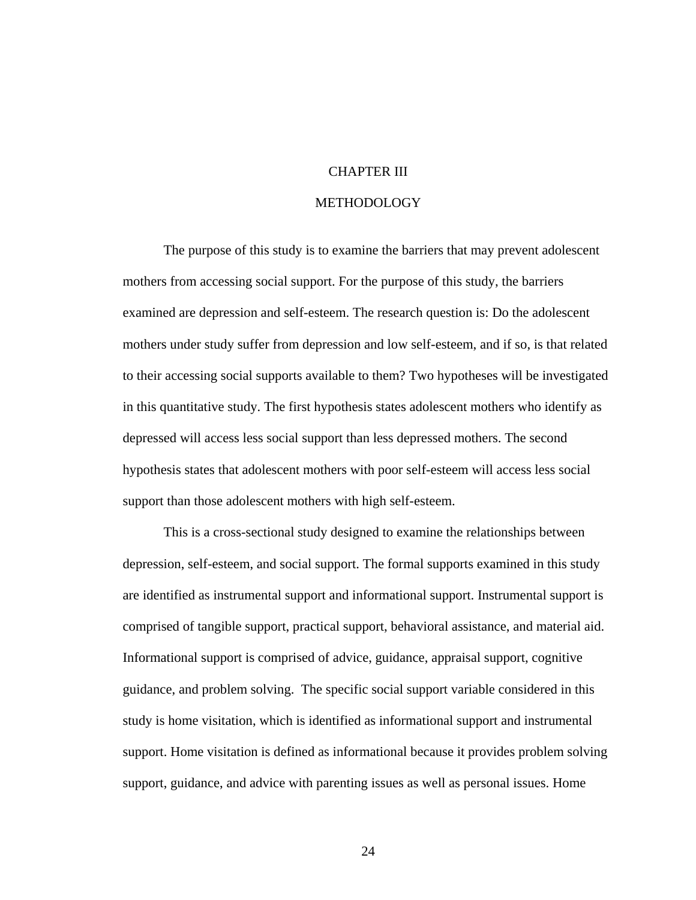#### CHAPTER III

#### METHODOLOGY

The purpose of this study is to examine the barriers that may prevent adolescent mothers from accessing social support. For the purpose of this study, the barriers examined are depression and self-esteem. The research question is: Do the adolescent mothers under study suffer from depression and low self-esteem, and if so, is that related to their accessing social supports available to them? Two hypotheses will be investigated in this quantitative study. The first hypothesis states adolescent mothers who identify as depressed will access less social support than less depressed mothers. The second hypothesis states that adolescent mothers with poor self-esteem will access less social support than those adolescent mothers with high self-esteem.

This is a cross-sectional study designed to examine the relationships between depression, self-esteem, and social support. The formal supports examined in this study are identified as instrumental support and informational support. Instrumental support is comprised of tangible support, practical support, behavioral assistance, and material aid. Informational support is comprised of advice, guidance, appraisal support, cognitive guidance, and problem solving. The specific social support variable considered in this study is home visitation, which is identified as informational support and instrumental support. Home visitation is defined as informational because it provides problem solving support, guidance, and advice with parenting issues as well as personal issues. Home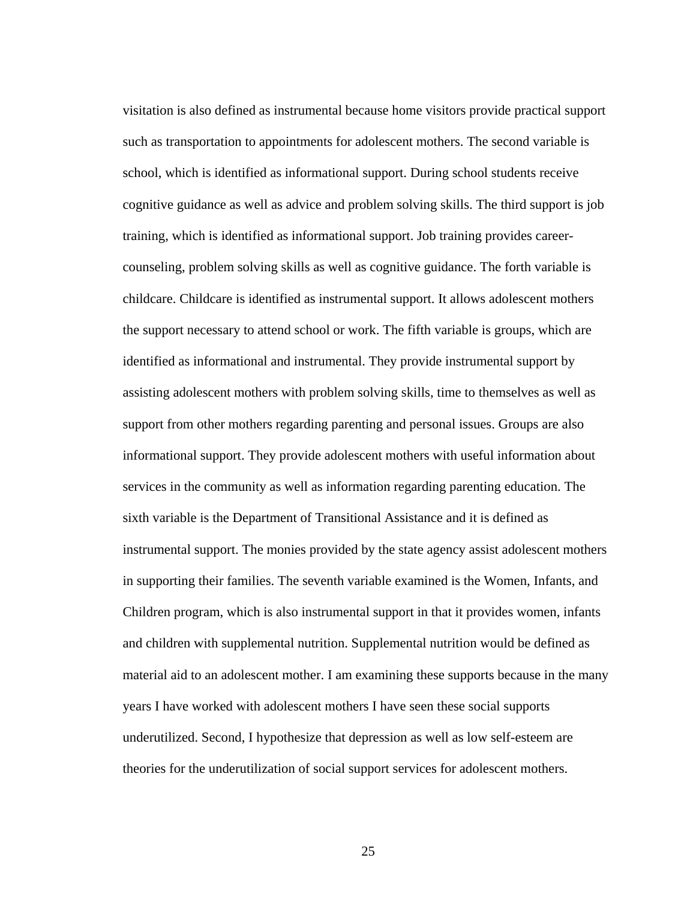visitation is also defined as instrumental because home visitors provide practical support such as transportation to appointments for adolescent mothers. The second variable is school, which is identified as informational support. During school students receive cognitive guidance as well as advice and problem solving skills. The third support is job training, which is identified as informational support. Job training provides careercounseling, problem solving skills as well as cognitive guidance. The forth variable is childcare. Childcare is identified as instrumental support. It allows adolescent mothers the support necessary to attend school or work. The fifth variable is groups, which are identified as informational and instrumental. They provide instrumental support by assisting adolescent mothers with problem solving skills, time to themselves as well as support from other mothers regarding parenting and personal issues. Groups are also informational support. They provide adolescent mothers with useful information about services in the community as well as information regarding parenting education. The sixth variable is the Department of Transitional Assistance and it is defined as instrumental support. The monies provided by the state agency assist adolescent mothers in supporting their families. The seventh variable examined is the Women, Infants, and Children program, which is also instrumental support in that it provides women, infants and children with supplemental nutrition. Supplemental nutrition would be defined as material aid to an adolescent mother. I am examining these supports because in the many years I have worked with adolescent mothers I have seen these social supports underutilized. Second, I hypothesize that depression as well as low self-esteem are theories for the underutilization of social support services for adolescent mothers.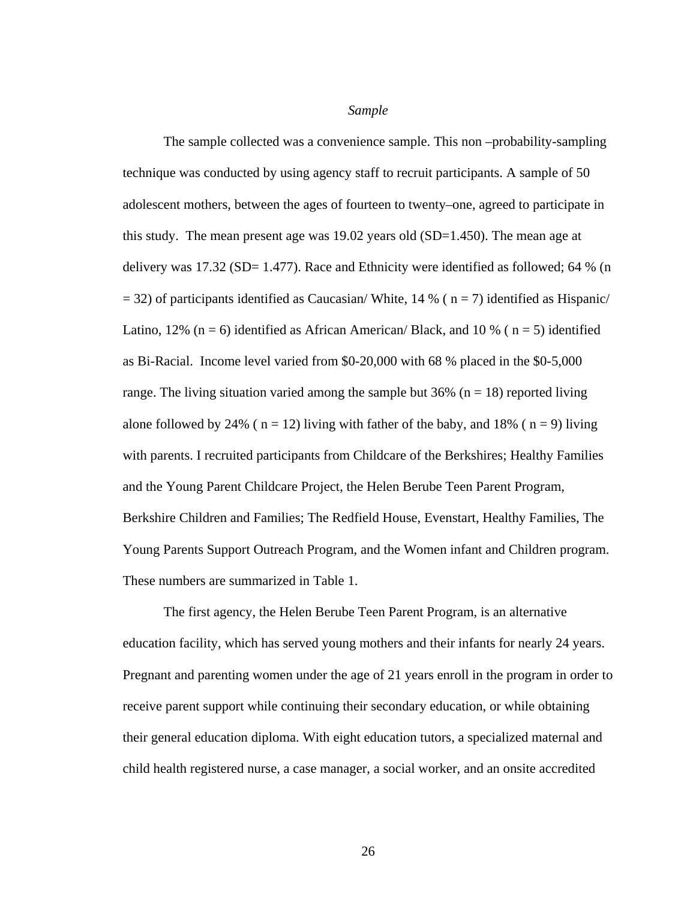*Sample* 

The sample collected was a convenience sample. This non –probability-sampling technique was conducted by using agency staff to recruit participants. A sample of 50 adolescent mothers, between the ages of fourteen to twenty–one, agreed to participate in this study. The mean present age was 19.02 years old (SD=1.450). The mean age at delivery was  $17.32$  (SD= 1.477). Race and Ethnicity were identified as followed; 64 % (n  $=$  32) of participants identified as Caucasian/White, 14 % ( $n = 7$ ) identified as Hispanic/ Latino, 12% ( $n = 6$ ) identified as African American/ Black, and 10 % ( $n = 5$ ) identified as Bi-Racial. Income level varied from \$0-20,000 with 68 % placed in the \$0-5,000 range. The living situation varied among the sample but 36% ( $n = 18$ ) reported living alone followed by 24% ( $n = 12$ ) living with father of the baby, and 18% ( $n = 9$ ) living with parents. I recruited participants from Childcare of the Berkshires; Healthy Families and the Young Parent Childcare Project, the Helen Berube Teen Parent Program, Berkshire Children and Families; The Redfield House, Evenstart, Healthy Families, The Young Parents Support Outreach Program, and the Women infant and Children program. These numbers are summarized in Table 1.

The first agency, the Helen Berube Teen Parent Program, is an alternative education facility, which has served young mothers and their infants for nearly 24 years. Pregnant and parenting women under the age of 21 years enroll in the program in order to receive parent support while continuing their secondary education, or while obtaining their general education diploma. With eight education tutors, a specialized maternal and child health registered nurse, a case manager, a social worker, and an onsite accredited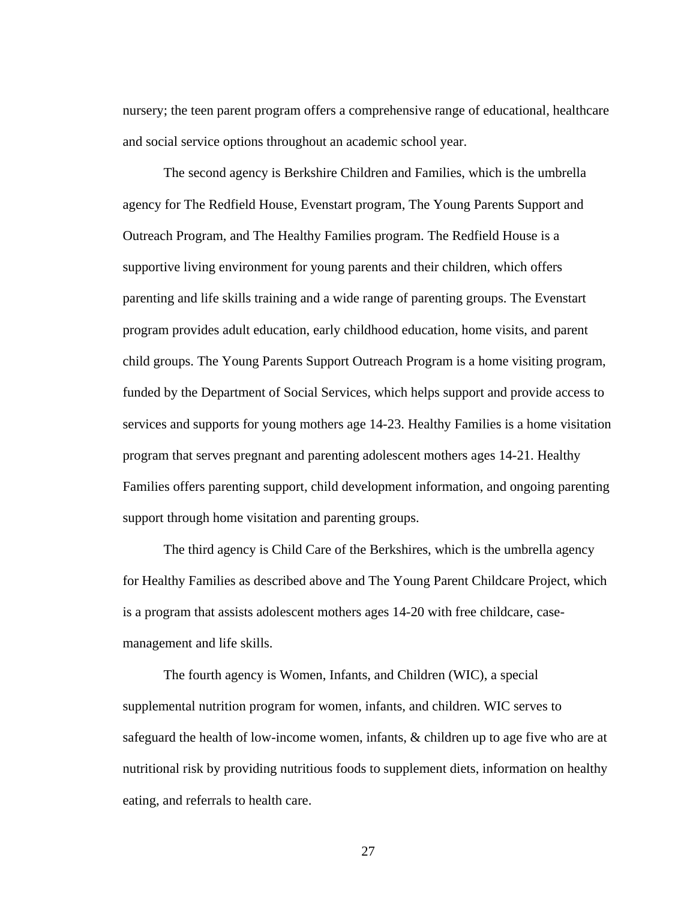nursery; the teen parent program offers a comprehensive range of educational, healthcare and social service options throughout an academic school year.

The second agency is Berkshire Children and Families, which is the umbrella agency for The Redfield House, Evenstart program, The Young Parents Support and Outreach Program, and The Healthy Families program. The Redfield House is a supportive living environment for young parents and their children, which offers parenting and life skills training and a wide range of parenting groups. The Evenstart program provides adult education, early childhood education, home visits, and parent child groups. The Young Parents Support Outreach Program is a home visiting program, funded by the Department of Social Services, which helps support and provide access to services and supports for young mothers age 14-23. Healthy Families is a home visitation program that serves pregnant and parenting adolescent mothers ages 14-21. Healthy Families offers parenting support, child development information, and ongoing parenting support through home visitation and parenting groups.

The third agency is Child Care of the Berkshires, which is the umbrella agency for Healthy Families as described above and The Young Parent Childcare Project, which is a program that assists adolescent mothers ages 14-20 with free childcare, casemanagement and life skills.

The fourth agency is Women, Infants, and Children (WIC), a special supplemental nutrition program for women, infants, and children. WIC serves to safeguard the health of low-income women, infants, & children up to age five who are at nutritional risk by providing nutritious foods to supplement diets, information on healthy eating, and referrals to health care.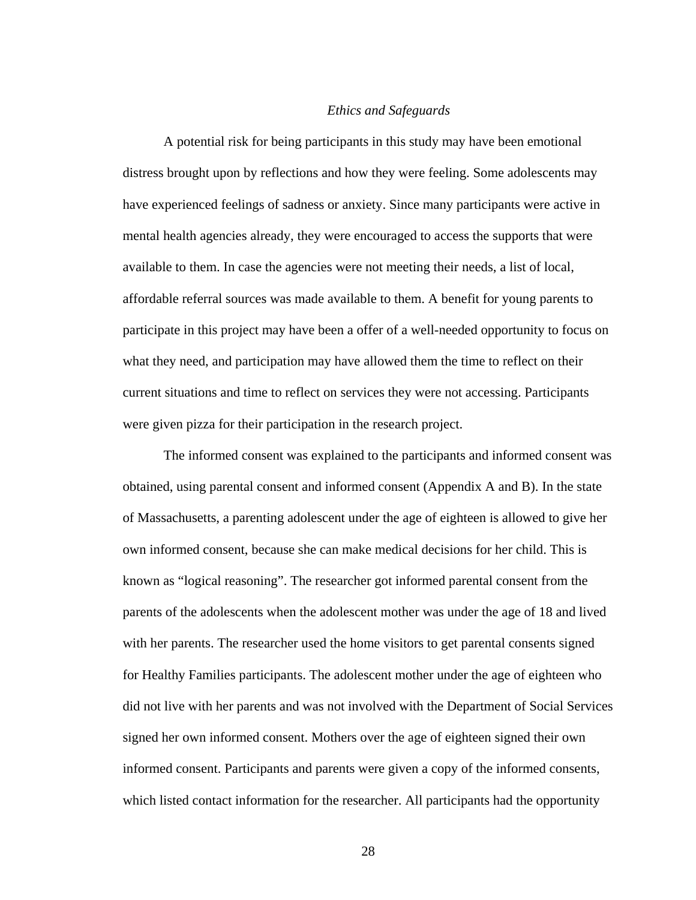#### *Ethics and Safeguards*

A potential risk for being participants in this study may have been emotional distress brought upon by reflections and how they were feeling. Some adolescents may have experienced feelings of sadness or anxiety. Since many participants were active in mental health agencies already, they were encouraged to access the supports that were available to them. In case the agencies were not meeting their needs, a list of local, affordable referral sources was made available to them. A benefit for young parents to participate in this project may have been a offer of a well-needed opportunity to focus on what they need, and participation may have allowed them the time to reflect on their current situations and time to reflect on services they were not accessing. Participants were given pizza for their participation in the research project.

The informed consent was explained to the participants and informed consent was obtained, using parental consent and informed consent (Appendix A and B). In the state of Massachusetts, a parenting adolescent under the age of eighteen is allowed to give her own informed consent, because she can make medical decisions for her child. This is known as "logical reasoning". The researcher got informed parental consent from the parents of the adolescents when the adolescent mother was under the age of 18 and lived with her parents. The researcher used the home visitors to get parental consents signed for Healthy Families participants. The adolescent mother under the age of eighteen who did not live with her parents and was not involved with the Department of Social Services signed her own informed consent. Mothers over the age of eighteen signed their own informed consent. Participants and parents were given a copy of the informed consents, which listed contact information for the researcher. All participants had the opportunity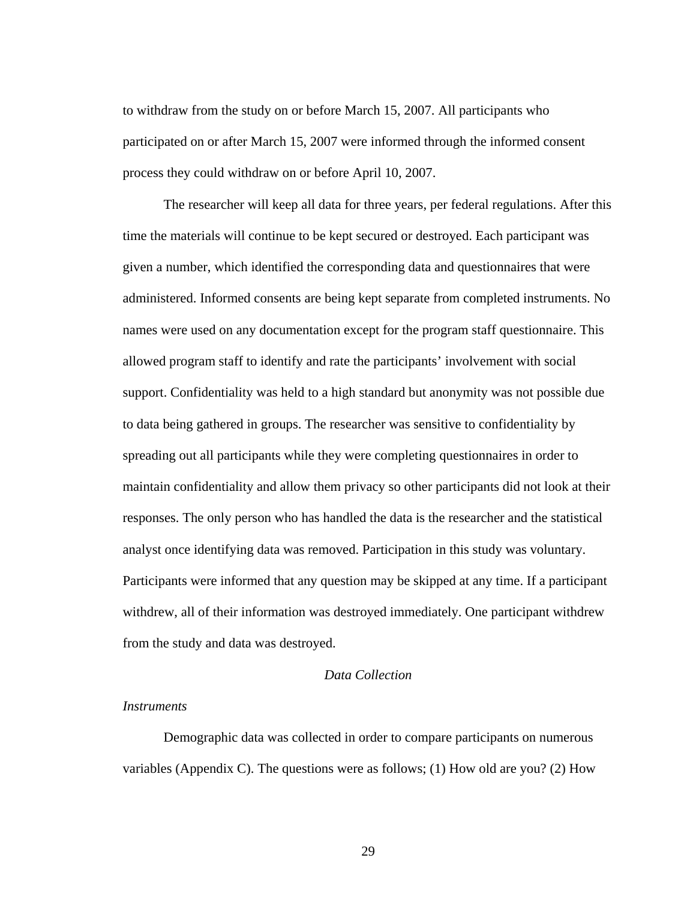to withdraw from the study on or before March 15, 2007. All participants who participated on or after March 15, 2007 were informed through the informed consent process they could withdraw on or before April 10, 2007.

The researcher will keep all data for three years, per federal regulations. After this time the materials will continue to be kept secured or destroyed. Each participant was given a number, which identified the corresponding data and questionnaires that were administered. Informed consents are being kept separate from completed instruments. No names were used on any documentation except for the program staff questionnaire. This allowed program staff to identify and rate the participants' involvement with social support. Confidentiality was held to a high standard but anonymity was not possible due to data being gathered in groups. The researcher was sensitive to confidentiality by spreading out all participants while they were completing questionnaires in order to maintain confidentiality and allow them privacy so other participants did not look at their responses. The only person who has handled the data is the researcher and the statistical analyst once identifying data was removed. Participation in this study was voluntary. Participants were informed that any question may be skipped at any time. If a participant withdrew, all of their information was destroyed immediately. One participant withdrew from the study and data was destroyed.

### *Data Collection*

#### *Instruments*

Demographic data was collected in order to compare participants on numerous variables (Appendix C). The questions were as follows; (1) How old are you? (2) How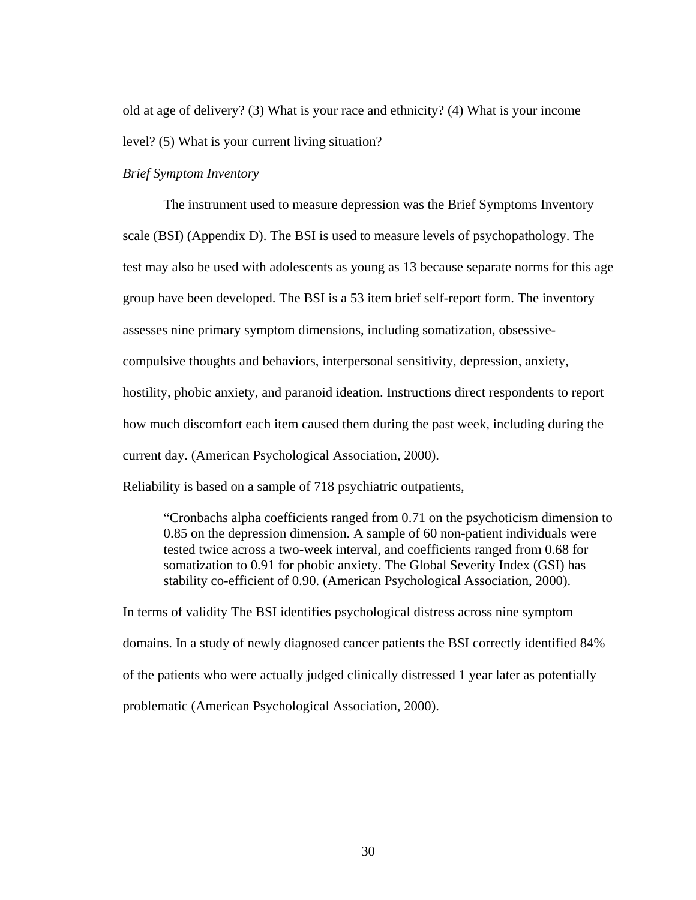old at age of delivery? (3) What is your race and ethnicity? (4) What is your income level? (5) What is your current living situation?

### *Brief Symptom Inventory*

The instrument used to measure depression was the Brief Symptoms Inventory scale (BSI) (Appendix D). The BSI is used to measure levels of psychopathology. The test may also be used with adolescents as young as 13 because separate norms for this age group have been developed. The BSI is a 53 item brief self-report form. The inventory assesses nine primary symptom dimensions, including somatization, obsessivecompulsive thoughts and behaviors, interpersonal sensitivity, depression, anxiety, hostility, phobic anxiety, and paranoid ideation. Instructions direct respondents to report how much discomfort each item caused them during the past week, including during the current day. (American Psychological Association, 2000).

Reliability is based on a sample of 718 psychiatric outpatients,

"Cronbachs alpha coefficients ranged from 0.71 on the psychoticism dimension to 0.85 on the depression dimension. A sample of 60 non-patient individuals were tested twice across a two-week interval, and coefficients ranged from 0.68 for somatization to 0.91 for phobic anxiety. The Global Severity Index (GSI) has stability co-efficient of 0.90. (American Psychological Association, 2000).

In terms of validity The BSI identifies psychological distress across nine symptom domains. In a study of newly diagnosed cancer patients the BSI correctly identified 84% of the patients who were actually judged clinically distressed 1 year later as potentially problematic (American Psychological Association, 2000).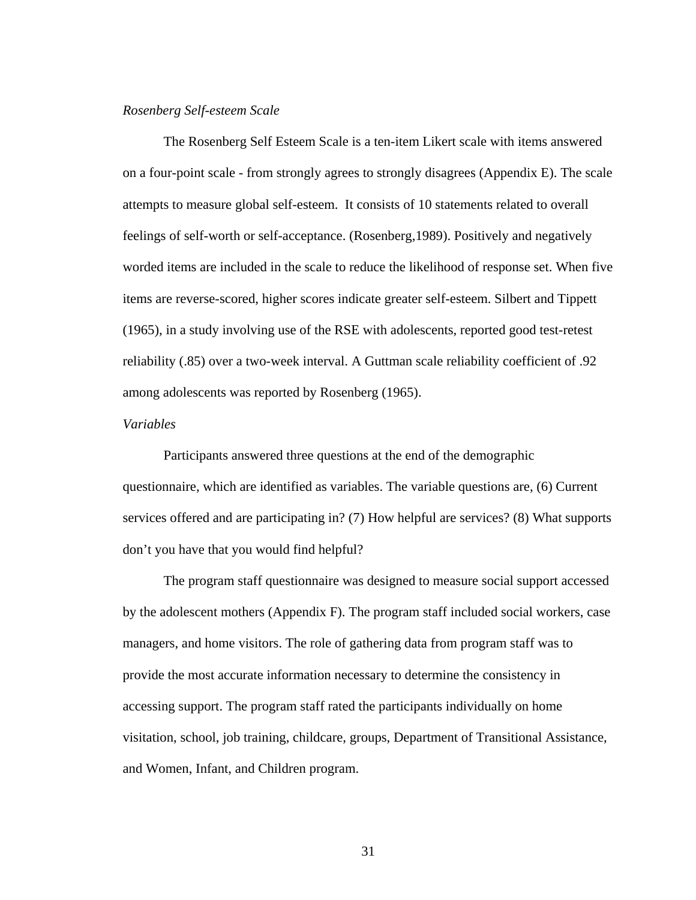### *Rosenberg Self-esteem Scale*

The Rosenberg Self Esteem Scale is a ten-item Likert scale with items answered on a four-point scale - from strongly agrees to strongly disagrees (Appendix E). The scale attempts to measure global self-esteem. It consists of 10 statements related to overall feelings of self-worth or self-acceptance. (Rosenberg,1989). Positively and negatively worded items are included in the scale to reduce the likelihood of response set. When five items are reverse-scored, higher scores indicate greater self-esteem. Silbert and Tippett (1965), in a study involving use of the RSE with adolescents, reported good test-retest reliability (.85) over a two-week interval. A Guttman scale reliability coefficient of .92 among adolescents was reported by Rosenberg (1965).

### *Variables*

Participants answered three questions at the end of the demographic questionnaire, which are identified as variables. The variable questions are, (6) Current services offered and are participating in? (7) How helpful are services? (8) What supports don't you have that you would find helpful?

 The program staff questionnaire was designed to measure social support accessed by the adolescent mothers (Appendix F). The program staff included social workers, case managers, and home visitors. The role of gathering data from program staff was to provide the most accurate information necessary to determine the consistency in accessing support. The program staff rated the participants individually on home visitation, school, job training, childcare, groups, Department of Transitional Assistance, and Women, Infant, and Children program.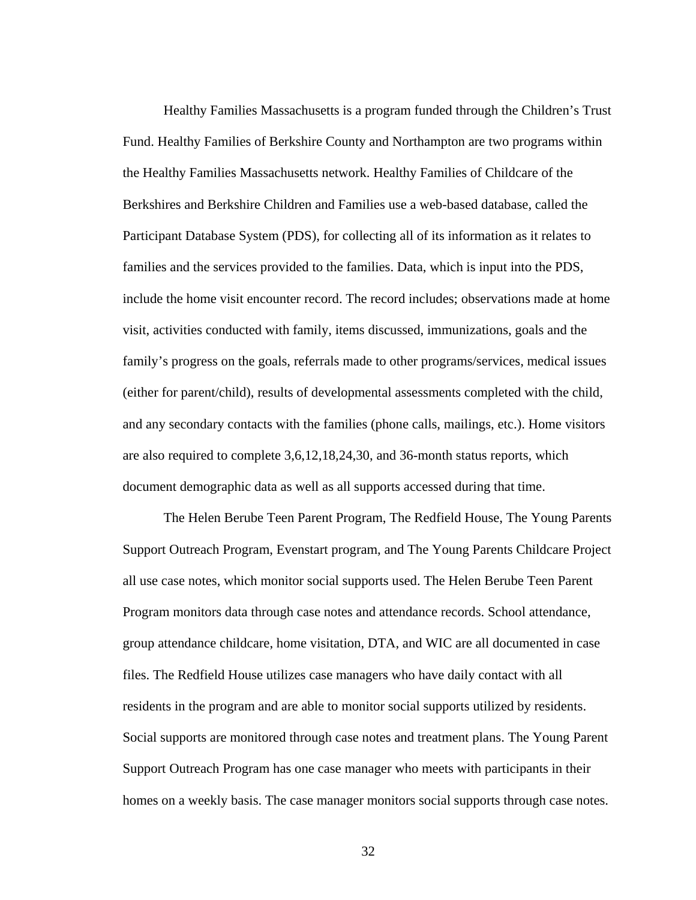Healthy Families Massachusetts is a program funded through the Children's Trust Fund. Healthy Families of Berkshire County and Northampton are two programs within the Healthy Families Massachusetts network. Healthy Families of Childcare of the Berkshires and Berkshire Children and Families use a web-based database, called the Participant Database System (PDS), for collecting all of its information as it relates to families and the services provided to the families. Data, which is input into the PDS, include the home visit encounter record. The record includes; observations made at home visit, activities conducted with family, items discussed, immunizations, goals and the family's progress on the goals, referrals made to other programs/services, medical issues (either for parent/child), results of developmental assessments completed with the child, and any secondary contacts with the families (phone calls, mailings, etc.). Home visitors are also required to complete 3,6,12,18,24,30, and 36-month status reports, which document demographic data as well as all supports accessed during that time.

The Helen Berube Teen Parent Program, The Redfield House, The Young Parents Support Outreach Program, Evenstart program, and The Young Parents Childcare Project all use case notes, which monitor social supports used. The Helen Berube Teen Parent Program monitors data through case notes and attendance records. School attendance, group attendance childcare, home visitation, DTA, and WIC are all documented in case files. The Redfield House utilizes case managers who have daily contact with all residents in the program and are able to monitor social supports utilized by residents. Social supports are monitored through case notes and treatment plans. The Young Parent Support Outreach Program has one case manager who meets with participants in their homes on a weekly basis. The case manager monitors social supports through case notes.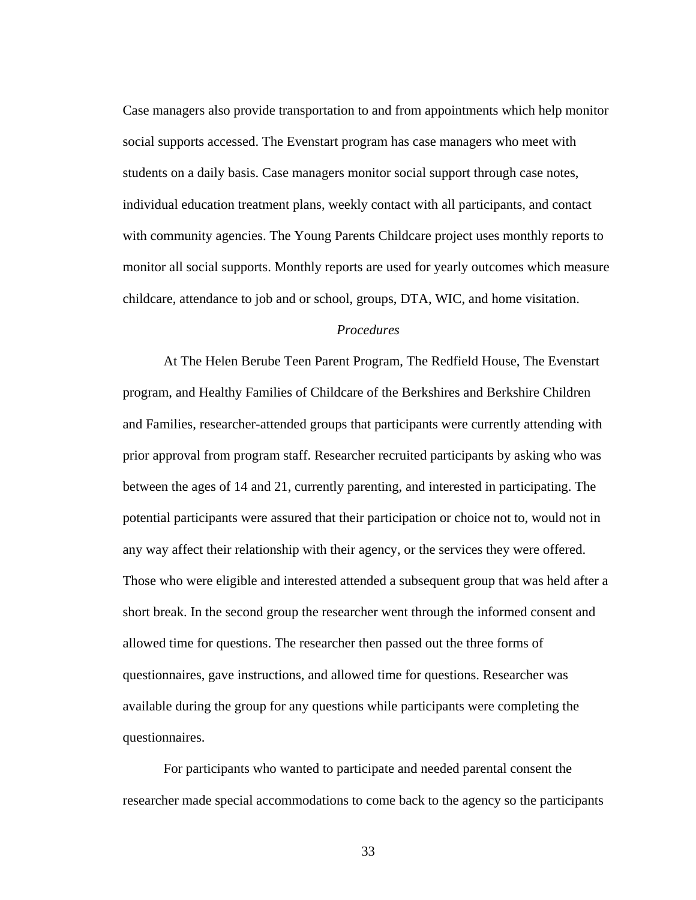Case managers also provide transportation to and from appointments which help monitor social supports accessed. The Evenstart program has case managers who meet with students on a daily basis. Case managers monitor social support through case notes, individual education treatment plans, weekly contact with all participants, and contact with community agencies. The Young Parents Childcare project uses monthly reports to monitor all social supports. Monthly reports are used for yearly outcomes which measure childcare, attendance to job and or school, groups, DTA, WIC, and home visitation.

### *Procedures*

At The Helen Berube Teen Parent Program, The Redfield House, The Evenstart program, and Healthy Families of Childcare of the Berkshires and Berkshire Children and Families, researcher-attended groups that participants were currently attending with prior approval from program staff. Researcher recruited participants by asking who was between the ages of 14 and 21, currently parenting, and interested in participating. The potential participants were assured that their participation or choice not to, would not in any way affect their relationship with their agency, or the services they were offered. Those who were eligible and interested attended a subsequent group that was held after a short break. In the second group the researcher went through the informed consent and allowed time for questions. The researcher then passed out the three forms of questionnaires, gave instructions, and allowed time for questions. Researcher was available during the group for any questions while participants were completing the questionnaires.

For participants who wanted to participate and needed parental consent the researcher made special accommodations to come back to the agency so the participants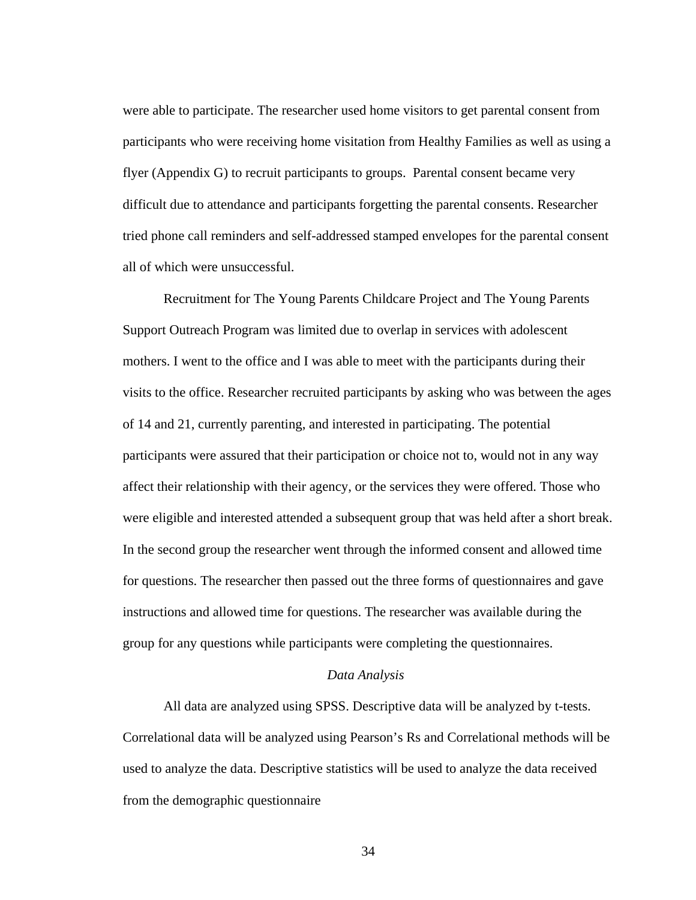were able to participate. The researcher used home visitors to get parental consent from participants who were receiving home visitation from Healthy Families as well as using a flyer (Appendix G) to recruit participants to groups. Parental consent became very difficult due to attendance and participants forgetting the parental consents. Researcher tried phone call reminders and self-addressed stamped envelopes for the parental consent all of which were unsuccessful.

Recruitment for The Young Parents Childcare Project and The Young Parents Support Outreach Program was limited due to overlap in services with adolescent mothers. I went to the office and I was able to meet with the participants during their visits to the office. Researcher recruited participants by asking who was between the ages of 14 and 21, currently parenting, and interested in participating. The potential participants were assured that their participation or choice not to, would not in any way affect their relationship with their agency, or the services they were offered. Those who were eligible and interested attended a subsequent group that was held after a short break. In the second group the researcher went through the informed consent and allowed time for questions. The researcher then passed out the three forms of questionnaires and gave instructions and allowed time for questions. The researcher was available during the group for any questions while participants were completing the questionnaires.

### *Data Analysis*

All data are analyzed using SPSS. Descriptive data will be analyzed by t-tests. Correlational data will be analyzed using Pearson's Rs and Correlational methods will be used to analyze the data. Descriptive statistics will be used to analyze the data received from the demographic questionnaire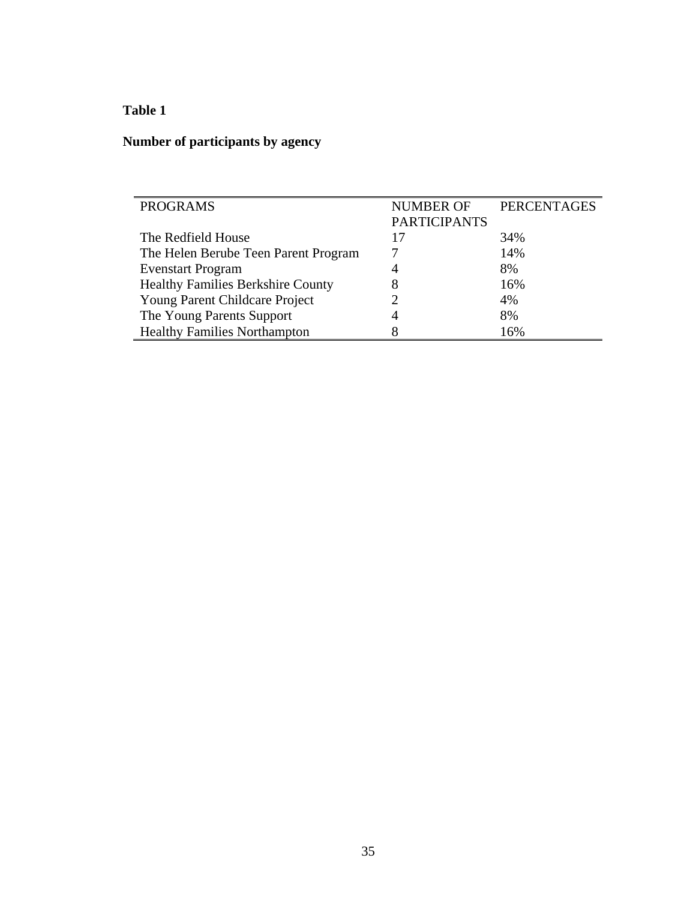# **Table 1**

# **Number of participants by agency**

| <b>PROGRAMS</b>                          | <b>NUMBER OF</b>    | <b>PERCENTAGES</b> |
|------------------------------------------|---------------------|--------------------|
|                                          | <b>PARTICIPANTS</b> |                    |
| The Redfield House                       | 17                  | 34%                |
| The Helen Berube Teen Parent Program     |                     | 14%                |
| <b>Evenstart Program</b>                 | 4                   | 8%                 |
| <b>Healthy Families Berkshire County</b> | 8                   | 16%                |
| Young Parent Childcare Project           |                     | 4%                 |
| The Young Parents Support                | 4                   | 8%                 |
| <b>Healthy Families Northampton</b>      | 8                   | 16%                |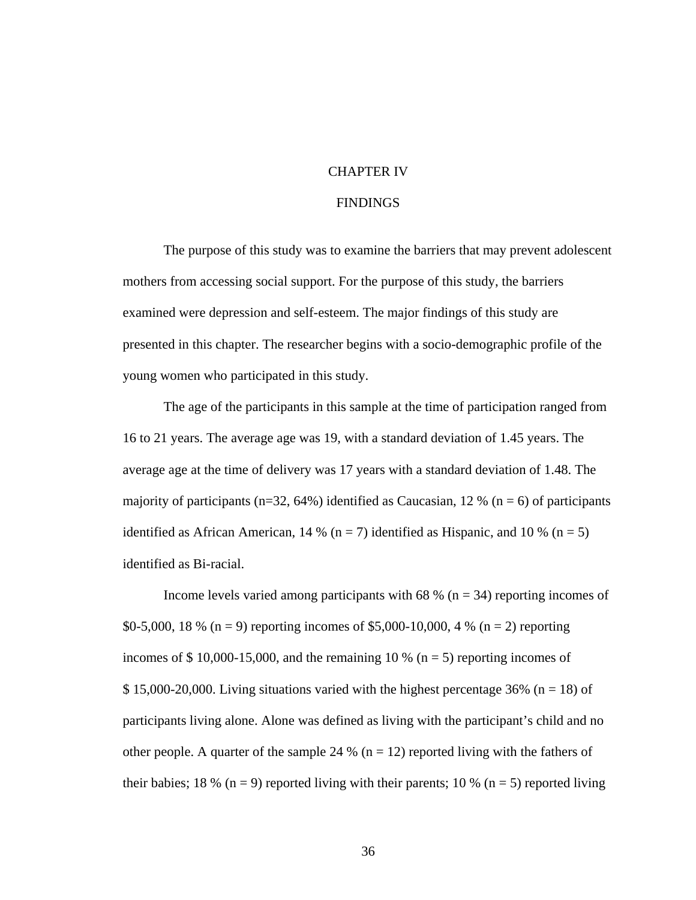### CHAPTER IV

### FINDINGS

 The purpose of this study was to examine the barriers that may prevent adolescent mothers from accessing social support. For the purpose of this study, the barriers examined were depression and self-esteem. The major findings of this study are presented in this chapter. The researcher begins with a socio-demographic profile of the young women who participated in this study.

 The age of the participants in this sample at the time of participation ranged from 16 to 21 years. The average age was 19, with a standard deviation of 1.45 years. The average age at the time of delivery was 17 years with a standard deviation of 1.48. The majority of participants (n=32, 64%) identified as Caucasian, 12 % (n = 6) of participants identified as African American, 14 % ( $n = 7$ ) identified as Hispanic, and 10 % ( $n = 5$ ) identified as Bi-racial.

Income levels varied among participants with 68 % ( $n = 34$ ) reporting incomes of \$0-5,000, 18 % (n = 9) reporting incomes of \$5,000-10,000, 4 % (n = 2) reporting incomes of  $$ 10,000-15,000$ , and the remaining 10 % (n = 5) reporting incomes of  $$ 15,000-20,000$ . Living situations varied with the highest percentage 36% (n = 18) of participants living alone. Alone was defined as living with the participant's child and no other people. A quarter of the sample 24 % ( $n = 12$ ) reported living with the fathers of their babies; 18 % (n = 9) reported living with their parents; 10 % (n = 5) reported living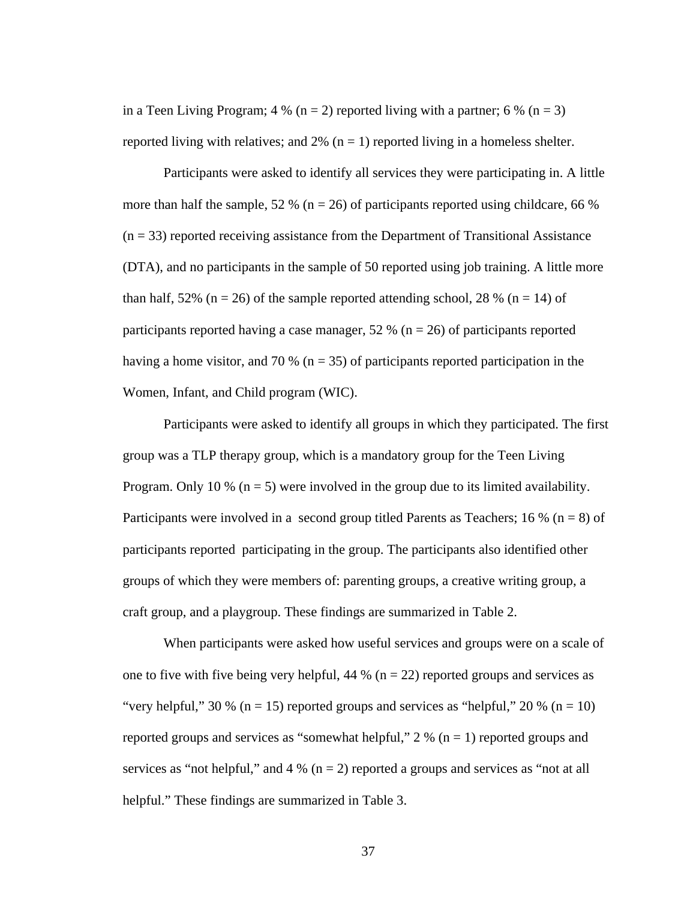in a Teen Living Program; 4 % (n = 2) reported living with a partner; 6 % (n = 3) reported living with relatives; and  $2\%$  (n = 1) reported living in a homeless shelter.

 Participants were asked to identify all services they were participating in. A little more than half the sample, 52 % ( $n = 26$ ) of participants reported using childcare, 66 %  $(n = 33)$  reported receiving assistance from the Department of Transitional Assistance (DTA), and no participants in the sample of 50 reported using job training. A little more than half, 52% ( $n = 26$ ) of the sample reported attending school, 28 % ( $n = 14$ ) of participants reported having a case manager, 52 % ( $n = 26$ ) of participants reported having a home visitor, and 70 % ( $n = 35$ ) of participants reported participation in the Women, Infant, and Child program (WIC).

 Participants were asked to identify all groups in which they participated. The first group was a TLP therapy group, which is a mandatory group for the Teen Living Program. Only 10 % ( $n = 5$ ) were involved in the group due to its limited availability. Participants were involved in a second group titled Parents as Teachers; 16 % ( $n = 8$ ) of participants reported participating in the group. The participants also identified other groups of which they were members of: parenting groups, a creative writing group, a craft group, and a playgroup. These findings are summarized in Table 2.

When participants were asked how useful services and groups were on a scale of one to five with five being very helpful,  $44\%$  (n = 22) reported groups and services as "very helpful," 30 % ( $n = 15$ ) reported groups and services as "helpful," 20 % ( $n = 10$ ) reported groups and services as "somewhat helpful,"  $2\%$  (n = 1) reported groups and services as "not helpful," and  $4\%$  (n = 2) reported a groups and services as "not at all helpful." These findings are summarized in Table 3.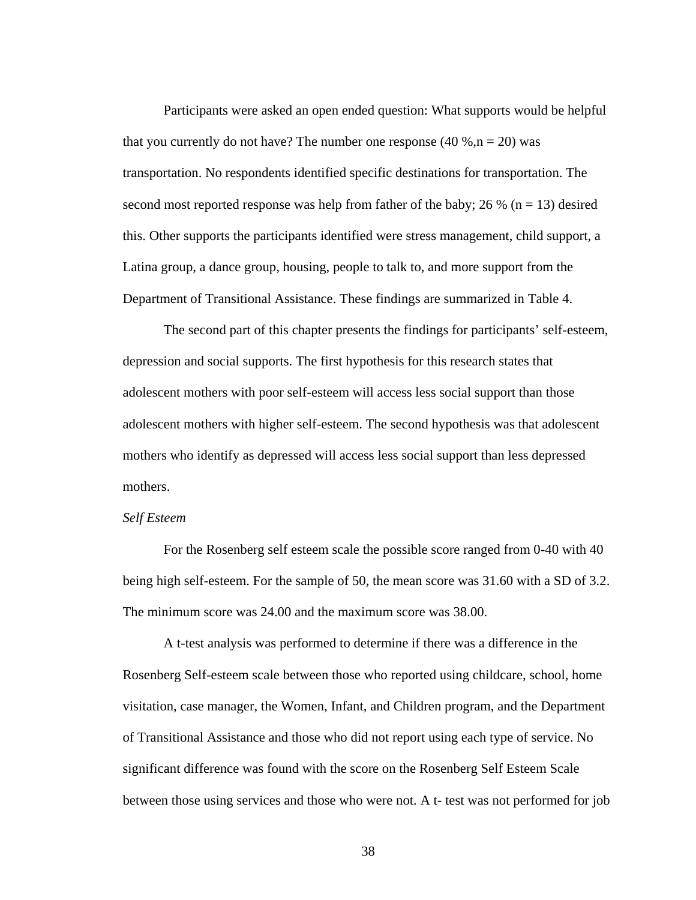Participants were asked an open ended question: What supports would be helpful that you currently do not have? The number one response  $(40\%, n = 20)$  was transportation. No respondents identified specific destinations for transportation. The second most reported response was help from father of the baby; 26 % ( $n = 13$ ) desired this. Other supports the participants identified were stress management, child support, a Latina group, a dance group, housing, people to talk to, and more support from the Department of Transitional Assistance. These findings are summarized in Table 4.

The second part of this chapter presents the findings for participants' self-esteem, depression and social supports. The first hypothesis for this research states that adolescent mothers with poor self-esteem will access less social support than those adolescent mothers with higher self-esteem. The second hypothesis was that adolescent mothers who identify as depressed will access less social support than less depressed mothers.

### *Self Esteem*

For the Rosenberg self esteem scale the possible score ranged from 0-40 with 40 being high self-esteem. For the sample of 50, the mean score was 31.60 with a SD of 3.2. The minimum score was 24.00 and the maximum score was 38.00.

A t-test analysis was performed to determine if there was a difference in the Rosenberg Self-esteem scale between those who reported using childcare, school, home visitation, case manager, the Women, Infant, and Children program, and the Department of Transitional Assistance and those who did not report using each type of service. No significant difference was found with the score on the Rosenberg Self Esteem Scale between those using services and those who were not. A t- test was not performed for job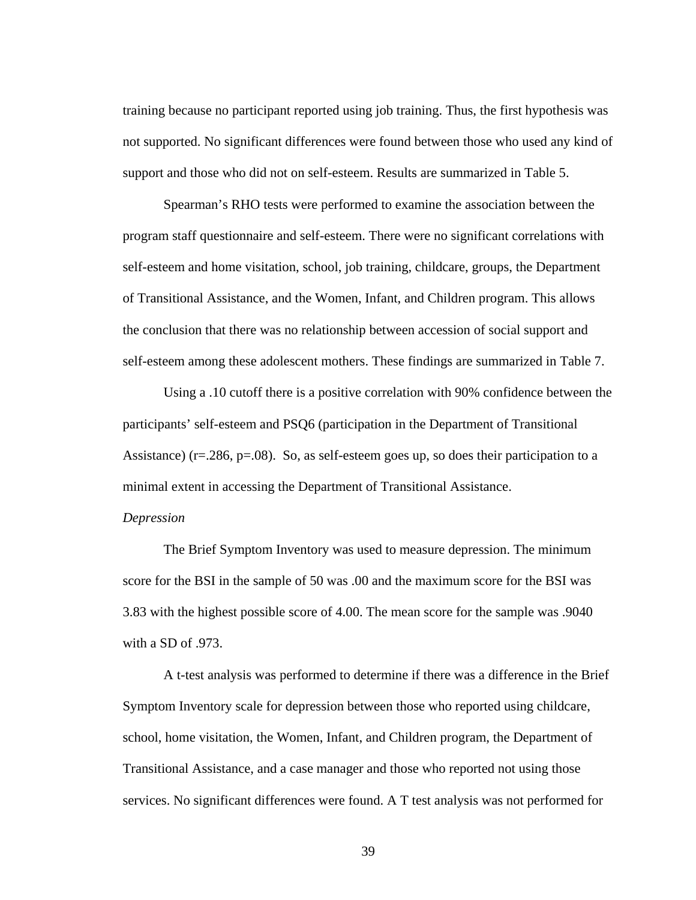training because no participant reported using job training. Thus, the first hypothesis was not supported. No significant differences were found between those who used any kind of support and those who did not on self-esteem. Results are summarized in Table 5.

 Spearman's RHO tests were performed to examine the association between the program staff questionnaire and self-esteem. There were no significant correlations with self-esteem and home visitation, school, job training, childcare, groups, the Department of Transitional Assistance, and the Women, Infant, and Children program. This allows the conclusion that there was no relationship between accession of social support and self-esteem among these adolescent mothers. These findings are summarized in Table 7.

Using a .10 cutoff there is a positive correlation with 90% confidence between the participants' self-esteem and PSQ6 (participation in the Department of Transitional Assistance) ( $r = 286$ ,  $p = .08$ ). So, as self-esteem goes up, so does their participation to a minimal extent in accessing the Department of Transitional Assistance.

### *Depression*

The Brief Symptom Inventory was used to measure depression. The minimum score for the BSI in the sample of 50 was .00 and the maximum score for the BSI was 3.83 with the highest possible score of 4.00. The mean score for the sample was .9040 with a SD of .973.

A t-test analysis was performed to determine if there was a difference in the Brief Symptom Inventory scale for depression between those who reported using childcare, school, home visitation, the Women, Infant, and Children program, the Department of Transitional Assistance, and a case manager and those who reported not using those services. No significant differences were found. A T test analysis was not performed for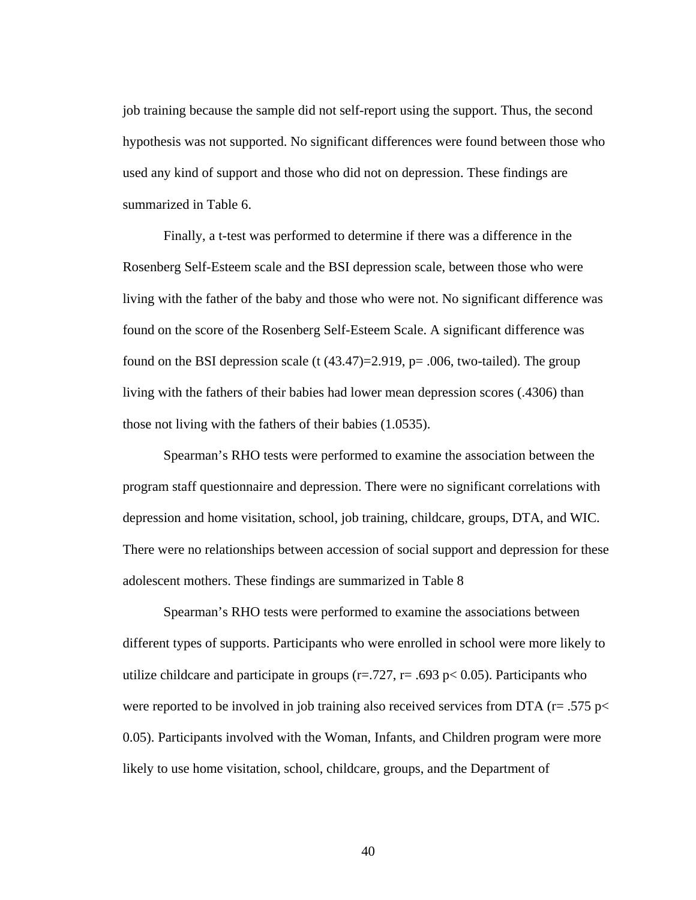job training because the sample did not self-report using the support. Thus, the second hypothesis was not supported. No significant differences were found between those who used any kind of support and those who did not on depression. These findings are summarized in Table 6.

Finally, a t-test was performed to determine if there was a difference in the Rosenberg Self-Esteem scale and the BSI depression scale, between those who were living with the father of the baby and those who were not. No significant difference was found on the score of the Rosenberg Self-Esteem Scale. A significant difference was found on the BSI depression scale  $(t (43.47)=2.919, p=.006, two-tailed)$ . The group living with the fathers of their babies had lower mean depression scores (.4306) than those not living with the fathers of their babies (1.0535).

 Spearman's RHO tests were performed to examine the association between the program staff questionnaire and depression. There were no significant correlations with depression and home visitation, school, job training, childcare, groups, DTA, and WIC. There were no relationships between accession of social support and depression for these adolescent mothers. These findings are summarized in Table 8

Spearman's RHO tests were performed to examine the associations between different types of supports. Participants who were enrolled in school were more likely to utilize childcare and participate in groups ( $r = .727$ ,  $r = .693$  p $< 0.05$ ). Participants who were reported to be involved in job training also received services from DTA ( $r = .575$  p $<$ 0.05). Participants involved with the Woman, Infants, and Children program were more likely to use home visitation, school, childcare, groups, and the Department of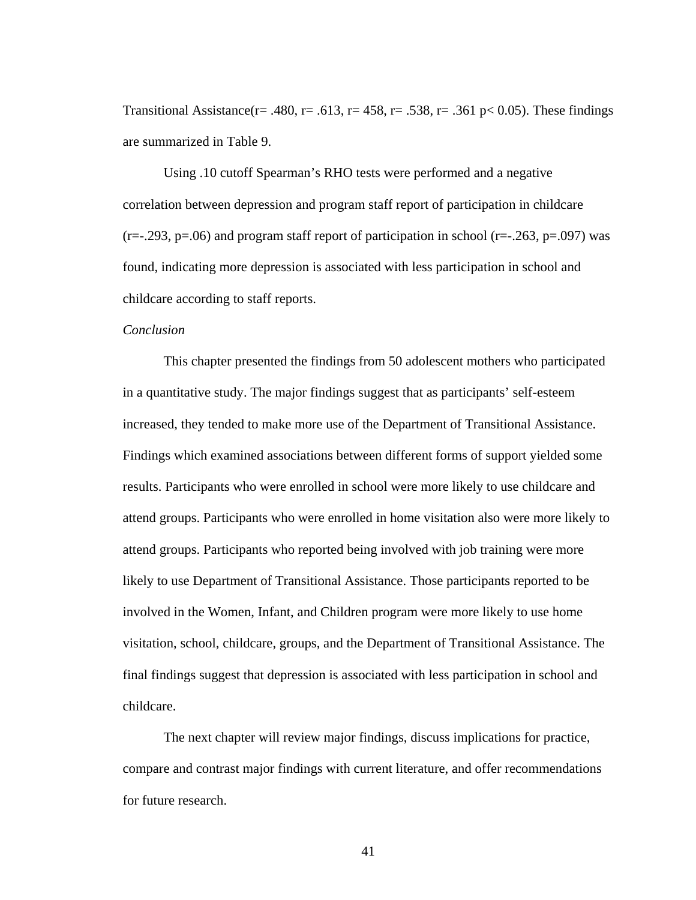Transitional Assistance(r= .480, r= .613, r= 458, r= .538, r= .361 p< 0.05). These findings are summarized in Table 9.

Using .10 cutoff Spearman's RHO tests were performed and a negative correlation between depression and program staff report of participation in childcare  $(r=-1.293, p=0.06)$  and program staff report of participation in school  $(r=-1.293, p=0.097)$  was found, indicating more depression is associated with less participation in school and childcare according to staff reports.

#### *Conclusion*

This chapter presented the findings from 50 adolescent mothers who participated in a quantitative study. The major findings suggest that as participants' self-esteem increased, they tended to make more use of the Department of Transitional Assistance. Findings which examined associations between different forms of support yielded some results. Participants who were enrolled in school were more likely to use childcare and attend groups. Participants who were enrolled in home visitation also were more likely to attend groups. Participants who reported being involved with job training were more likely to use Department of Transitional Assistance. Those participants reported to be involved in the Women, Infant, and Children program were more likely to use home visitation, school, childcare, groups, and the Department of Transitional Assistance. The final findings suggest that depression is associated with less participation in school and childcare.

 The next chapter will review major findings, discuss implications for practice, compare and contrast major findings with current literature, and offer recommendations for future research.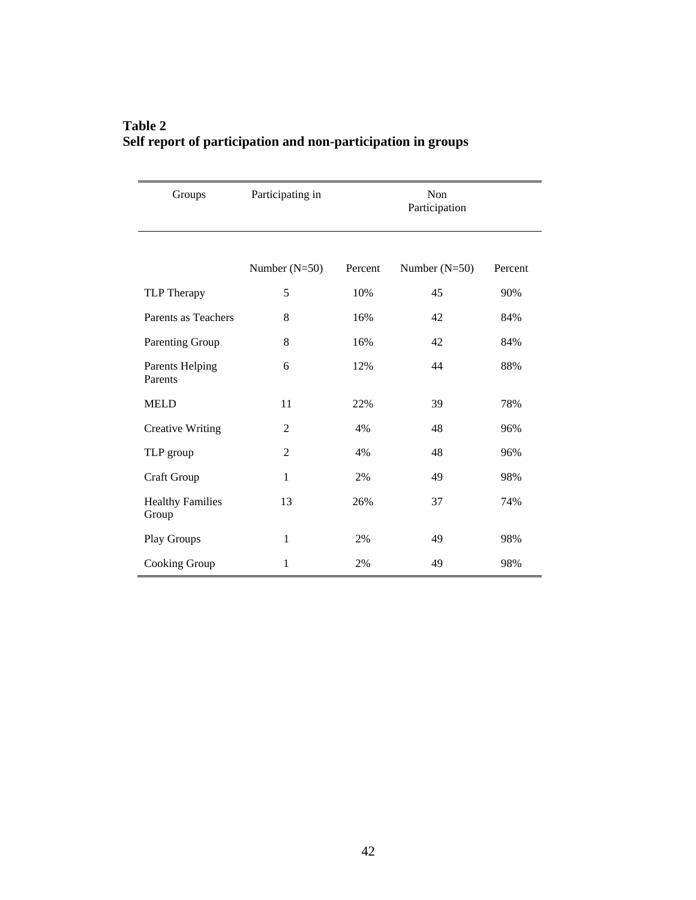| Groups                           | Participating in | Non<br>Participation |                 |         |  |
|----------------------------------|------------------|----------------------|-----------------|---------|--|
|                                  | Number $(N=50)$  | Percent              | Number $(N=50)$ | Percent |  |
| TLP Therapy                      | 5                | 10%                  | 45              | 90%     |  |
| Parents as Teachers              | 8                | 16%                  | 42              | 84%     |  |
| Parenting Group                  | 8                | 16%                  | 42              | 84%     |  |
| Parents Helping<br>Parents       | 6                | 12%                  | 44              | 88%     |  |
| <b>MELD</b>                      | 11               | 22%                  | 39              | 78%     |  |
| <b>Creative Writing</b>          | $\overline{2}$   | 4%                   | 48              | 96%     |  |
| TLP group                        | $\overline{2}$   | 4%                   | 48              | 96%     |  |
| Craft Group                      | 1                | 2%                   | 49              | 98%     |  |
| <b>Healthy Families</b><br>Group | 13               | 26%                  | 37              | 74%     |  |
| Play Groups                      | $\mathbf{1}$     | 2%                   | 49              | 98%     |  |
| Cooking Group                    | 1                | 2%                   | 49              | 98%     |  |

## **Table 2 Self report of participation and non-participation in groups**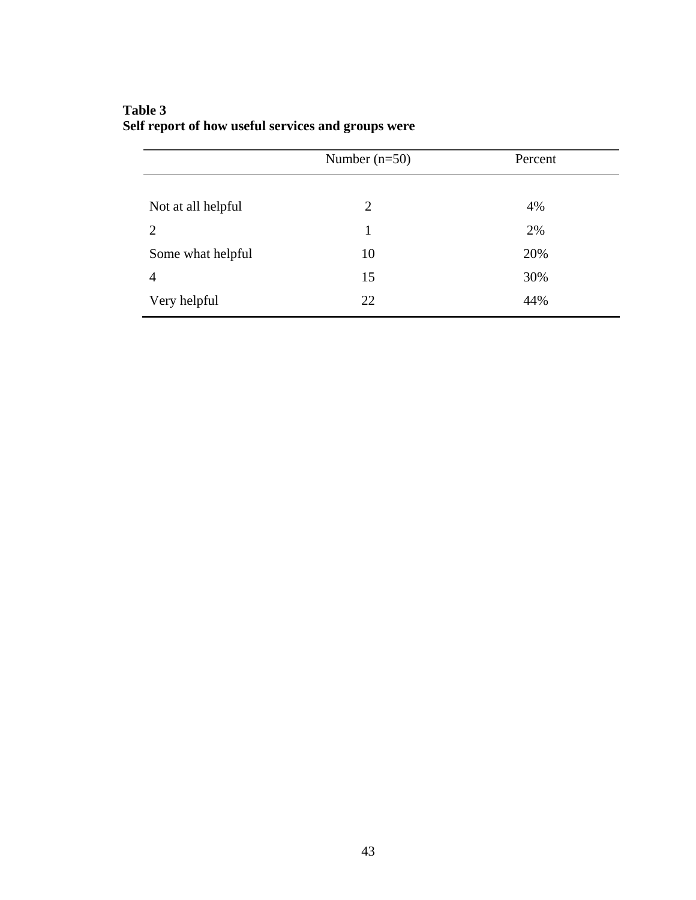|                    | Number $(n=50)$ | Percent |
|--------------------|-----------------|---------|
|                    |                 |         |
| Not at all helpful | 2               | 4%      |
| 2                  |                 | 2%      |
| Some what helpful  | 10              | 20%     |
| 4                  | 15              | 30%     |
| Very helpful       | 22              | 44%     |

## **Table 3 Self report of how useful services and groups were**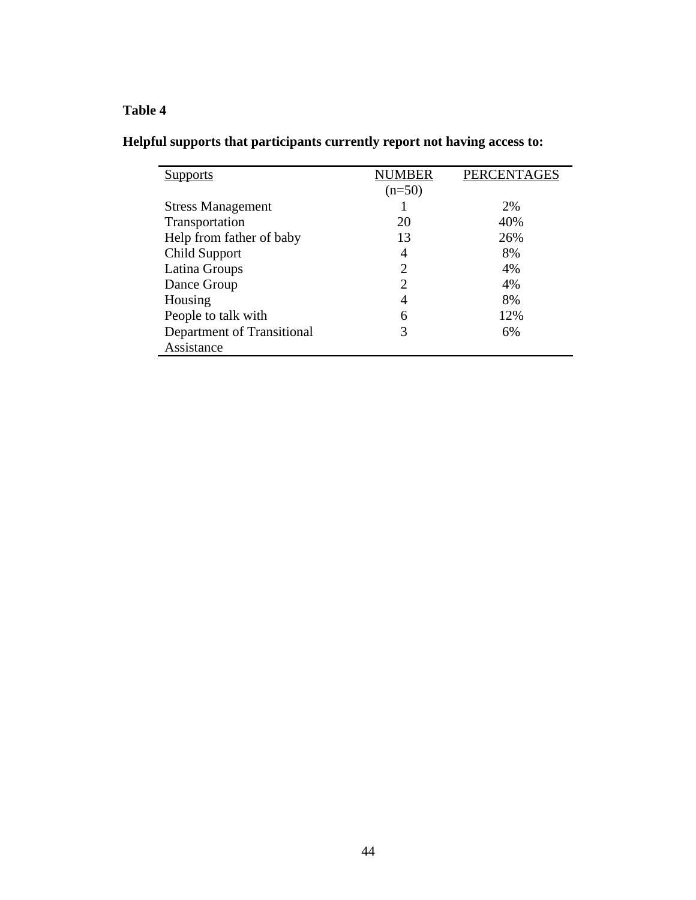# **Table 4**

|  |  | Helpful supports that participants currently report not having access to: |  |
|--|--|---------------------------------------------------------------------------|--|
|  |  |                                                                           |  |

| <b>Supports</b>            | <b>NUMBER</b> | <b>PERCENTAGES</b> |
|----------------------------|---------------|--------------------|
|                            | $(n=50)$      |                    |
| <b>Stress Management</b>   |               | 2%                 |
| Transportation             | 20            | 40%                |
| Help from father of baby   | 13            | 26%                |
| Child Support              | 4             | 8%                 |
| Latina Groups              | 2             | 4%                 |
| Dance Group                | 2             | 4%                 |
| Housing                    | 4             | 8%                 |
| People to talk with        | 6             | 12%                |
| Department of Transitional | 3             | 6%                 |
| Assistance                 |               |                    |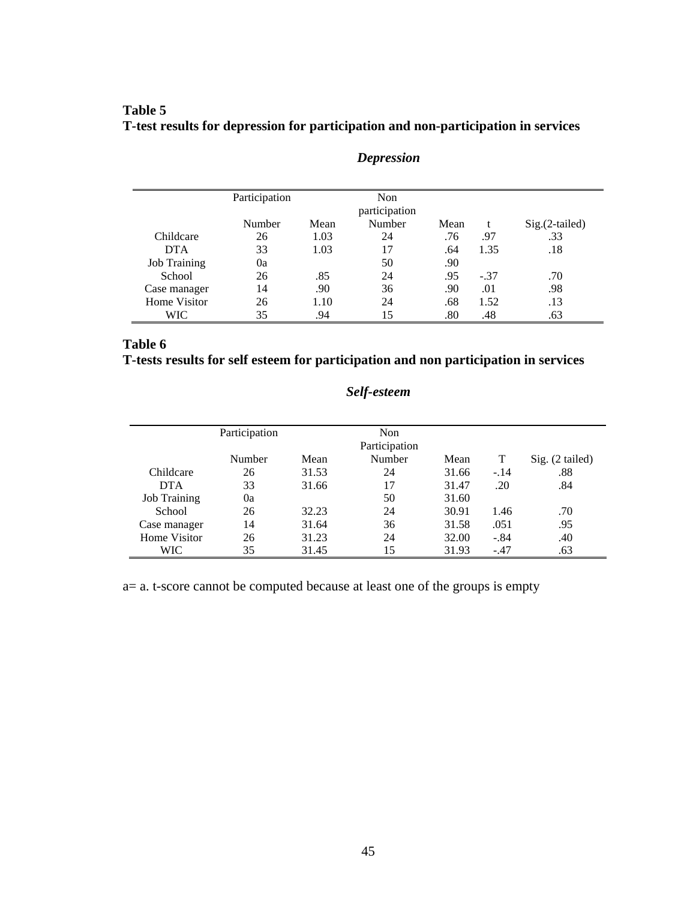## **Table 5 T-test results for depression for participation and non-participation in services**

|                     | Participation |      | Non<br>participation |      |        |                  |
|---------------------|---------------|------|----------------------|------|--------|------------------|
|                     | Number        | Mean | Number               | Mean |        | $Sig.(2-tailed)$ |
| Childcare           | 26            | 1.03 | 24                   | .76  | .97    | .33              |
| <b>DTA</b>          | 33            | 1.03 | 17                   | .64  | 1.35   | .18              |
| <b>Job Training</b> | 0a            |      | 50                   | .90  |        |                  |
| School              | 26            | .85  | 24                   | .95  | $-.37$ | .70              |
| Case manager        | 14            | .90  | 36                   | .90  | .01    | .98              |
| Home Visitor        | 26            | 1.10 | 24                   | .68  | 1.52   | .13              |
| WIC                 | 35            | .94  | 15                   | .80  | .48    | .63              |

## *Depression*

## **Table 6 T-tests results for self esteem for participation and non participation in services**

## *Self-esteem*

|                     | Participation |       | Non<br>Participation |       |        |                 |
|---------------------|---------------|-------|----------------------|-------|--------|-----------------|
|                     | Number        | Mean  | Number               | Mean  | T      | Sig. (2 tailed) |
| Childcare           | 26            | 31.53 | 24                   | 31.66 | $-.14$ | .88             |
| <b>DTA</b>          | 33            | 31.66 | 17                   | 31.47 | .20    | .84             |
| <b>Job Training</b> | 0a            |       | 50                   | 31.60 |        |                 |
| School              | 26            | 32.23 | 24                   | 30.91 | 1.46   | .70             |
| Case manager        | 14            | 31.64 | 36                   | 31.58 | .051   | .95             |
| Home Visitor        | 26            | 31.23 | 24                   | 32.00 | $-.84$ | .40             |
| WIC.                | 35            | 31.45 | 15                   | 31.93 | $-.47$ | .63             |

a= a. t-score cannot be computed because at least one of the groups is empty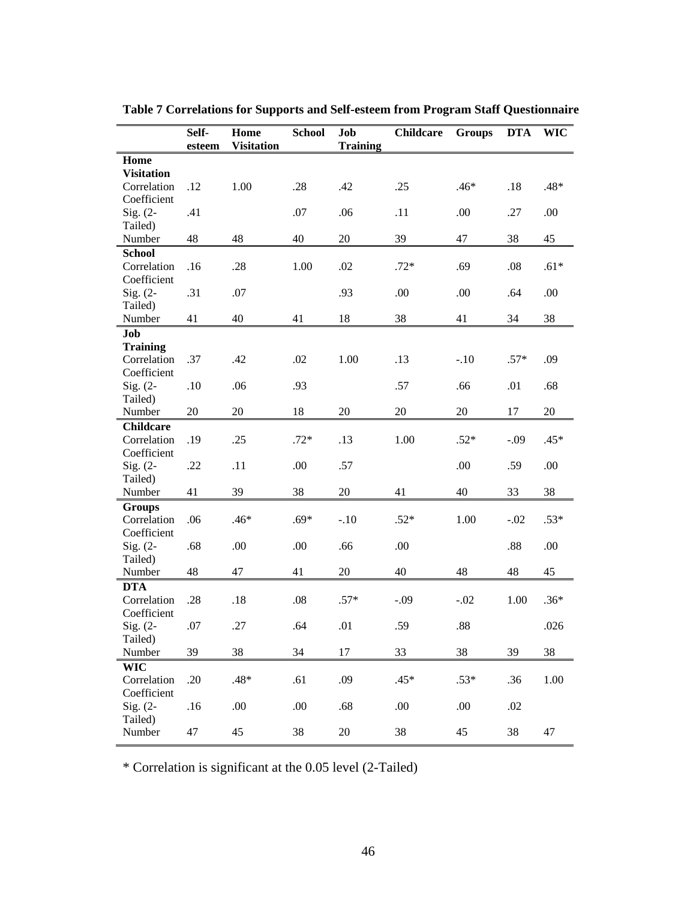|                            | Self-  | Home              | <b>School</b> | Job             | <b>Childcare</b> | <b>Groups</b> | <b>DTA</b> | <b>WIC</b> |
|----------------------------|--------|-------------------|---------------|-----------------|------------------|---------------|------------|------------|
|                            | esteem | <b>Visitation</b> |               | <b>Training</b> |                  |               |            |            |
| Home<br><b>Visitation</b>  |        |                   |               |                 |                  |               |            |            |
| Correlation                | .12    | 1.00              | .28           | .42             | .25              | .46*          | .18        | .48*       |
| Coefficient                |        |                   |               |                 |                  |               |            |            |
| $Sig. (2-$                 | .41    |                   | .07           | .06             | .11              | .00.          | .27        | .00        |
| Tailed)                    |        |                   |               |                 |                  |               |            |            |
| Number                     | 48     | 48                | 40            | 20              | 39               | 47            | 38         | 45         |
| <b>School</b>              |        |                   |               |                 |                  |               |            |            |
| Correlation                | .16    | .28               | 1.00          | .02             | $.72*$           | .69           | .08        | $.61*$     |
| Coefficient                |        |                   |               |                 |                  |               |            |            |
| Sig. $(2-$                 | .31    | .07               |               | .93             | .00              | .00           | .64        | .00        |
| Tailed)                    |        |                   |               |                 |                  |               |            |            |
| Number                     | 41     | 40                | 41            | 18              | 38               | 41            | 34         | 38         |
| Job                        |        |                   |               |                 |                  |               |            |            |
| <b>Training</b>            |        |                   |               |                 |                  |               |            |            |
| Correlation                | .37    | .42               | .02           | 1.00            | .13              | $-.10$        | $.57*$     | .09        |
| Coefficient                |        |                   |               |                 |                  |               |            |            |
| $Sig. (2-$                 | .10    | .06               | .93           |                 | .57              | .66           | .01        | .68        |
| Tailed)                    |        |                   |               |                 |                  |               |            |            |
| Number                     | 20     | 20                | 18            | 20              | 20               | 20            | 17         | $20\,$     |
| <b>Childcare</b>           |        |                   |               |                 |                  |               |            |            |
| Correlation<br>Coefficient | .19    | .25               | $.72*$        | .13             | 1.00             | $.52*$        | $-.09$     | $.45*$     |
| $Sig. (2-$                 | .22    | .11               | .00           | .57             |                  | .00.          | .59        | .00        |
| Tailed)                    |        |                   |               |                 |                  |               |            |            |
| Number                     | 41     | 39                | 38            | 20              | 41               | 40            | 33         | 38         |
| <b>Groups</b>              |        |                   |               |                 |                  |               |            |            |
| Correlation                | .06    | .46*              | $.69*$        | $-.10$          | $.52*$           | 1.00          | $-.02$     | $.53*$     |
| Coefficient                |        |                   |               |                 |                  |               |            |            |
| $Sig. (2-$                 | .68    | .00               | .00           | .66             | .00              |               | .88        | .00        |
| Tailed)                    |        |                   |               |                 |                  |               |            |            |
| Number                     | 48     | 47                | 41            | 20              | 40               | 48            | 48         | 45         |
| <b>DTA</b>                 |        |                   |               |                 |                  |               |            |            |
| Correlation                | .28    | .18               | .08           | $.57*$          | $-.09$           | $-.02$        | 1.00       | $.36*$     |
| Coefficient                |        |                   |               |                 |                  |               |            |            |
| Sig. $(2-$                 | .07    | .27               | .64           | .01             | .59              | .88           |            | .026       |
| Tailed)                    |        |                   |               |                 |                  |               |            |            |
| Number                     | 39     | 38                | 34            | 17              | 33               | 38            | 39         | 38         |
| <b>WIC</b>                 |        |                   |               |                 |                  |               |            |            |
| Correlation                | .20    | $.48*$            | .61           | .09             | $.45*$           | $.53*$        | .36        | 1.00       |
| Coefficient                |        |                   |               |                 |                  |               |            |            |
| $Sig. (2-$                 | .16    | .00               | .00           | .68             | .00              | .00           | .02        |            |
| Tailed)                    |        |                   |               |                 |                  |               |            |            |
| Number                     | 47     | 45                | 38            | 20              | 38               | 45            | 38         | 47         |

**Table 7 Correlations for Supports and Self-esteem from Program Staff Questionnaire** 

\* Correlation is significant at the 0.05 level (2-Tailed)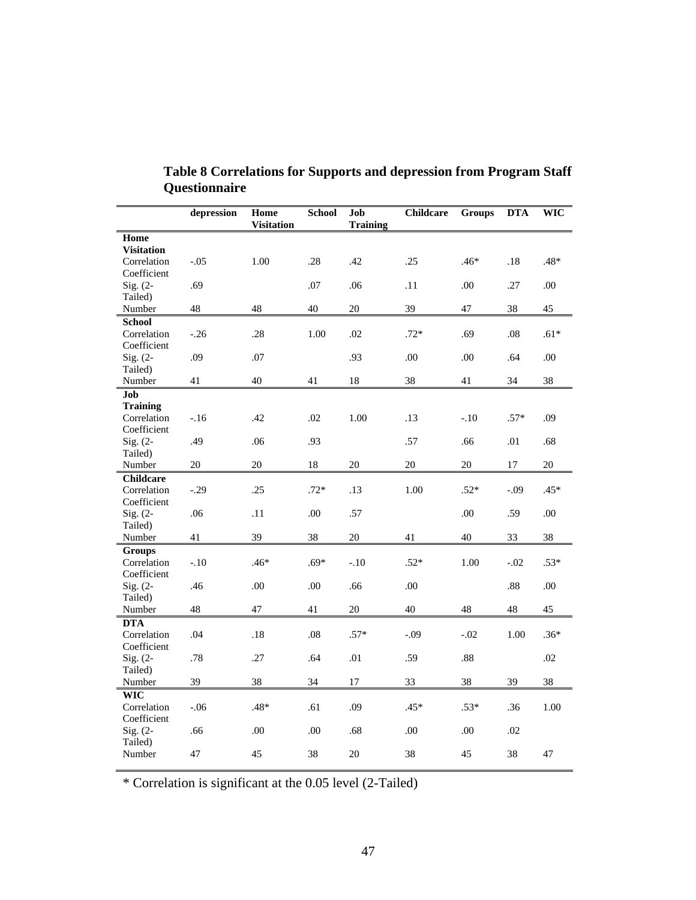|                            | depression | Home<br><b>Visitation</b> | School | Job<br><b>Training</b> | <b>Childcare</b> | <b>Groups</b> | <b>DTA</b> | <b>WIC</b> |
|----------------------------|------------|---------------------------|--------|------------------------|------------------|---------------|------------|------------|
| Home                       |            |                           |        |                        |                  |               |            |            |
| <b>Visitation</b>          |            |                           |        |                        |                  |               |            |            |
| Correlation                | $-.05$     | 1.00                      | .28    | .42                    | .25              | $.46*$        | .18        | .48*       |
| Coefficient                |            |                           |        |                        |                  |               |            |            |
| Sig. $(2-$                 | .69        |                           | .07    | .06                    | .11              | .00           | .27        | .00        |
| Tailed)                    |            |                           |        |                        |                  |               |            |            |
| Number                     | 48         | 48                        | 40     | 20                     | 39               | 47            | 38         | 45         |
| <b>School</b>              |            |                           |        |                        |                  |               |            |            |
| Correlation<br>Coefficient | $-.26$     | .28                       | 1.00   | .02                    | $.72*$           | .69           | .08        | $.61*$     |
| Sig. $(2-$                 | .09        | .07                       |        | .93                    | .00              | .00           | .64        | .00        |
| Tailed)                    |            |                           |        |                        |                  |               |            |            |
| Number                     | 41         | 40                        | 41     | 18                     | 38               | 41            | 34         | 38         |
| Job                        |            |                           |        |                        |                  |               |            |            |
| <b>Training</b>            |            |                           |        |                        |                  |               |            |            |
| Correlation                | $-.16$     | .42                       | .02    | 1.00                   | .13              | $-.10$        | $.57*$     | .09        |
| Coefficient                |            |                           |        |                        |                  |               |            |            |
| Sig. $(2-$                 | .49        | .06                       | .93    |                        | .57              | .66           | .01        | .68        |
| Tailed)                    |            |                           |        |                        |                  |               |            |            |
| Number                     | 20         | 20                        | 18     | 20                     | 20               | 20            | 17         | 20         |
| <b>Childcare</b>           |            |                           |        |                        |                  |               |            |            |
| Correlation                | $-.29$     | .25                       | $.72*$ | .13                    | 1.00             | $.52*$        | $-.09$     | .45*       |
| Coefficient                |            |                           |        |                        |                  |               |            |            |
| Sig. $(2-$                 | .06        | .11                       | .00    | .57                    |                  | .00           | .59        | .00        |
| Tailed)                    |            |                           |        |                        |                  |               |            |            |
| Number                     | 41         | 39                        | 38     | 20                     | 41               | 40            | 33         | 38         |
| <b>Groups</b>              |            |                           |        |                        |                  |               |            |            |
| Correlation                | $-.10$     | $.46*$                    | $.69*$ | $-.10$                 | $.52*$           | 1.00          | $-.02$     | $.53*$     |
| Coefficient<br>Sig. $(2-$  | .46        | .00                       | .00    | .66                    | .00              |               | .88        | .00        |
| Tailed)                    |            |                           |        |                        |                  |               |            |            |
| Number                     | 48         | 47                        | 41     | 20                     | 40               | 48            | 48         | 45         |
| <b>DTA</b>                 |            |                           |        |                        |                  |               |            |            |
| Correlation                | .04        | .18                       | .08    | $.57*$                 | $-.09$           | $-.02$        | 1.00       | $.36*$     |
| Coefficient                |            |                           |        |                        |                  |               |            |            |
| Sig. $(2-$                 | .78        | .27                       | .64    | .01                    | .59              | $.88\,$       |            | .02        |
| Tailed)                    |            |                           |        |                        |                  |               |            |            |
| Number                     | 39         | 38                        | 34     | 17                     | 33               | 38            | 39         | 38         |
| <b>WIC</b>                 |            |                           |        |                        |                  |               |            |            |
| Correlation                | $-.06$     | $.48*$                    | .61    | .09                    | $.45*$           | $.53*$        | .36        | 1.00       |
| Coefficient                |            |                           |        |                        |                  |               |            |            |
| Sig. (2-                   | .66        | .00                       | .00    | .68                    | .00              | .00           | .02        |            |
| Tailed)                    |            |                           |        |                        |                  |               |            |            |
| Number                     | 47         | 45                        | 38     | 20                     | 38               | 45            | 38         | 47         |
|                            |            |                           |        |                        |                  |               |            |            |

**Table 8 Correlations for Supports and depression from Program Staff Questionnaire** 

\* Correlation is significant at the 0.05 level (2-Tailed)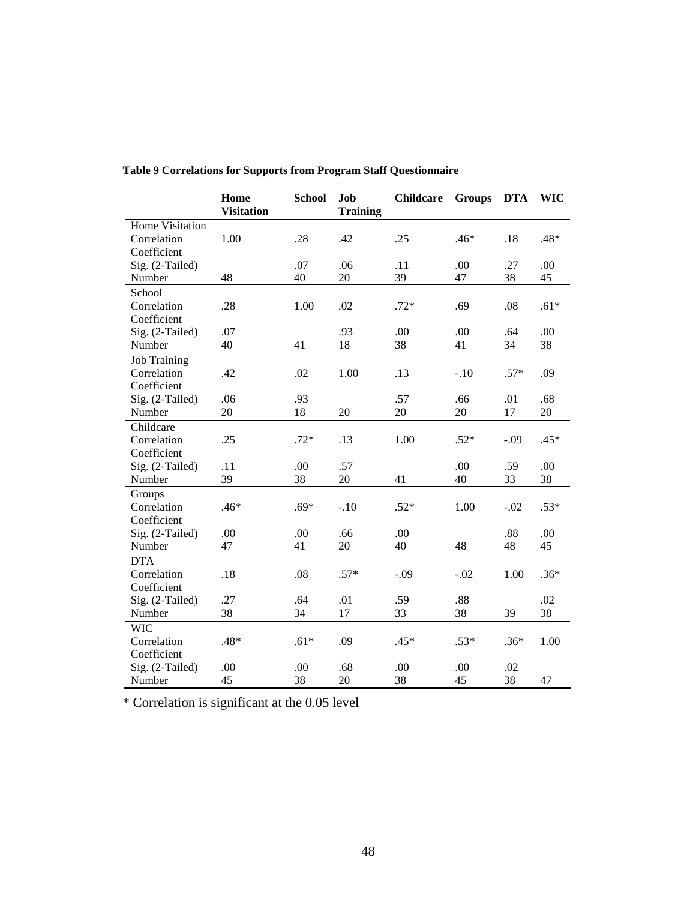|                     | Home<br><b>Visitation</b> | <b>School</b> | Job<br><b>Training</b> | <b>Childcare</b> | <b>Groups</b> | <b>DTA</b> | <b>WIC</b> |
|---------------------|---------------------------|---------------|------------------------|------------------|---------------|------------|------------|
| Home Visitation     |                           |               |                        |                  |               |            |            |
| Correlation         | 1.00                      | .28           | .42                    | .25              | $.46*$        | .18        | $.48*$     |
| Coefficient         |                           |               |                        |                  |               |            |            |
| Sig. (2-Tailed)     |                           | .07           | .06                    | .11              | .00.          | .27        | .00        |
| Number              | 48                        | 40            | 20                     | 39               | 47            | 38         | 45         |
| School              |                           |               |                        |                  |               |            |            |
| Correlation         | .28                       | 1.00          | .02                    | $.72*$           | .69           | .08        | $.61*$     |
| Coefficient         |                           |               |                        |                  |               |            |            |
| Sig. (2-Tailed)     | .07                       |               | .93                    | .00              | .00           | .64        | .00        |
| Number              | 40                        | 41            | 18                     | 38               | 41            | 34         | 38         |
| <b>Job Training</b> |                           |               |                        |                  |               |            |            |
| Correlation         | .42                       | .02           | 1.00                   | .13              | $-.10$        | $.57*$     | .09        |
| Coefficient         |                           |               |                        |                  |               |            |            |
| Sig. (2-Tailed)     | .06                       | .93           |                        | .57              | .66           | .01        | .68        |
| Number              | 20                        | 18            | 20                     | 20               | 20            | 17         | 20         |
| Childcare           |                           |               |                        |                  |               |            |            |
| Correlation         | .25                       | $.72*$        | .13                    | 1.00             | $.52*$        | $-.09$     | $.45*$     |
| Coefficient         |                           |               |                        |                  |               |            |            |
| Sig. (2-Tailed)     | .11                       | .00           | .57                    |                  | .00           | .59        | .00.       |
| Number              | 39                        | 38            | 20                     | 41               | 40            | 33         | 38         |
| Groups              |                           |               |                        |                  |               |            |            |
| Correlation         | .46*                      | $.69*$        | $-.10$                 | $.52*$           | 1.00          | $-.02$     | $.53*$     |
| Coefficient         |                           |               |                        |                  |               |            |            |
| Sig. (2-Tailed)     | .00                       | .00           | .66                    | .00              |               | .88        | .00        |
| Number              | 47                        | 41            | 20                     | 40               | 48            | 48         | 45         |
| <b>DTA</b>          |                           |               |                        |                  |               |            |            |
| Correlation         | .18                       | .08           | $.57*$                 | $-.09$           | $-.02$        | 1.00       | $.36*$     |
| Coefficient         |                           |               |                        |                  |               |            |            |
| Sig. (2-Tailed)     | .27                       | .64           | .01                    | .59              | .88           |            | .02        |
| Number              | 38                        | 34            | 17                     | 33               | 38            | 39         | 38         |
| <b>WIC</b>          |                           |               |                        |                  |               |            |            |
| Correlation         | $.48*$                    | $.61*$        | .09                    | $.45*$           | $.53*$        | $.36*$     | 1.00       |
| Coefficient         |                           |               |                        |                  |               |            |            |
| Sig. (2-Tailed)     | .00                       | .00           | .68                    | .00              | .00           | .02        |            |
| Number              | 45                        | 38            | 20                     | 38               | 45            | 38         | 47         |

**Table 9 Correlations for Supports from Program Staff Questionnaire** 

\* Correlation is significant at the 0.05 level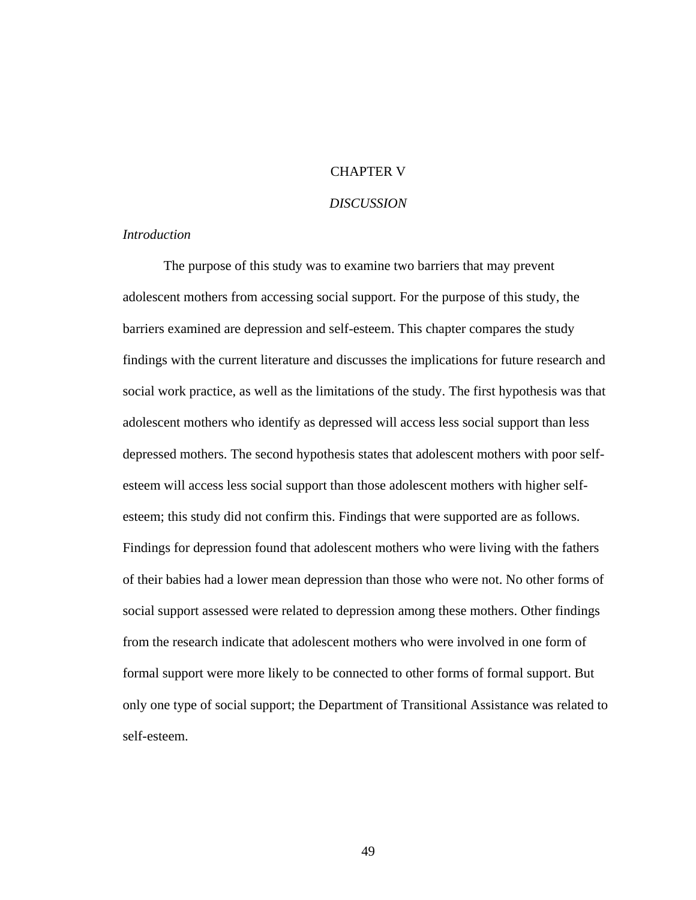### CHAPTER V

### *DISCUSSION*

### *Introduction*

The purpose of this study was to examine two barriers that may prevent adolescent mothers from accessing social support. For the purpose of this study, the barriers examined are depression and self-esteem. This chapter compares the study findings with the current literature and discusses the implications for future research and social work practice, as well as the limitations of the study. The first hypothesis was that adolescent mothers who identify as depressed will access less social support than less depressed mothers. The second hypothesis states that adolescent mothers with poor selfesteem will access less social support than those adolescent mothers with higher selfesteem; this study did not confirm this. Findings that were supported are as follows. Findings for depression found that adolescent mothers who were living with the fathers of their babies had a lower mean depression than those who were not. No other forms of social support assessed were related to depression among these mothers. Other findings from the research indicate that adolescent mothers who were involved in one form of formal support were more likely to be connected to other forms of formal support. But only one type of social support; the Department of Transitional Assistance was related to self-esteem.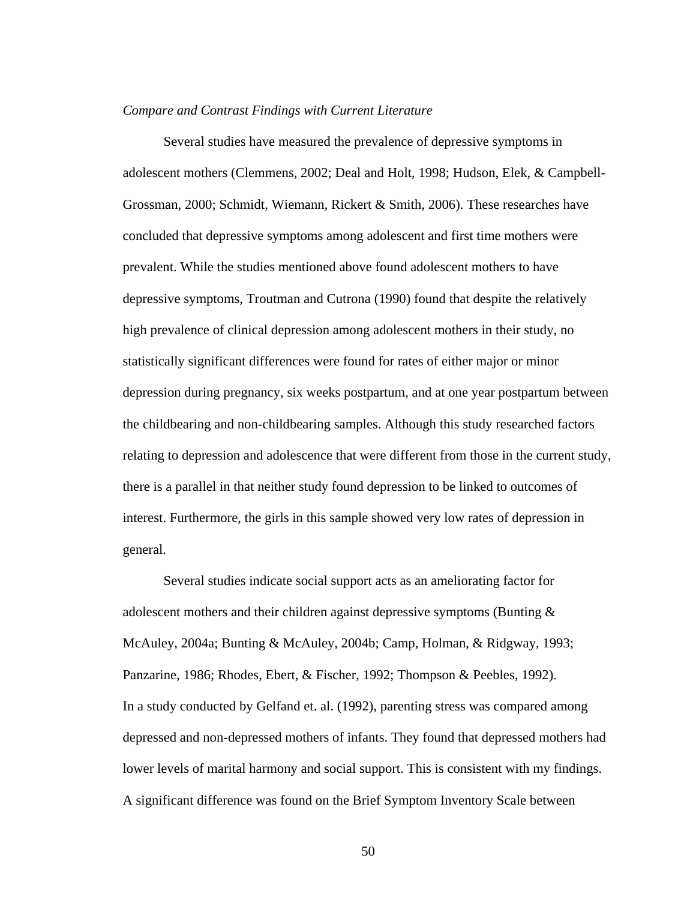#### *Compare and Contrast Findings with Current Literature*

Several studies have measured the prevalence of depressive symptoms in adolescent mothers (Clemmens, 2002; Deal and Holt, 1998; Hudson, Elek, & Campbell-Grossman, 2000; Schmidt, Wiemann, Rickert & Smith, 2006). These researches have concluded that depressive symptoms among adolescent and first time mothers were prevalent. While the studies mentioned above found adolescent mothers to have depressive symptoms, Troutman and Cutrona (1990) found that despite the relatively high prevalence of clinical depression among adolescent mothers in their study, no statistically significant differences were found for rates of either major or minor depression during pregnancy, six weeks postpartum, and at one year postpartum between the childbearing and non-childbearing samples. Although this study researched factors relating to depression and adolescence that were different from those in the current study, there is a parallel in that neither study found depression to be linked to outcomes of interest. Furthermore, the girls in this sample showed very low rates of depression in general.

Several studies indicate social support acts as an ameliorating factor for adolescent mothers and their children against depressive symptoms (Bunting & McAuley, 2004a; Bunting & McAuley, 2004b; Camp, Holman, & Ridgway, 1993; Panzarine, 1986; Rhodes, Ebert, & Fischer, 1992; Thompson & Peebles, 1992). In a study conducted by Gelfand et. al. (1992), parenting stress was compared among depressed and non-depressed mothers of infants. They found that depressed mothers had lower levels of marital harmony and social support. This is consistent with my findings. A significant difference was found on the Brief Symptom Inventory Scale between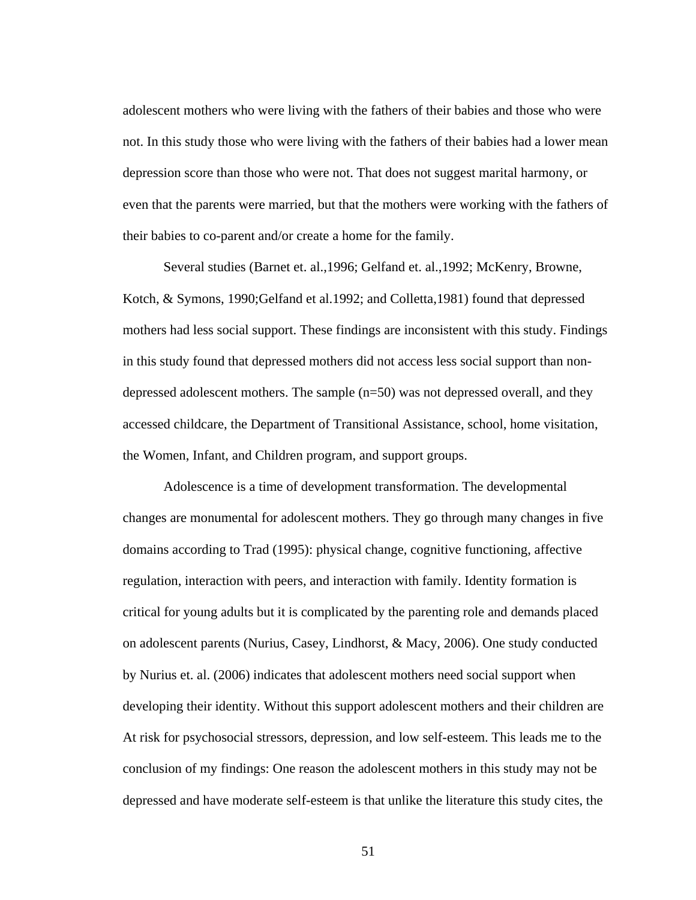adolescent mothers who were living with the fathers of their babies and those who were not. In this study those who were living with the fathers of their babies had a lower mean depression score than those who were not. That does not suggest marital harmony, or even that the parents were married, but that the mothers were working with the fathers of their babies to co-parent and/or create a home for the family.

Several studies (Barnet et. al.,1996; Gelfand et. al.,1992; McKenry, Browne, Kotch, & Symons, 1990;Gelfand et al.1992; and Colletta,1981) found that depressed mothers had less social support. These findings are inconsistent with this study. Findings in this study found that depressed mothers did not access less social support than nondepressed adolescent mothers. The sample (n=50) was not depressed overall, and they accessed childcare, the Department of Transitional Assistance, school, home visitation, the Women, Infant, and Children program, and support groups.

 Adolescence is a time of development transformation. The developmental changes are monumental for adolescent mothers. They go through many changes in five domains according to Trad (1995): physical change, cognitive functioning, affective regulation, interaction with peers, and interaction with family. Identity formation is critical for young adults but it is complicated by the parenting role and demands placed on adolescent parents (Nurius, Casey, Lindhorst, & Macy, 2006). One study conducted by Nurius et. al. (2006) indicates that adolescent mothers need social support when developing their identity. Without this support adolescent mothers and their children are At risk for psychosocial stressors, depression, and low self-esteem. This leads me to the conclusion of my findings: One reason the adolescent mothers in this study may not be depressed and have moderate self-esteem is that unlike the literature this study cites, the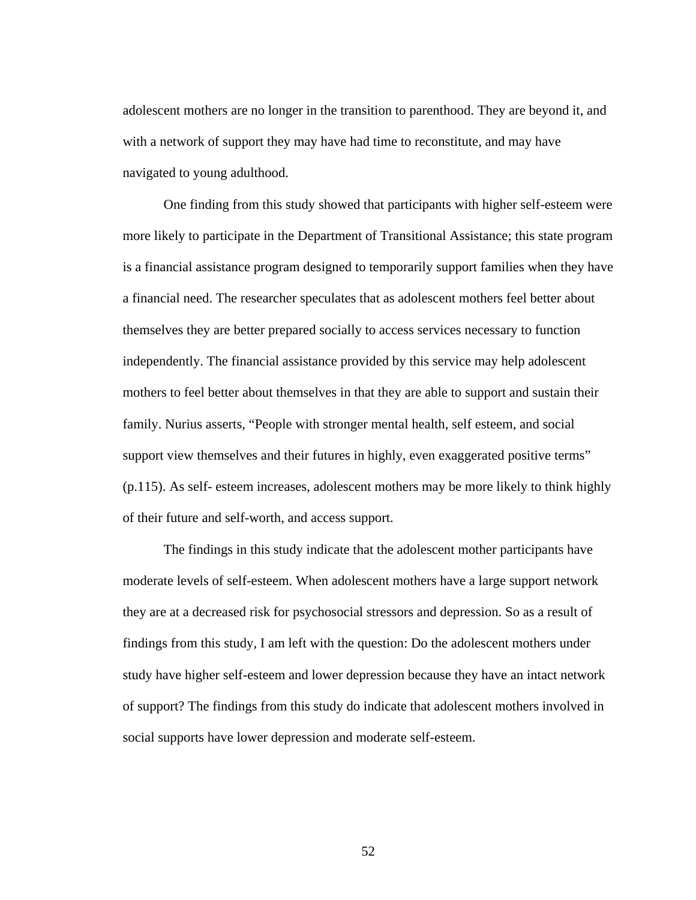adolescent mothers are no longer in the transition to parenthood. They are beyond it, and with a network of support they may have had time to reconstitute, and may have navigated to young adulthood.

 One finding from this study showed that participants with higher self-esteem were more likely to participate in the Department of Transitional Assistance; this state program is a financial assistance program designed to temporarily support families when they have a financial need. The researcher speculates that as adolescent mothers feel better about themselves they are better prepared socially to access services necessary to function independently. The financial assistance provided by this service may help adolescent mothers to feel better about themselves in that they are able to support and sustain their family. Nurius asserts, "People with stronger mental health, self esteem, and social support view themselves and their futures in highly, even exaggerated positive terms" (p.115). As self- esteem increases, adolescent mothers may be more likely to think highly of their future and self-worth, and access support.

The findings in this study indicate that the adolescent mother participants have moderate levels of self-esteem. When adolescent mothers have a large support network they are at a decreased risk for psychosocial stressors and depression. So as a result of findings from this study, I am left with the question: Do the adolescent mothers under study have higher self-esteem and lower depression because they have an intact network of support? The findings from this study do indicate that adolescent mothers involved in social supports have lower depression and moderate self-esteem.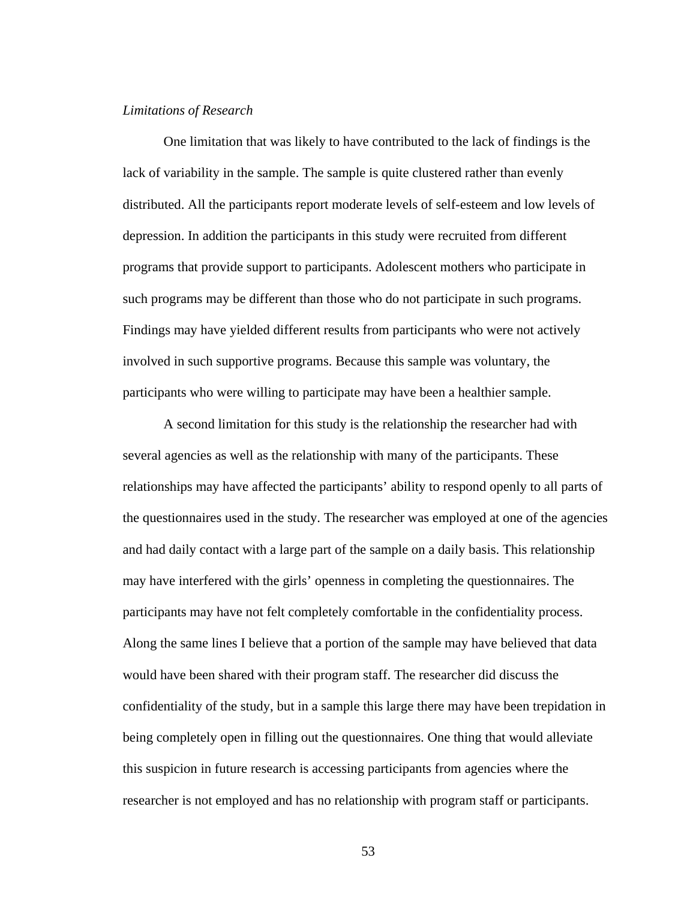### *Limitations of Research*

One limitation that was likely to have contributed to the lack of findings is the lack of variability in the sample. The sample is quite clustered rather than evenly distributed. All the participants report moderate levels of self-esteem and low levels of depression. In addition the participants in this study were recruited from different programs that provide support to participants. Adolescent mothers who participate in such programs may be different than those who do not participate in such programs. Findings may have yielded different results from participants who were not actively involved in such supportive programs. Because this sample was voluntary, the participants who were willing to participate may have been a healthier sample.

A second limitation for this study is the relationship the researcher had with several agencies as well as the relationship with many of the participants. These relationships may have affected the participants' ability to respond openly to all parts of the questionnaires used in the study. The researcher was employed at one of the agencies and had daily contact with a large part of the sample on a daily basis. This relationship may have interfered with the girls' openness in completing the questionnaires. The participants may have not felt completely comfortable in the confidentiality process. Along the same lines I believe that a portion of the sample may have believed that data would have been shared with their program staff. The researcher did discuss the confidentiality of the study, but in a sample this large there may have been trepidation in being completely open in filling out the questionnaires. One thing that would alleviate this suspicion in future research is accessing participants from agencies where the researcher is not employed and has no relationship with program staff or participants.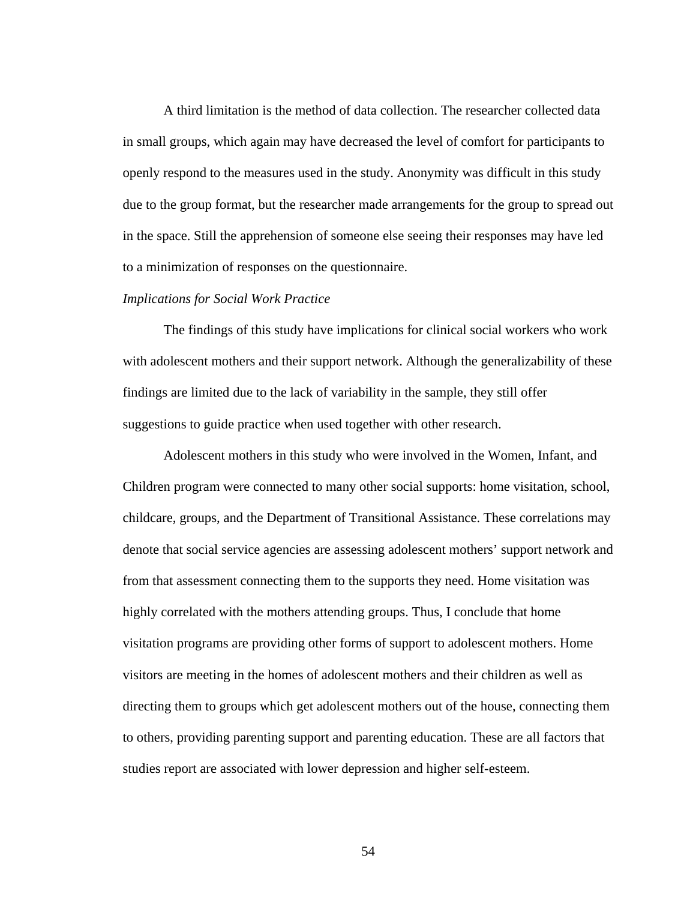A third limitation is the method of data collection. The researcher collected data in small groups, which again may have decreased the level of comfort for participants to openly respond to the measures used in the study. Anonymity was difficult in this study due to the group format, but the researcher made arrangements for the group to spread out in the space. Still the apprehension of someone else seeing their responses may have led to a minimization of responses on the questionnaire.

### *Implications for Social Work Practice*

The findings of this study have implications for clinical social workers who work with adolescent mothers and their support network. Although the generalizability of these findings are limited due to the lack of variability in the sample, they still offer suggestions to guide practice when used together with other research.

Adolescent mothers in this study who were involved in the Women, Infant, and Children program were connected to many other social supports: home visitation, school, childcare, groups, and the Department of Transitional Assistance. These correlations may denote that social service agencies are assessing adolescent mothers' support network and from that assessment connecting them to the supports they need. Home visitation was highly correlated with the mothers attending groups. Thus, I conclude that home visitation programs are providing other forms of support to adolescent mothers. Home visitors are meeting in the homes of adolescent mothers and their children as well as directing them to groups which get adolescent mothers out of the house, connecting them to others, providing parenting support and parenting education. These are all factors that studies report are associated with lower depression and higher self-esteem.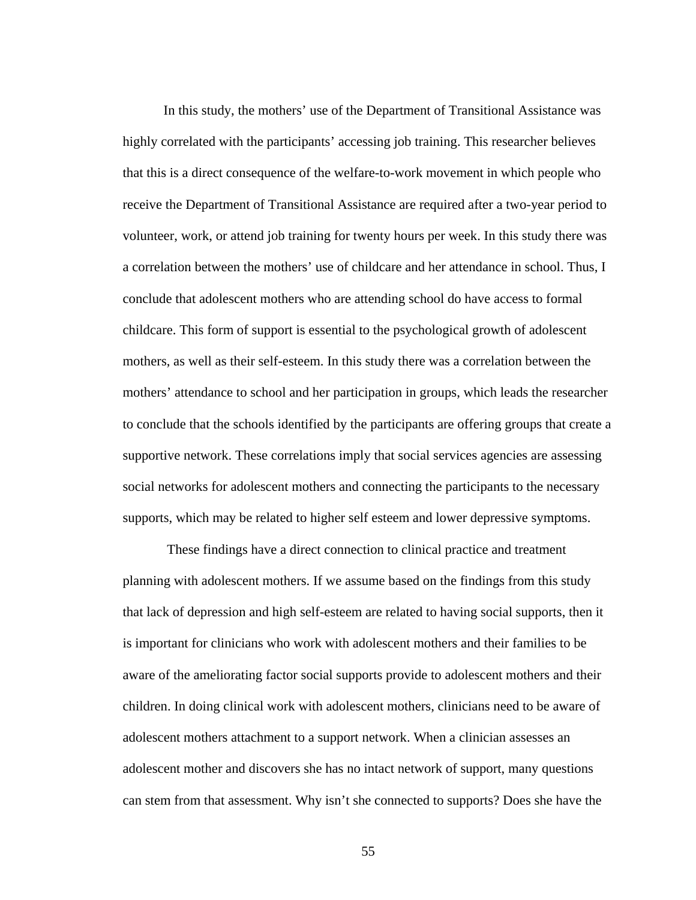In this study, the mothers' use of the Department of Transitional Assistance was highly correlated with the participants' accessing job training. This researcher believes that this is a direct consequence of the welfare-to-work movement in which people who receive the Department of Transitional Assistance are required after a two-year period to volunteer, work, or attend job training for twenty hours per week. In this study there was a correlation between the mothers' use of childcare and her attendance in school. Thus, I conclude that adolescent mothers who are attending school do have access to formal childcare. This form of support is essential to the psychological growth of adolescent mothers, as well as their self-esteem. In this study there was a correlation between the mothers' attendance to school and her participation in groups, which leads the researcher to conclude that the schools identified by the participants are offering groups that create a supportive network. These correlations imply that social services agencies are assessing social networks for adolescent mothers and connecting the participants to the necessary supports, which may be related to higher self esteem and lower depressive symptoms.

 These findings have a direct connection to clinical practice and treatment planning with adolescent mothers. If we assume based on the findings from this study that lack of depression and high self-esteem are related to having social supports, then it is important for clinicians who work with adolescent mothers and their families to be aware of the ameliorating factor social supports provide to adolescent mothers and their children. In doing clinical work with adolescent mothers, clinicians need to be aware of adolescent mothers attachment to a support network. When a clinician assesses an adolescent mother and discovers she has no intact network of support, many questions can stem from that assessment. Why isn't she connected to supports? Does she have the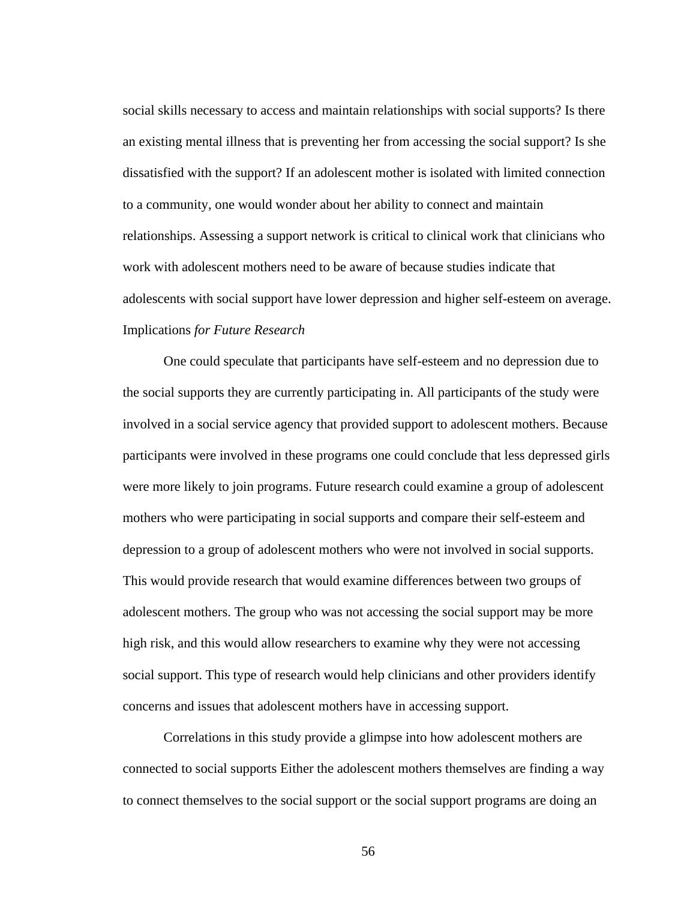social skills necessary to access and maintain relationships with social supports? Is there an existing mental illness that is preventing her from accessing the social support? Is she dissatisfied with the support? If an adolescent mother is isolated with limited connection to a community, one would wonder about her ability to connect and maintain relationships. Assessing a support network is critical to clinical work that clinicians who work with adolescent mothers need to be aware of because studies indicate that adolescents with social support have lower depression and higher self-esteem on average. Implications *for Future Research*

One could speculate that participants have self-esteem and no depression due to the social supports they are currently participating in. All participants of the study were involved in a social service agency that provided support to adolescent mothers. Because participants were involved in these programs one could conclude that less depressed girls were more likely to join programs. Future research could examine a group of adolescent mothers who were participating in social supports and compare their self-esteem and depression to a group of adolescent mothers who were not involved in social supports. This would provide research that would examine differences between two groups of adolescent mothers. The group who was not accessing the social support may be more high risk, and this would allow researchers to examine why they were not accessing social support. This type of research would help clinicians and other providers identify concerns and issues that adolescent mothers have in accessing support.

Correlations in this study provide a glimpse into how adolescent mothers are connected to social supports Either the adolescent mothers themselves are finding a way to connect themselves to the social support or the social support programs are doing an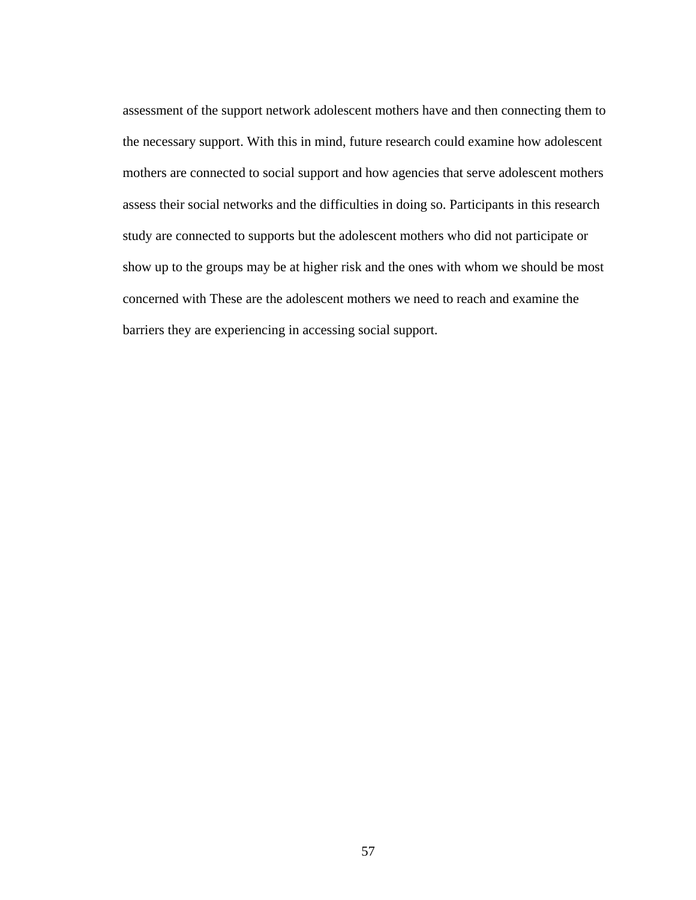assessment of the support network adolescent mothers have and then connecting them to the necessary support. With this in mind, future research could examine how adolescent mothers are connected to social support and how agencies that serve adolescent mothers assess their social networks and the difficulties in doing so. Participants in this research study are connected to supports but the adolescent mothers who did not participate or show up to the groups may be at higher risk and the ones with whom we should be most concerned with These are the adolescent mothers we need to reach and examine the barriers they are experiencing in accessing social support.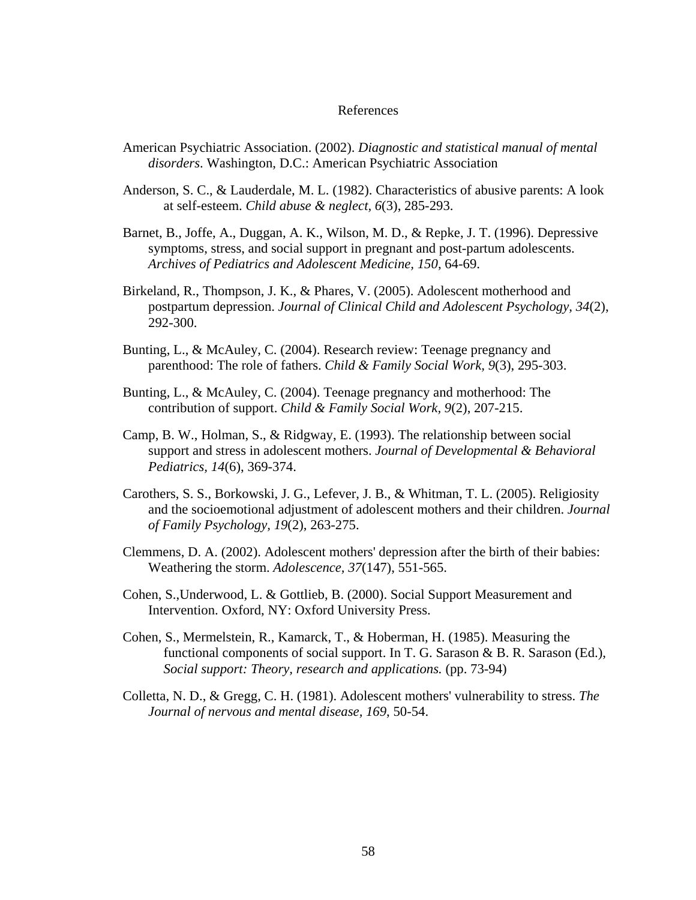#### References

- American Psychiatric Association. (2002). *Diagnostic and statistical manual of mental disorders*. Washington, D.C.: American Psychiatric Association
- Anderson, S. C., & Lauderdale, M. L. (1982). Characteristics of abusive parents: A look at self-esteem. *Child abuse & neglect, 6*(3), 285-293.
- Barnet, B., Joffe, A., Duggan, A. K., Wilson, M. D., & Repke, J. T. (1996). Depressive symptoms, stress, and social support in pregnant and post-partum adolescents. *Archives of Pediatrics and Adolescent Medicine, 150*, 64-69.
- Birkeland, R., Thompson, J. K., & Phares, V. (2005). Adolescent motherhood and postpartum depression. *Journal of Clinical Child and Adolescent Psychology, 34*(2), 292-300.
- Bunting, L., & McAuley, C. (2004). Research review: Teenage pregnancy and parenthood: The role of fathers. *Child & Family Social Work, 9*(3), 295-303.
- Bunting, L., & McAuley, C. (2004). Teenage pregnancy and motherhood: The contribution of support. *Child & Family Social Work, 9*(2), 207-215.
- Camp, B. W., Holman, S., & Ridgway, E. (1993). The relationship between social support and stress in adolescent mothers. *Journal of Developmental & Behavioral Pediatrics, 14*(6), 369-374.
- Carothers, S. S., Borkowski, J. G., Lefever, J. B., & Whitman, T. L. (2005). Religiosity and the socioemotional adjustment of adolescent mothers and their children. *Journal of Family Psychology, 19*(2), 263-275.
- Clemmens, D. A. (2002). Adolescent mothers' depression after the birth of their babies: Weathering the storm. *Adolescence, 37*(147), 551-565.
- Cohen, S.,Underwood, L. & Gottlieb, B. (2000). Social Support Measurement and Intervention. Oxford, NY: Oxford University Press.
- Cohen, S., Mermelstein, R., Kamarck, T., & Hoberman, H. (1985). Measuring the functional components of social support. In T. G. Sarason & B. R. Sarason (Ed.), *Social support: Theory, research and applications.* (pp. 73-94)
- Colletta, N. D., & Gregg, C. H. (1981). Adolescent mothers' vulnerability to stress. *The Journal of nervous and mental disease, 169*, 50-54.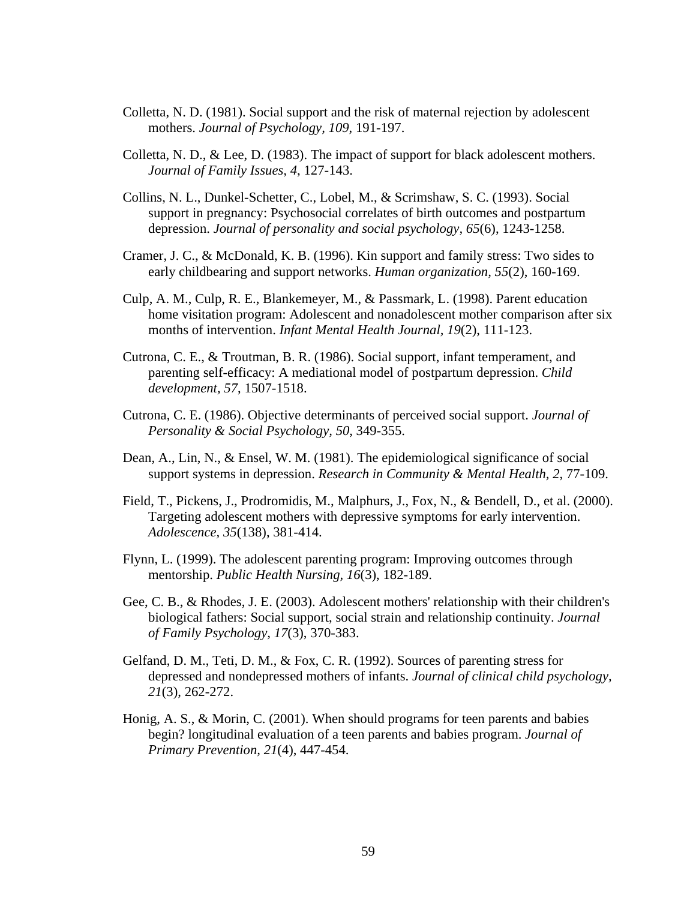- Colletta, N. D. (1981). Social support and the risk of maternal rejection by adolescent mothers. *Journal of Psychology, 109*, 191-197.
- Colletta, N. D., & Lee, D. (1983). The impact of support for black adolescent mothers. *Journal of Family Issues, 4*, 127-143.
- Collins, N. L., Dunkel-Schetter, C., Lobel, M., & Scrimshaw, S. C. (1993). Social support in pregnancy: Psychosocial correlates of birth outcomes and postpartum depression. *Journal of personality and social psychology, 65*(6), 1243-1258.
- Cramer, J. C., & McDonald, K. B. (1996). Kin support and family stress: Two sides to early childbearing and support networks. *Human organization, 55*(2), 160-169.
- Culp, A. M., Culp, R. E., Blankemeyer, M., & Passmark, L. (1998). Parent education home visitation program: Adolescent and nonadolescent mother comparison after six months of intervention. *Infant Mental Health Journal, 19*(2), 111-123.
- Cutrona, C. E., & Troutman, B. R. (1986). Social support, infant temperament, and parenting self-efficacy: A mediational model of postpartum depression. *Child development, 57*, 1507-1518.
- Cutrona, C. E. (1986). Objective determinants of perceived social support. *Journal of Personality & Social Psychology, 50*, 349-355.
- Dean, A., Lin, N., & Ensel, W. M. (1981). The epidemiological significance of social support systems in depression. *Research in Community & Mental Health, 2*, 77-109.
- Field, T., Pickens, J., Prodromidis, M., Malphurs, J., Fox, N., & Bendell, D., et al. (2000). Targeting adolescent mothers with depressive symptoms for early intervention. *Adolescence, 35*(138), 381-414.
- Flynn, L. (1999). The adolescent parenting program: Improving outcomes through mentorship. *Public Health Nursing, 16*(3), 182-189.
- Gee, C. B., & Rhodes, J. E. (2003). Adolescent mothers' relationship with their children's biological fathers: Social support, social strain and relationship continuity. *Journal of Family Psychology, 17*(3), 370-383.
- Gelfand, D. M., Teti, D. M., & Fox, C. R. (1992). Sources of parenting stress for depressed and nondepressed mothers of infants. *Journal of clinical child psychology, 21*(3), 262-272.
- Honig, A. S., & Morin, C. (2001). When should programs for teen parents and babies begin? longitudinal evaluation of a teen parents and babies program. *Journal of Primary Prevention, 21*(4), 447-454.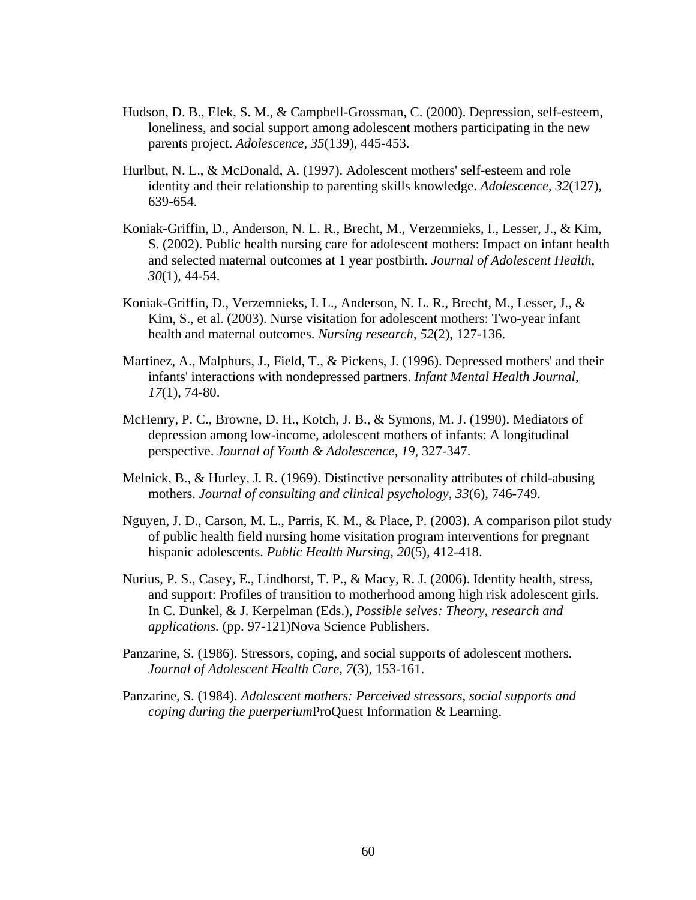- Hudson, D. B., Elek, S. M., & Campbell-Grossman, C. (2000). Depression, self-esteem, loneliness, and social support among adolescent mothers participating in the new parents project. *Adolescence, 35*(139), 445-453.
- Hurlbut, N. L., & McDonald, A. (1997). Adolescent mothers' self-esteem and role identity and their relationship to parenting skills knowledge. *Adolescence, 32*(127), 639-654.
- Koniak-Griffin, D., Anderson, N. L. R., Brecht, M., Verzemnieks, I., Lesser, J., & Kim, S. (2002). Public health nursing care for adolescent mothers: Impact on infant health and selected maternal outcomes at 1 year postbirth. *Journal of Adolescent Health, 30*(1), 44-54.
- Koniak-Griffin, D., Verzemnieks, I. L., Anderson, N. L. R., Brecht, M., Lesser, J., & Kim, S., et al. (2003). Nurse visitation for adolescent mothers: Two-year infant health and maternal outcomes. *Nursing research, 52*(2), 127-136.
- Martinez, A., Malphurs, J., Field, T., & Pickens, J. (1996). Depressed mothers' and their infants' interactions with nondepressed partners. *Infant Mental Health Journal, 17*(1), 74-80.
- McHenry, P. C., Browne, D. H., Kotch, J. B., & Symons, M. J. (1990). Mediators of depression among low-income, adolescent mothers of infants: A longitudinal perspective. *Journal of Youth & Adolescence, 19*, 327-347.
- Melnick, B., & Hurley, J. R. (1969). Distinctive personality attributes of child-abusing mothers. *Journal of consulting and clinical psychology, 33*(6), 746-749.
- Nguyen, J. D., Carson, M. L., Parris, K. M., & Place, P. (2003). A comparison pilot study of public health field nursing home visitation program interventions for pregnant hispanic adolescents. *Public Health Nursing, 20*(5), 412-418.
- Nurius, P. S., Casey, E., Lindhorst, T. P., & Macy, R. J. (2006). Identity health, stress, and support: Profiles of transition to motherhood among high risk adolescent girls. In C. Dunkel, & J. Kerpelman (Eds.), *Possible selves: Theory, research and applications.* (pp. 97-121)Nova Science Publishers.
- Panzarine, S. (1986). Stressors, coping, and social supports of adolescent mothers. *Journal of Adolescent Health Care, 7*(3), 153-161.
- Panzarine, S. (1984). *Adolescent mothers: Perceived stressors, social supports and coping during the puerperium*ProQuest Information & Learning.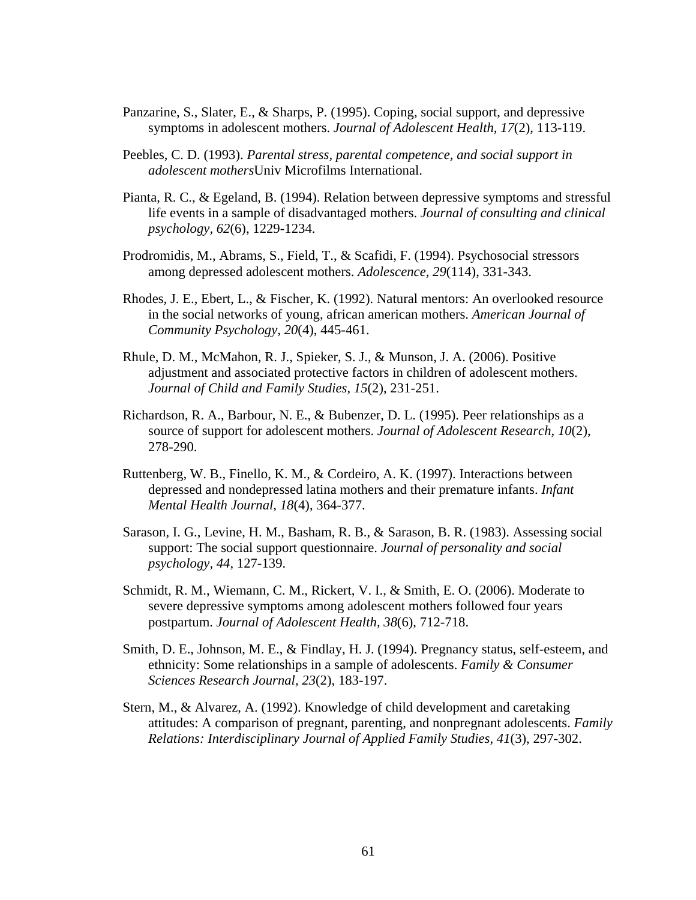- Panzarine, S., Slater, E., & Sharps, P. (1995). Coping, social support, and depressive symptoms in adolescent mothers. *Journal of Adolescent Health, 17*(2), 113-119.
- Peebles, C. D. (1993). *Parental stress, parental competence, and social support in adolescent mothers*Univ Microfilms International.
- Pianta, R. C., & Egeland, B. (1994). Relation between depressive symptoms and stressful life events in a sample of disadvantaged mothers. *Journal of consulting and clinical psychology, 62*(6), 1229-1234.
- Prodromidis, M., Abrams, S., Field, T., & Scafidi, F. (1994). Psychosocial stressors among depressed adolescent mothers. *Adolescence, 29*(114), 331-343.
- Rhodes, J. E., Ebert, L., & Fischer, K. (1992). Natural mentors: An overlooked resource in the social networks of young, african american mothers. *American Journal of Community Psychology, 20*(4), 445-461.
- Rhule, D. M., McMahon, R. J., Spieker, S. J., & Munson, J. A. (2006). Positive adjustment and associated protective factors in children of adolescent mothers. *Journal of Child and Family Studies, 15*(2), 231-251.
- Richardson, R. A., Barbour, N. E., & Bubenzer, D. L. (1995). Peer relationships as a source of support for adolescent mothers. *Journal of Adolescent Research, 10*(2), 278-290.
- Ruttenberg, W. B., Finello, K. M., & Cordeiro, A. K. (1997). Interactions between depressed and nondepressed latina mothers and their premature infants. *Infant Mental Health Journal, 18*(4), 364-377.
- Sarason, I. G., Levine, H. M., Basham, R. B., & Sarason, B. R. (1983). Assessing social support: The social support questionnaire. *Journal of personality and social psychology, 44*, 127-139.
- Schmidt, R. M., Wiemann, C. M., Rickert, V. I., & Smith, E. O. (2006). Moderate to severe depressive symptoms among adolescent mothers followed four years postpartum. *Journal of Adolescent Health, 38*(6), 712-718.
- Smith, D. E., Johnson, M. E., & Findlay, H. J. (1994). Pregnancy status, self-esteem, and ethnicity: Some relationships in a sample of adolescents. *Family & Consumer Sciences Research Journal, 23*(2), 183-197.
- Stern, M., & Alvarez, A. (1992). Knowledge of child development and caretaking attitudes: A comparison of pregnant, parenting, and nonpregnant adolescents. *Family Relations: Interdisciplinary Journal of Applied Family Studies, 41*(3), 297-302.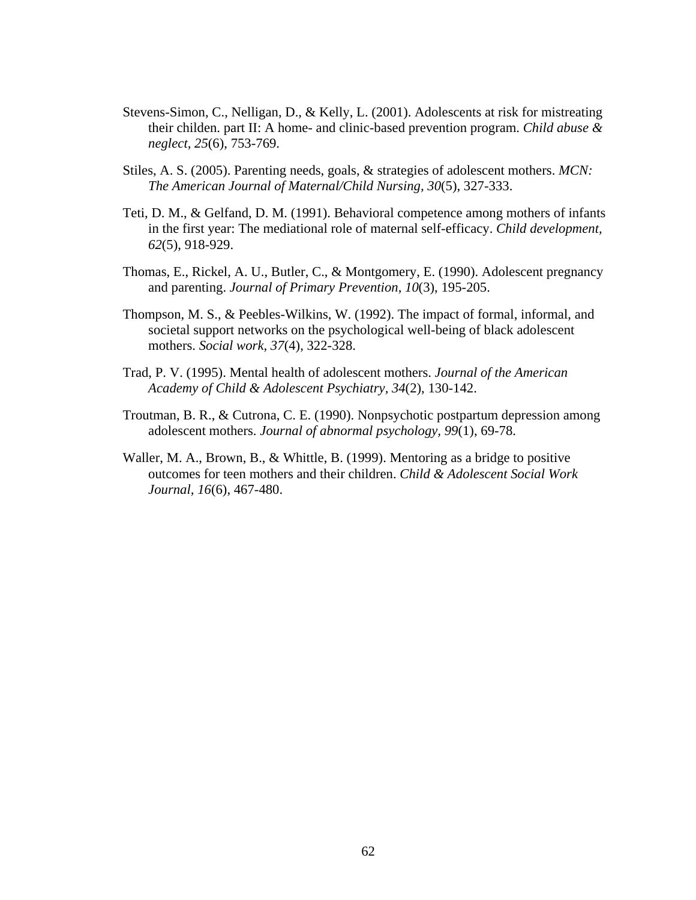- Stevens-Simon, C., Nelligan, D., & Kelly, L. (2001). Adolescents at risk for mistreating their childen. part II: A home- and clinic-based prevention program. *Child abuse & neglect, 25*(6), 753-769.
- Stiles, A. S. (2005). Parenting needs, goals, & strategies of adolescent mothers. *MCN: The American Journal of Maternal/Child Nursing, 30*(5), 327-333.
- Teti, D. M., & Gelfand, D. M. (1991). Behavioral competence among mothers of infants in the first year: The mediational role of maternal self-efficacy. *Child development, 62*(5), 918-929.
- Thomas, E., Rickel, A. U., Butler, C., & Montgomery, E. (1990). Adolescent pregnancy and parenting. *Journal of Primary Prevention, 10*(3), 195-205.
- Thompson, M. S., & Peebles-Wilkins, W. (1992). The impact of formal, informal, and societal support networks on the psychological well-being of black adolescent mothers. *Social work, 37*(4), 322-328.
- Trad, P. V. (1995). Mental health of adolescent mothers. *Journal of the American Academy of Child & Adolescent Psychiatry, 34*(2), 130-142.
- Troutman, B. R., & Cutrona, C. E. (1990). Nonpsychotic postpartum depression among adolescent mothers. *Journal of abnormal psychology, 99*(1), 69-78.
- Waller, M. A., Brown, B., & Whittle, B. (1999). Mentoring as a bridge to positive outcomes for teen mothers and their children. *Child & Adolescent Social Work Journal, 16*(6), 467-480.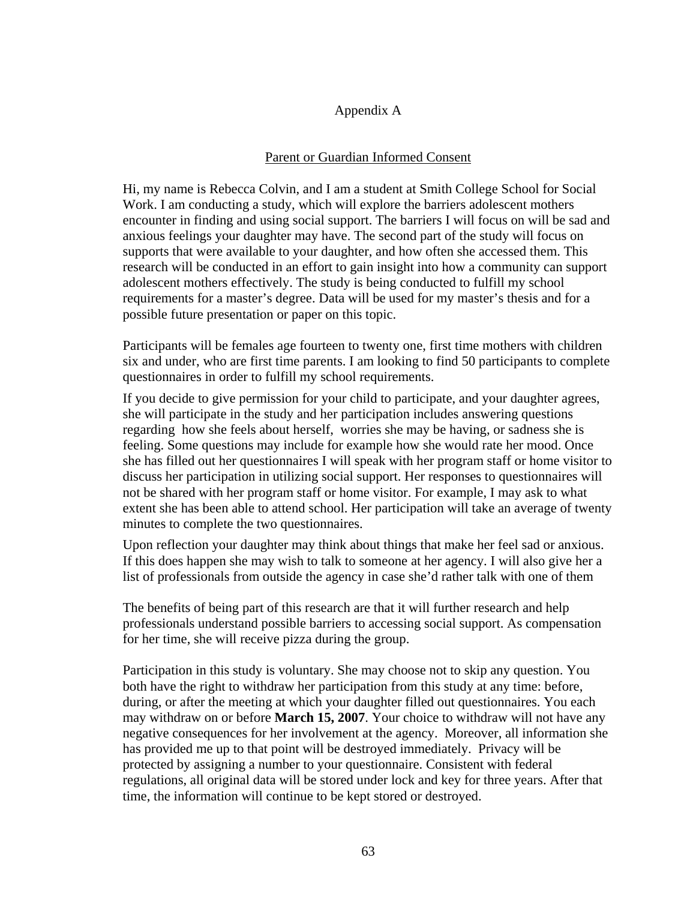### Appendix A

## Parent or Guardian Informed Consent

Hi, my name is Rebecca Colvin, and I am a student at Smith College School for Social Work. I am conducting a study, which will explore the barriers adolescent mothers encounter in finding and using social support. The barriers I will focus on will be sad and anxious feelings your daughter may have. The second part of the study will focus on supports that were available to your daughter, and how often she accessed them. This research will be conducted in an effort to gain insight into how a community can support adolescent mothers effectively. The study is being conducted to fulfill my school requirements for a master's degree. Data will be used for my master's thesis and for a possible future presentation or paper on this topic.

Participants will be females age fourteen to twenty one, first time mothers with children six and under, who are first time parents. I am looking to find 50 participants to complete questionnaires in order to fulfill my school requirements.

If you decide to give permission for your child to participate, and your daughter agrees, she will participate in the study and her participation includes answering questions regarding how she feels about herself, worries she may be having, or sadness she is feeling. Some questions may include for example how she would rate her mood. Once she has filled out her questionnaires I will speak with her program staff or home visitor to discuss her participation in utilizing social support. Her responses to questionnaires will not be shared with her program staff or home visitor. For example, I may ask to what extent she has been able to attend school. Her participation will take an average of twenty minutes to complete the two questionnaires.

Upon reflection your daughter may think about things that make her feel sad or anxious. If this does happen she may wish to talk to someone at her agency. I will also give her a list of professionals from outside the agency in case she'd rather talk with one of them

The benefits of being part of this research are that it will further research and help professionals understand possible barriers to accessing social support. As compensation for her time, she will receive pizza during the group.

Participation in this study is voluntary. She may choose not to skip any question. You both have the right to withdraw her participation from this study at any time: before, during, or after the meeting at which your daughter filled out questionnaires. You each may withdraw on or before **March 15, 2007**. Your choice to withdraw will not have any negative consequences for her involvement at the agency. Moreover, all information she has provided me up to that point will be destroyed immediately. Privacy will be protected by assigning a number to your questionnaire. Consistent with federal regulations, all original data will be stored under lock and key for three years. After that time, the information will continue to be kept stored or destroyed.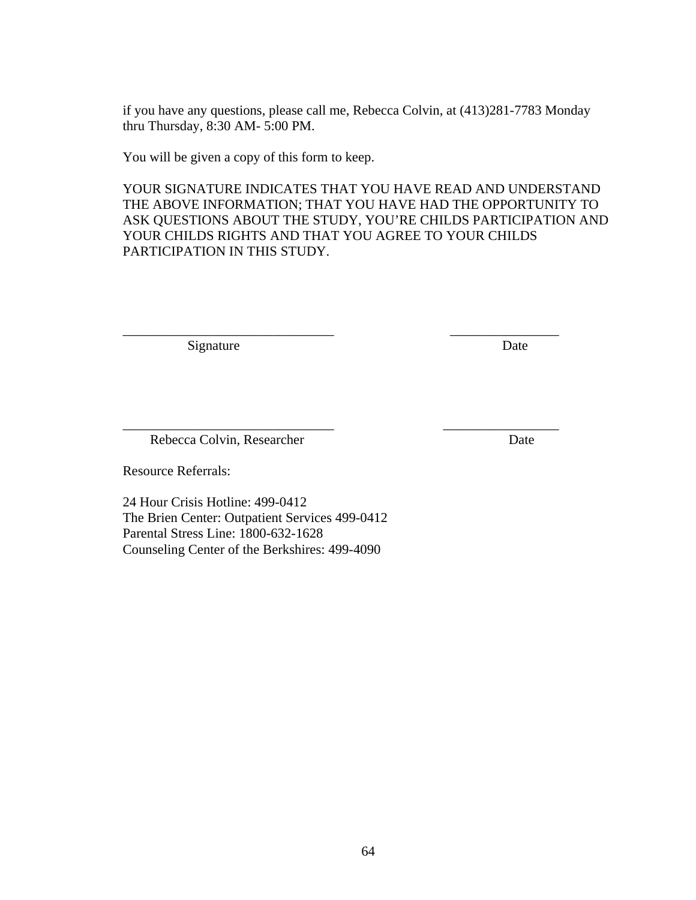if you have any questions, please call me, Rebecca Colvin, at (413)281-7783 Monday thru Thursday, 8:30 AM- 5:00 PM.

You will be given a copy of this form to keep.

YOUR SIGNATURE INDICATES THAT YOU HAVE READ AND UNDERSTAND THE ABOVE INFORMATION; THAT YOU HAVE HAD THE OPPORTUNITY TO ASK QUESTIONS ABOUT THE STUDY, YOU'RE CHILDS PARTICIPATION AND YOUR CHILDS RIGHTS AND THAT YOU AGREE TO YOUR CHILDS PARTICIPATION IN THIS STUDY.

\_\_\_\_\_\_\_\_\_\_\_\_\_\_\_\_\_\_\_\_\_\_\_\_\_\_\_\_\_\_\_ \_\_\_\_\_\_\_\_\_\_\_\_\_\_\_\_

\_\_\_\_\_\_\_\_\_\_\_\_\_\_\_\_\_\_\_\_\_\_\_\_\_\_\_\_\_\_\_ \_\_\_\_\_\_\_\_\_\_\_\_\_\_\_\_\_

Signature Date

Rebecca Colvin, Researcher Date

Resource Referrals:

24 Hour Crisis Hotline: 499-0412 The Brien Center: Outpatient Services 499-0412 Parental Stress Line: 1800-632-1628 Counseling Center of the Berkshires: 499-4090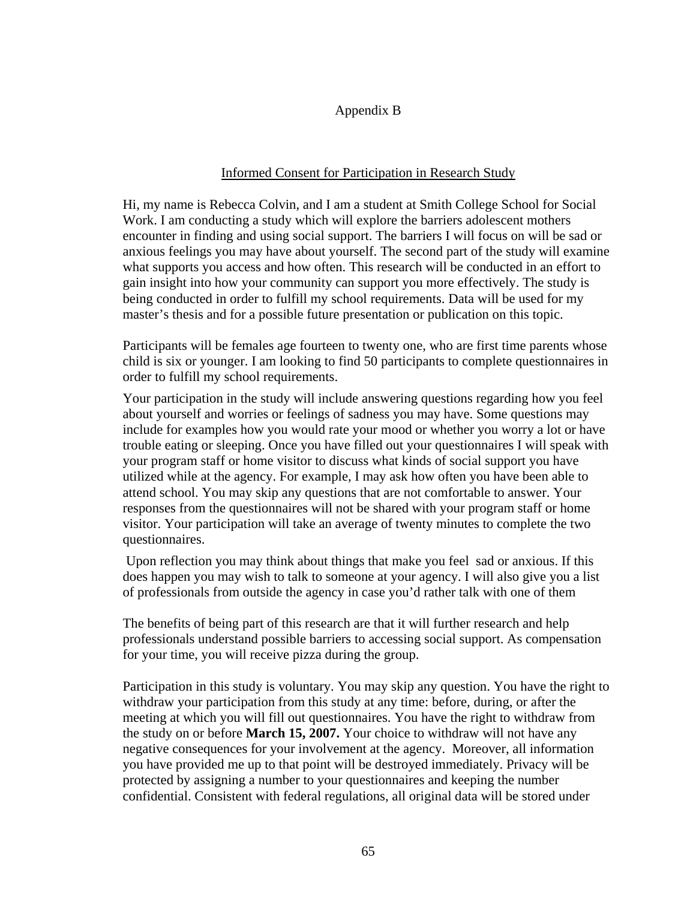### Appendix B

## Informed Consent for Participation in Research Study

Hi, my name is Rebecca Colvin, and I am a student at Smith College School for Social Work. I am conducting a study which will explore the barriers adolescent mothers encounter in finding and using social support. The barriers I will focus on will be sad or anxious feelings you may have about yourself. The second part of the study will examine what supports you access and how often. This research will be conducted in an effort to gain insight into how your community can support you more effectively. The study is being conducted in order to fulfill my school requirements. Data will be used for my master's thesis and for a possible future presentation or publication on this topic.

Participants will be females age fourteen to twenty one, who are first time parents whose child is six or younger. I am looking to find 50 participants to complete questionnaires in order to fulfill my school requirements.

Your participation in the study will include answering questions regarding how you feel about yourself and worries or feelings of sadness you may have. Some questions may include for examples how you would rate your mood or whether you worry a lot or have trouble eating or sleeping. Once you have filled out your questionnaires I will speak with your program staff or home visitor to discuss what kinds of social support you have utilized while at the agency. For example, I may ask how often you have been able to attend school. You may skip any questions that are not comfortable to answer. Your responses from the questionnaires will not be shared with your program staff or home visitor. Your participation will take an average of twenty minutes to complete the two questionnaires.

 Upon reflection you may think about things that make you feel sad or anxious. If this does happen you may wish to talk to someone at your agency. I will also give you a list of professionals from outside the agency in case you'd rather talk with one of them

The benefits of being part of this research are that it will further research and help professionals understand possible barriers to accessing social support. As compensation for your time, you will receive pizza during the group.

Participation in this study is voluntary. You may skip any question. You have the right to withdraw your participation from this study at any time: before, during, or after the meeting at which you will fill out questionnaires. You have the right to withdraw from the study on or before **March 15, 2007.** Your choice to withdraw will not have any negative consequences for your involvement at the agency. Moreover, all information you have provided me up to that point will be destroyed immediately. Privacy will be protected by assigning a number to your questionnaires and keeping the number confidential. Consistent with federal regulations, all original data will be stored under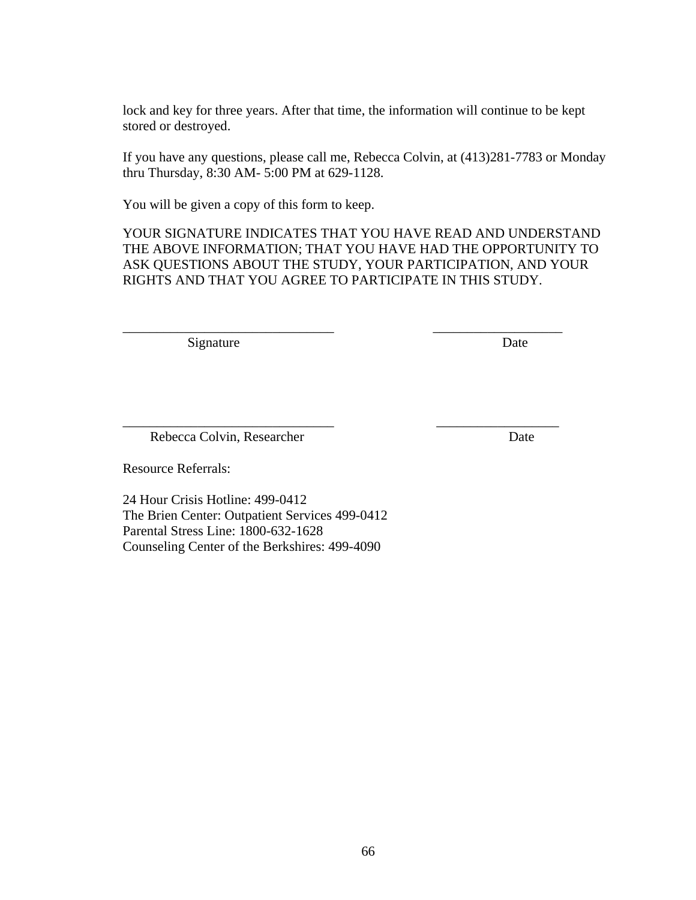lock and key for three years. After that time, the information will continue to be kept stored or destroyed.

If you have any questions, please call me, Rebecca Colvin, at (413)281-7783 or Monday thru Thursday, 8:30 AM- 5:00 PM at 629-1128.

You will be given a copy of this form to keep.

YOUR SIGNATURE INDICATES THAT YOU HAVE READ AND UNDERSTAND THE ABOVE INFORMATION; THAT YOU HAVE HAD THE OPPORTUNITY TO ASK QUESTIONS ABOUT THE STUDY, YOUR PARTICIPATION, AND YOUR RIGHTS AND THAT YOU AGREE TO PARTICIPATE IN THIS STUDY.

\_\_\_\_\_\_\_\_\_\_\_\_\_\_\_\_\_\_\_\_\_\_\_\_\_\_\_\_\_\_\_ \_\_\_\_\_\_\_\_\_\_\_\_\_\_\_\_\_\_\_

\_\_\_\_\_\_\_\_\_\_\_\_\_\_\_\_\_\_\_\_\_\_\_\_\_\_\_\_\_\_\_ \_\_\_\_\_\_\_\_\_\_\_\_\_\_\_\_\_\_

Signature Date

Rebecca Colvin, Researcher Date

Resource Referrals:

24 Hour Crisis Hotline: 499-0412 The Brien Center: Outpatient Services 499-0412 Parental Stress Line: 1800-632-1628 Counseling Center of the Berkshires: 499-4090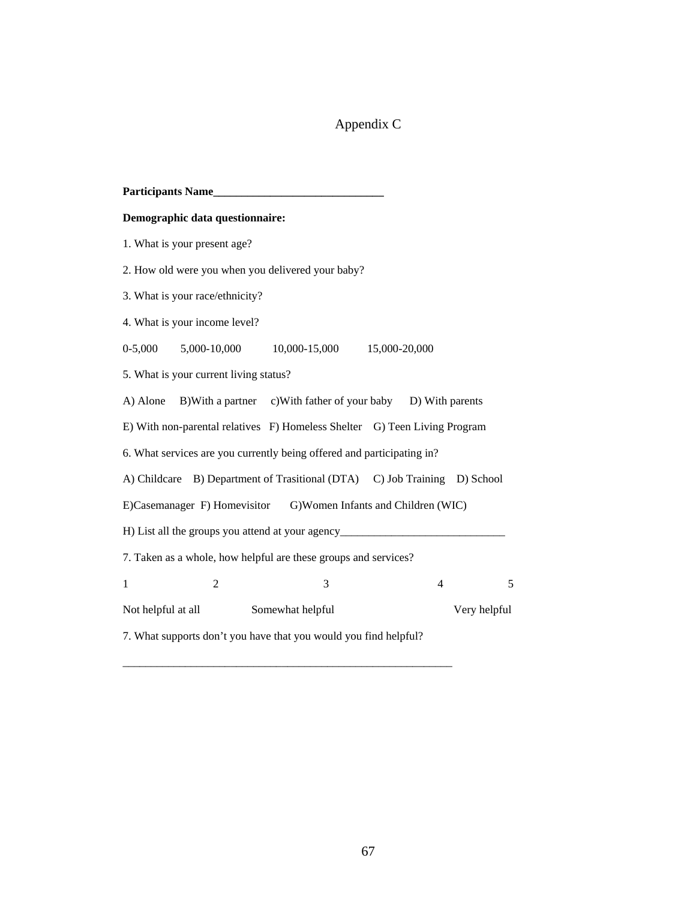# Appendix C

| Participants Name                                                                 |  |  |  |  |  |  |  |
|-----------------------------------------------------------------------------------|--|--|--|--|--|--|--|
| Demographic data questionnaire:                                                   |  |  |  |  |  |  |  |
| 1. What is your present age?                                                      |  |  |  |  |  |  |  |
| 2. How old were you when you delivered your baby?                                 |  |  |  |  |  |  |  |
| 3. What is your race/ethnicity?                                                   |  |  |  |  |  |  |  |
| 4. What is your income level?                                                     |  |  |  |  |  |  |  |
| 0-5,000 5,000-10,000 10,000-15,000 15,000-20,000                                  |  |  |  |  |  |  |  |
| 5. What is your current living status?                                            |  |  |  |  |  |  |  |
| B) With a partner c) With father of your baby D) With parents<br>A) Alone         |  |  |  |  |  |  |  |
| E) With non-parental relatives F) Homeless Shelter G) Teen Living Program         |  |  |  |  |  |  |  |
| 6. What services are you currently being offered and participating in?            |  |  |  |  |  |  |  |
| A) Childcare B) Department of Trasitional (DTA) C) Job Training D) School         |  |  |  |  |  |  |  |
| E)Casemanager F) Homevisitor G)Women Infants and Children (WIC)                   |  |  |  |  |  |  |  |
| H) List all the groups you attend at your agency_________________________________ |  |  |  |  |  |  |  |
| 7. Taken as a whole, how helpful are these groups and services?                   |  |  |  |  |  |  |  |
| $\overline{2}$<br>3<br>$\overline{4}$<br>5<br>1                                   |  |  |  |  |  |  |  |
| Somewhat helpful<br>Very helpful<br>Not helpful at all                            |  |  |  |  |  |  |  |
| 7. What supports don't you have that you would you find helpful?                  |  |  |  |  |  |  |  |

\_\_\_\_\_\_\_\_\_\_\_\_\_\_\_\_\_\_\_\_\_\_\_\_\_\_\_\_\_\_\_\_\_\_\_\_\_\_\_\_\_\_\_\_\_\_\_\_\_\_\_\_\_\_\_\_\_\_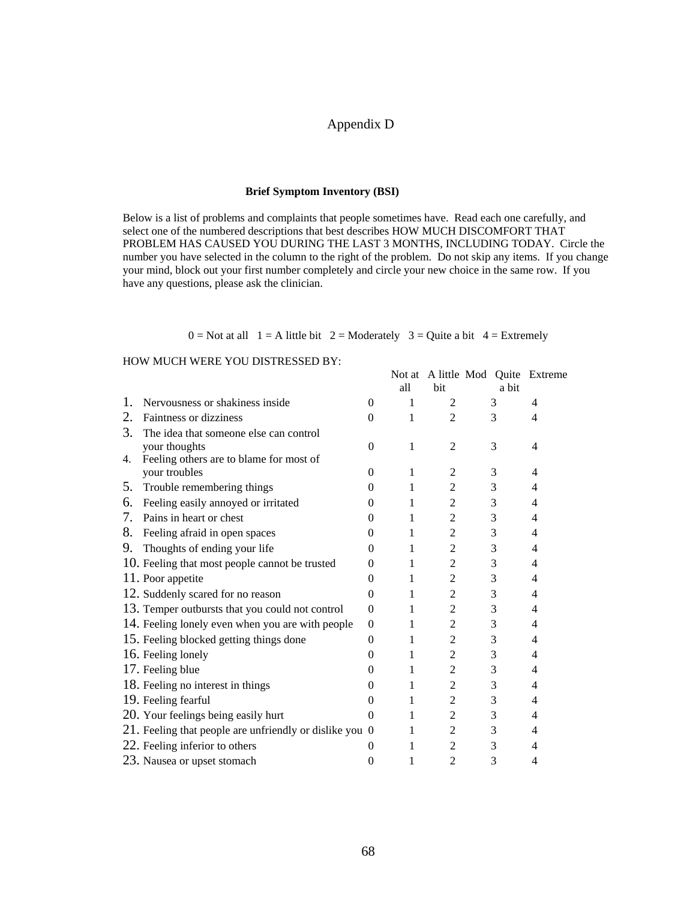#### Appendix D

#### **Brief Symptom Inventory (BSI)**

Below is a list of problems and complaints that people sometimes have. Read each one carefully, and select one of the numbered descriptions that best describes HOW MUCH DISCOMFORT THAT PROBLEM HAS CAUSED YOU DURING THE LAST 3 MONTHS, INCLUDING TODAY. Circle the number you have selected in the column to the right of the problem. Do not skip any items. If you change your mind, block out your first number completely and circle your new choice in the same row. If you have any questions, please ask the clinician.

 $0 = Not$  at all  $1 = A$  little bit  $2 = Modern$   $3 = Quite$  a bit  $4 = Extremely$ 

#### HOW MUCH WERE YOU DISTRESSED BY:

|    | TO W MOCH WERE TOO DISTRESSED BT.                       |          |     |                                          |       |   |
|----|---------------------------------------------------------|----------|-----|------------------------------------------|-------|---|
|    |                                                         |          | all | Not at A little Mod Quite Extreme<br>bit | a bit |   |
| 1. | Nervousness or shakiness inside                         | $\Omega$ | 1   | 2                                        | 3     | 4 |
| 2. | <b>Faintness or dizziness</b>                           | $\Omega$ | 1   | 2                                        | 3     | 4 |
| 3. | The idea that someone else can control                  |          |     |                                          |       |   |
|    | your thoughts                                           | $\Omega$ | 1   | $\overline{2}$                           | 3     | 4 |
| 4. | Feeling others are to blame for most of                 |          |     |                                          |       |   |
|    | your troubles                                           | 0        | 1   | $\overline{2}$                           | 3     | 4 |
| 5. | Trouble remembering things                              | 0        | 1   | 2                                        | 3     | 4 |
| 6. | Feeling easily annoyed or irritated                     | 0        | 1   | 2                                        | 3     | 4 |
| 7. | Pains in heart or chest                                 | 0        | 1   | 2                                        | 3     | 4 |
| 8. | Feeling afraid in open spaces                           | 0        | 1   | 2                                        | 3     | 4 |
| 9. | Thoughts of ending your life                            | $\Omega$ | 1   | $\overline{2}$                           | 3     | 4 |
|    | 10. Feeling that most people cannot be trusted          | 0        | 1   | $\overline{2}$                           | 3     | 4 |
|    | 11. Poor appetite                                       | 0        | 1   | 2                                        | 3     | 4 |
|    | 12. Suddenly scared for no reason                       | $\theta$ | 1   | 2                                        | 3     | 4 |
|    | 13. Temper outbursts that you could not control         | $\theta$ | 1   | $\overline{2}$                           | 3     | 4 |
|    | 14. Feeling lonely even when you are with people        | $\theta$ | 1   | 2                                        | 3     | 4 |
|    | 15. Feeling blocked getting things done                 | $\theta$ | 1   | $\overline{2}$                           | 3     | 4 |
|    | 16. Feeling lonely                                      | 0        | 1   | 2                                        | 3     | 4 |
|    | 17. Feeling blue                                        | 0        | 1   | 2                                        | 3     | 4 |
|    | 18. Feeling no interest in things                       | $\theta$ | 1   | 2                                        | 3     | 4 |
|    | 19. Feeling fearful                                     | $\theta$ | 1   | $\overline{2}$                           | 3     | 4 |
|    | 20. Your feelings being easily hurt                     | $\theta$ | 1   | 2                                        | 3     | 4 |
|    | 21. Feeling that people are unfriendly or dislike you 0 |          | 1   | $\overline{c}$                           | 3     | 4 |
|    | 22. Feeling inferior to others                          | $\theta$ | 1   | $\overline{2}$                           | 3     | 4 |
|    | 23. Nausea or upset stomach                             | $\theta$ | 1   | 2                                        | 3     | 4 |
|    |                                                         |          |     |                                          |       |   |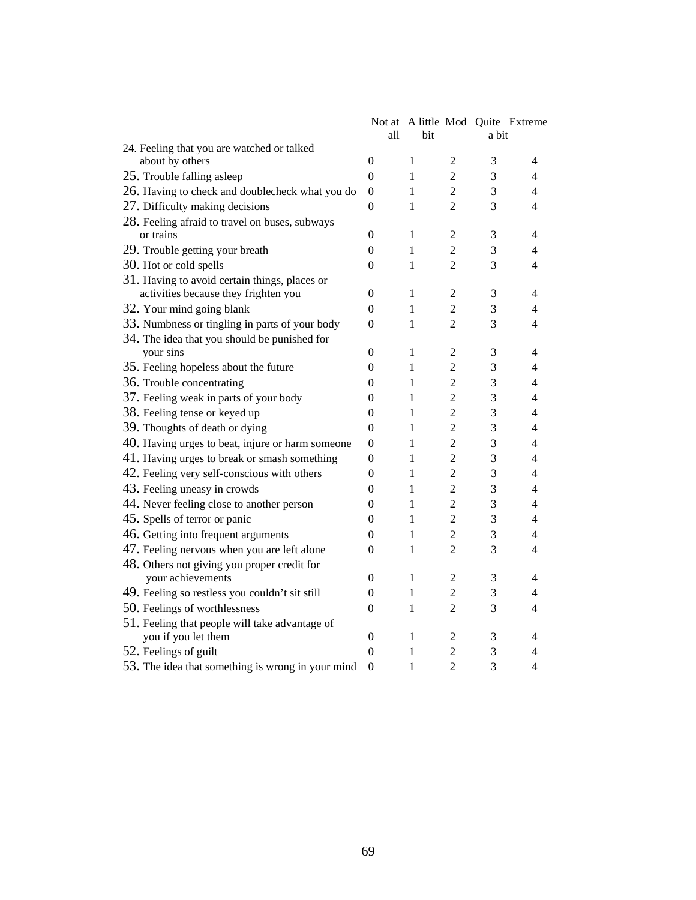|                                                   |                  |              |                |                | Not at A little Mod Quite Extreme |
|---------------------------------------------------|------------------|--------------|----------------|----------------|-----------------------------------|
|                                                   | all              | bit          |                | a bit          |                                   |
| 24. Feeling that you are watched or talked        |                  |              |                |                |                                   |
| about by others                                   | $\overline{0}$   | 1            | $\overline{2}$ | 3              | 4                                 |
| 25. Trouble falling asleep                        | $\overline{0}$   | $\mathbf{1}$ | $\overline{2}$ | 3              | 4                                 |
| 26. Having to check and doublecheck what you do   | $\boldsymbol{0}$ | $\mathbf{1}$ | $\overline{2}$ | 3              | $\overline{\mathcal{L}}$          |
| 27. Difficulty making decisions                   | $\theta$         | 1            | $\overline{2}$ | 3              | 4                                 |
| 28. Feeling afraid to travel on buses, subways    |                  |              |                |                |                                   |
| or trains                                         | $\overline{0}$   | 1            | $\overline{2}$ | 3              | 4                                 |
| 29. Trouble getting your breath                   | $\overline{0}$   | 1            | $\overline{2}$ | 3              | 4                                 |
| 30. Hot or cold spells                            | $\overline{0}$   | 1            | $\overline{2}$ | 3              | 4                                 |
| 31. Having to avoid certain things, places or     |                  |              |                |                |                                   |
| activities because they frighten you              | 0                | 1            | $\overline{2}$ | 3              | 4                                 |
| 32. Your mind going blank                         | $\theta$         | 1            | $\overline{2}$ | 3              | 4                                 |
| 33. Numbness or tingling in parts of your body    | $\overline{0}$   | 1            | $\overline{2}$ | 3              | 4                                 |
| 34. The idea that you should be punished for      |                  |              |                |                |                                   |
| your sins                                         | $\Omega$         | 1            | $\overline{c}$ | 3              | 4                                 |
| 35. Feeling hopeless about the future             | $\theta$         | 1            | $\overline{c}$ | 3              | 4                                 |
| 36. Trouble concentrating                         | $\theta$         | 1            | $\overline{c}$ | 3              | 4                                 |
| 37. Feeling weak in parts of your body            | 0                | 1            | $\overline{c}$ | 3              | 4                                 |
| 38. Feeling tense or keyed up                     | $\theta$         | 1            | $\overline{c}$ | 3              | 4                                 |
| 39. Thoughts of death or dying                    | $\overline{0}$   | 1            | $\overline{c}$ | $\mathfrak{Z}$ | 4                                 |
| 40. Having urges to beat, injure or harm someone  | $\theta$         | 1            | $\overline{c}$ | $\mathfrak{Z}$ | $\overline{4}$                    |
| 41. Having urges to break or smash something      | $\boldsymbol{0}$ | 1            | $\overline{2}$ | 3              | $\overline{4}$                    |
| 42. Feeling very self-conscious with others       | $\Omega$         | 1            | $\overline{2}$ | 3              | $\overline{4}$                    |
| 43. Feeling uneasy in crowds                      | $\Omega$         | 1            | $\overline{2}$ | 3              | 4                                 |
| 44. Never feeling close to another person         | $\Omega$         | 1            | $\overline{c}$ | 3              | $\overline{4}$                    |
| 45. Spells of terror or panic                     | $\theta$         | 1            | $\overline{2}$ | 3              | 4                                 |
| 46. Getting into frequent arguments               | $\theta$         | 1            | $\overline{2}$ | 3              | 4                                 |
| 47. Feeling nervous when you are left alone       | $\theta$         | 1            | $\overline{2}$ | 3              | 4                                 |
| 48. Others not giving you proper credit for       |                  |              |                |                |                                   |
| your achievements                                 | $\Omega$         | 1            | $\overline{c}$ | 3              | 4                                 |
| 49. Feeling so restless you couldn't sit still    | $\Omega$         | 1            | $\overline{2}$ | 3              | 4                                 |
| 50. Feelings of worthlessness                     | $\theta$         | 1            | $\overline{2}$ | 3              | 4                                 |
| 51. Feeling that people will take advantage of    |                  |              |                |                |                                   |
| you if you let them                               | $\boldsymbol{0}$ | $\mathbf{1}$ | $\overline{2}$ | 3              | 4                                 |
| 52. Feelings of guilt                             | 0                | 1            | $\overline{c}$ | 3              | $\overline{4}$                    |
| 53. The idea that something is wrong in your mind | 0                | 1            | $\overline{2}$ | 3              | $\overline{4}$                    |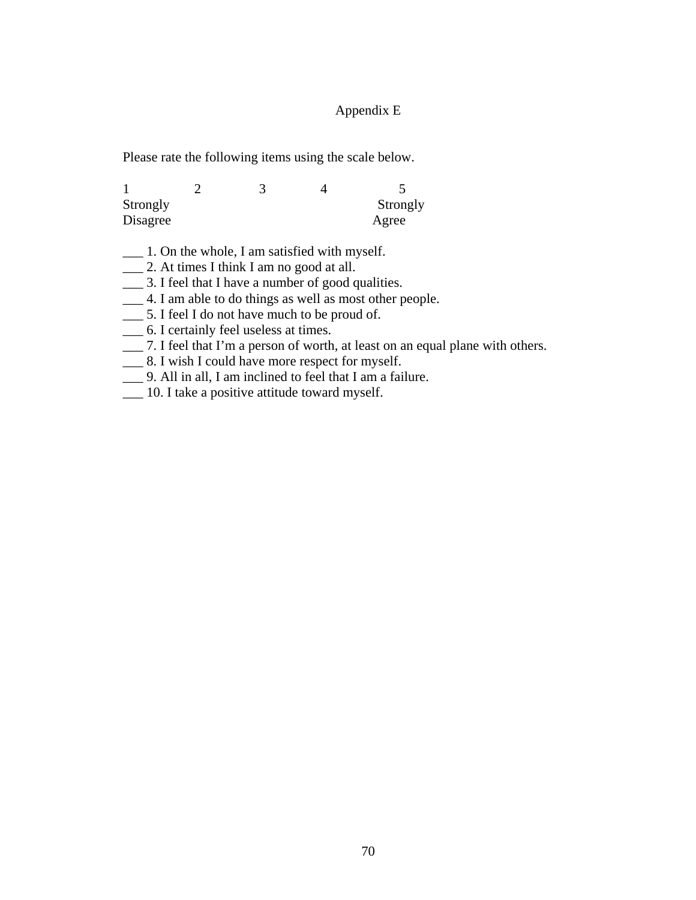## Appendix E

Please rate the following items using the scale below.

| Strongly |  | Strongly |
|----------|--|----------|
| Disagree |  | Agree    |

- \_\_\_ 1. On the whole, I am satisfied with myself.
- \_\_\_ 2. At times I think I am no good at all.
- \_\_\_ 3. I feel that I have a number of good qualities.
- \_\_\_ 4. I am able to do things as well as most other people.
- \_\_\_ 5. I feel I do not have much to be proud of.
- \_\_\_ 6. I certainly feel useless at times.
- \_\_\_ 7. I feel that I'm a person of worth, at least on an equal plane with others.
- \_\_\_ 8. I wish I could have more respect for myself.
- \_\_\_ 9. All in all, I am inclined to feel that I am a failure.
- \_\_\_ 10. I take a positive attitude toward myself.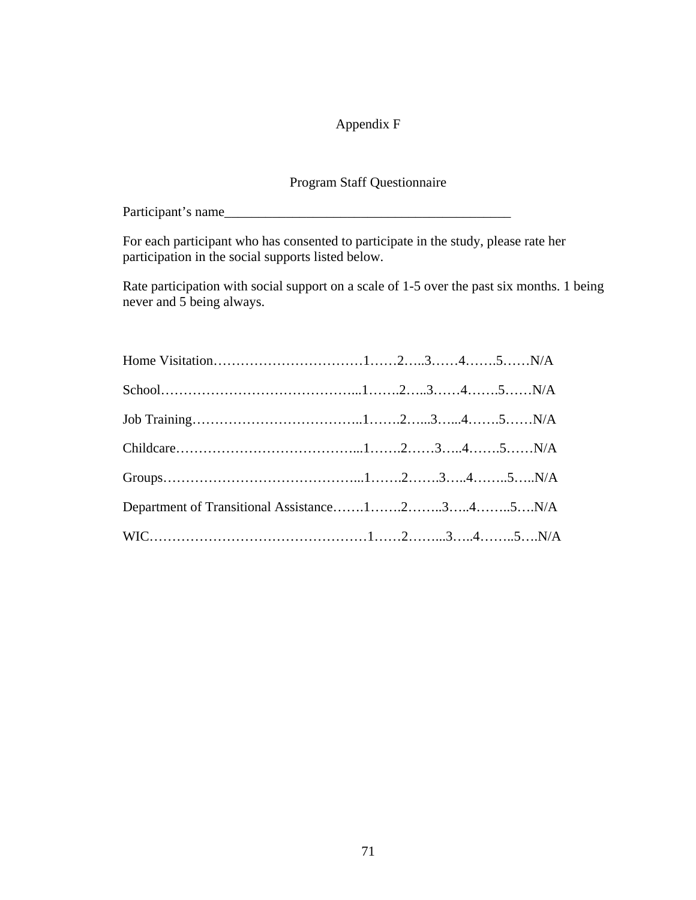# Appendix F

# Program Staff Questionnaire

Participant's name\_\_\_\_\_\_\_\_\_\_\_\_\_\_\_\_\_\_\_\_\_\_\_\_\_\_\_\_\_\_\_\_\_\_\_\_\_\_\_\_\_\_

For each participant who has consented to participate in the study, please rate her participation in the social supports listed below.

Rate participation with social support on a scale of 1-5 over the past six months. 1 being never and 5 being always.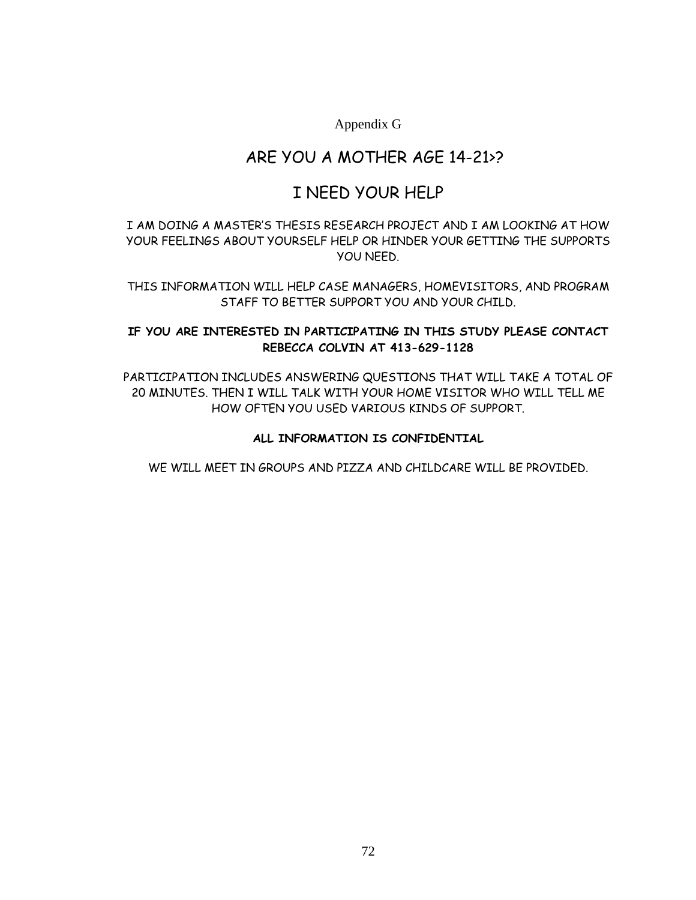Appendix G

# ARE YOU A MOTHER AGE 14-21>?

# I NEED YOUR HELP

## I AM DOING A MASTER'S THESIS RESEARCH PROJECT AND I AM LOOKING AT HOW YOUR FEELINGS ABOUT YOURSELF HELP OR HINDER YOUR GETTING THE SUPPORTS YOU NEED.

THIS INFORMATION WILL HELP CASE MANAGERS, HOMEVISITORS, AND PROGRAM STAFF TO BETTER SUPPORT YOU AND YOUR CHILD.

### **IF YOU ARE INTERESTED IN PARTICIPATING IN THIS STUDY PLEASE CONTACT REBECCA COLVIN AT 413-629-1128**

PARTICIPATION INCLUDES ANSWERING QUESTIONS THAT WILL TAKE A TOTAL OF 20 MINUTES. THEN I WILL TALK WITH YOUR HOME VISITOR WHO WILL TELL ME HOW OFTEN YOU USED VARIOUS KINDS OF SUPPORT.

### **ALL INFORMATION IS CONFIDENTIAL**

WE WILL MEET IN GROUPS AND PIZZA AND CHILDCARE WILL BE PROVIDED.